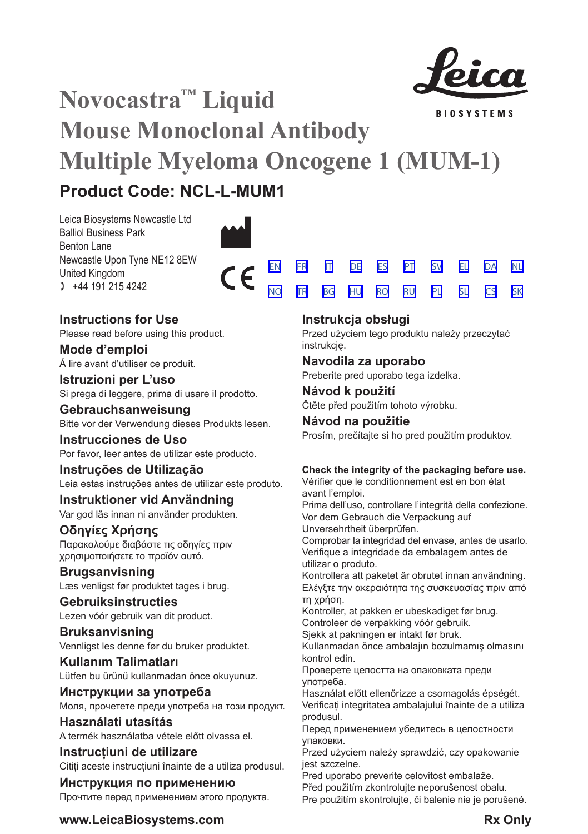

[SV](#page-20-0) [EL](#page-23-0) [DA](#page-26-0) [PL](#page-50-0) [SL](#page-53-0) [CS](#page-56-0)

[NL](#page-29-0)

[SK](#page-59-0)

# **Novocastra™ Liquid BIOSYSTEMS Mouse Monoclonal Antibody Multiple Myeloma Oncogene 1 (MUM-1) Product Code: NCL-L-MUM1**

Leica Biosystems Newcastle Ltd Balliol Business Park Benton Lane Newcastle Upon Tyne NE12 8EW United Kingdom  $1 +44 191 215 4242$ 



# **Instructions for Use**

Please read before using this product.

**Mode d'emploi** Á lire avant d'utiliser ce produit.

**Istruzioni per L'uso** Si prega di leggere, prima di usare il prodotto.

**Gebrauchsanweisung** Bitte vor der Verwendung dieses Produkts lesen.

**Instrucciones de Uso** Por favor, leer antes de utilizar este producto.

# **Instruções de Utilização**

Leia estas instruções antes de utilizar este produto.

# **Instruktioner vid Användning** Var god läs innan ni använder produkten.

**Οδηγίες Χρήσης** Παρακαλούμε διαβάστε τις οδηγίες πριν

χρησιμοποιήσετε το προϊόν αυτό.

# **Brugsanvisning** Læs venligst før produktet tages i brug.

**Gebruiksinstructies** Lezen vóór gebruik van dit product.

# **Bruksanvisning** Vennligst les denne før du bruker produktet.

**Kullanım Talimatları** Lütfen bu ürünü kullanmadan önce okuyunuz.

**Инструкции за употреба** Моля, прочетете преди употреба на този продукт.

**Használati utasítás** A termék használatba vétele előtt olvassa el.

**Instrucțiuni de utilizare** Cititi aceste instructiuni înainte de a utiliza produsul.

# **Инструкция по применению** Прочтите перед применением этого продукта.

# **Instrukcja obsługi**

[EN](#page-2-0) [FR](#page-5-0) [IT](#page-8-0) [DE](#page-11-0) [ES](#page-14-0) [PT](#page-17-0) <u>[NO](#page-32-0) [TR](#page-35-0) [BG](#page-38-0) [HU](#page-41-0) [RO](#page-44-0) [RU](#page-47-0)</u>

> Przed użyciem tego produktu należy przeczytać instrukcję.

# **Navodila za uporabo**

Preberite pred uporabo tega izdelka.

**Návod k použití** Čtěte před použitím tohoto výrobku.

# **Návod na použitie**

Prosím, prečítajte si ho pred použitím produktov.

# **Check the integrity of the packaging before use.**

Vérifier que le conditionnement est en bon état avant l'emploi.

Prima dell'uso, controllare l'integrità della confezione. Vor dem Gebrauch die Verpackung auf

Unversehrtheit überprüfen.

Comprobar la integridad del envase, antes de usarlo. Verifique a integridade da embalagem antes de utilizar o produto.

Kontrollera att paketet är obrutet innan användning. Ελέγξτε την ακεραιότητα της συσκευασίας πριν από τη χρήση.

Kontroller, at pakken er ubeskadiget før brug. Controleer de verpakking vóór gebruik.

Sjekk at pakningen er intakt før bruk.

Kullanmadan önce ambalajın bozulmamış olmasını kontrol edin.

Проверете целостта на опаковката преди употреба.

Használat előtt ellenőrizze a csomagolás épségét. Verificați integritatea ambalajului înainte de a utiliza produsul.

Перед применением убедитесь в целостности упаковки.

Przed użyciem należy sprawdzić, czy opakowanie jest szczelne.

Pred uporabo preverite celovitost embalaže.

Před použitím zkontrolujte neporušenost obalu. Pre použitím skontrolujte, či balenie nie je porušené.

**www.LeicaBiosystems.com Rx Only**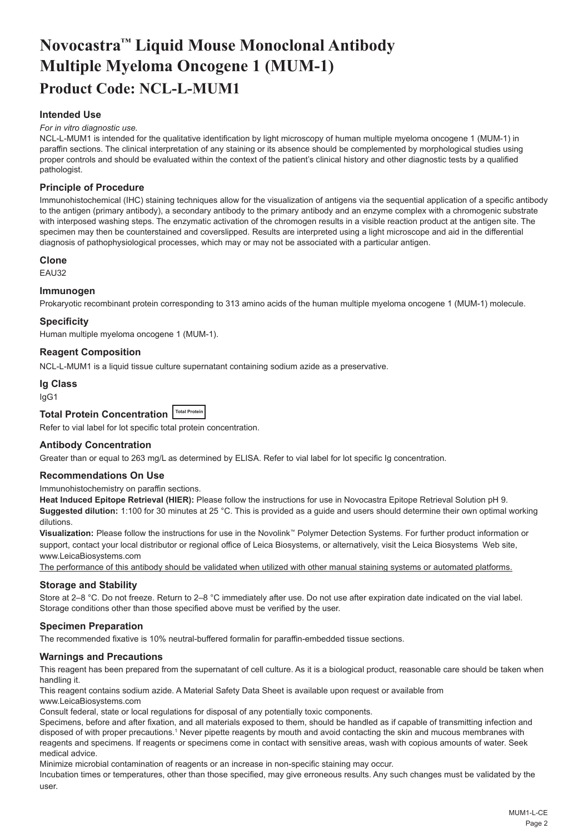# <span id="page-2-0"></span>**Novocastra™ Liquid Mouse Monoclonal Antibody Multiple Myeloma Oncogene 1 (MUM-1) Product Code: NCL-L-MUM1**

# **Intended Use**

### *For in vitro diagnostic use.*

NCL-L-MUM1 is intended for the qualitative identification by light microscopy of human multiple myeloma oncogene 1 (MUM-1) in paraffin sections. The clinical interpretation of any staining or its absence should be complemented by morphological studies using proper controls and should be evaluated within the context of the patient's clinical history and other diagnostic tests by a qualified pathologist.

## **Principle of Procedure**

Immunohistochemical (IHC) staining techniques allow for the visualization of antigens via the sequential application of a specific antibody to the antigen (primary antibody), a secondary antibody to the primary antibody and an enzyme complex with a chromogenic substrate with interposed washing steps. The enzymatic activation of the chromogen results in a visible reaction product at the antigen site. The specimen may then be counterstained and coverslipped. Results are interpreted using a light microscope and aid in the differential diagnosis of pathophysiological processes, which may or may not be associated with a particular antigen.

## **Clone**

EAU32

## **Immunogen**

Prokaryotic recombinant protein corresponding to 313 amino acids of the human multiple myeloma oncogene 1 (MUM-1) molecule.

## **Specificity**

Human multiple myeloma oncogene 1 (MUM-1).

## **Reagent Composition**

NCL-L-MUM1 is a liquid tissue culture supernatant containing sodium azide as a preservative.

# **Ig Class**

IgG1

# **Total Protein Concentration Total Protein**

Refer to vial label for lot specific total protein concentration.

### **Antibody Concentration**

Greater than or equal to 263 mg/L as determined by ELISA. Refer to vial label for lot specific Ig concentration.

## **Recommendations On Use**

Immunohistochemistry on paraffin sections.

**Heat Induced Epitope Retrieval (HIER):** Please follow the instructions for use in Novocastra Epitope Retrieval Solution pH 9. **Suggested dilution:** 1:100 for 30 minutes at 25 °C. This is provided as a guide and users should determine their own optimal working dilutions.

**Visualization:** Please follow the instructions for use in the Novolink™ Polymer Detection Systems. For further product information or support, contact your local distributor or regional office of Leica Biosystems, or alternatively, visit the Leica Biosystems Web site, www.LeicaBiosystems.com

The performance of this antibody should be validated when utilized with other manual staining systems or automated platforms.

### **Storage and Stability**

Store at 2–8 °C. Do not freeze. Return to 2–8 °C immediately after use. Do not use after expiration date indicated on the vial label. Storage conditions other than those specified above must be verified by the user.

## **Specimen Preparation**

The recommended fixative is 10% neutral-buffered formalin for paraffin-embedded tissue sections.

## **Warnings and Precautions**

This reagent has been prepared from the supernatant of cell culture. As it is a biological product, reasonable care should be taken when handling it.

This reagent contains sodium azide. A Material Safety Data Sheet is available upon request or available from www.LeicaBiosystems.com

Consult federal, state or local regulations for disposal of any potentially toxic components.

Specimens, before and after fixation, and all materials exposed to them, should be handled as if capable of transmitting infection and disposed of with proper precautions.1 Never pipette reagents by mouth and avoid contacting the skin and mucous membranes with reagents and specimens. If reagents or specimens come in contact with sensitive areas, wash with copious amounts of water. Seek medical advice.

Minimize microbial contamination of reagents or an increase in non-specific staining may occur.

Incubation times or temperatures, other than those specified, may give erroneous results. Any such changes must be validated by the user.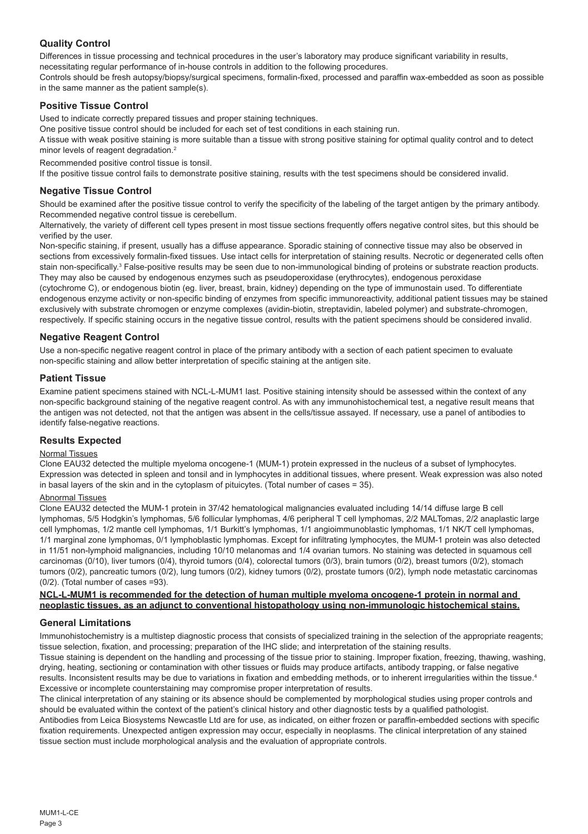# **Quality Control**

Differences in tissue processing and technical procedures in the user's laboratory may produce significant variability in results, necessitating regular performance of in-house controls in addition to the following procedures.

Controls should be fresh autopsy/biopsy/surgical specimens, formalin-fixed, processed and paraffin wax-embedded as soon as possible in the same manner as the patient sample(s).

# **Positive Tissue Control**

Used to indicate correctly prepared tissues and proper staining techniques.

One positive tissue control should be included for each set of test conditions in each staining run.

A tissue with weak positive staining is more suitable than a tissue with strong positive staining for optimal quality control and to detect minor levels of reagent degradation.<sup>2</sup>

Recommended positive control tissue is tonsil.

If the positive tissue control fails to demonstrate positive staining, results with the test specimens should be considered invalid.

## **Negative Tissue Control**

Should be examined after the positive tissue control to verify the specificity of the labeling of the target antigen by the primary antibody. Recommended negative control tissue is cerebellum.

Alternatively, the variety of different cell types present in most tissue sections frequently offers negative control sites, but this should be verified by the user.

Non-specific staining, if present, usually has a diffuse appearance. Sporadic staining of connective tissue may also be observed in sections from excessively formalin-fixed tissues. Use intact cells for interpretation of staining results. Necrotic or degenerated cells often stain non-specifically.<sup>3</sup> False-positive results may be seen due to non-immunological binding of proteins or substrate reaction products. They may also be caused by endogenous enzymes such as pseudoperoxidase (erythrocytes), endogenous peroxidase

(cytochrome C), or endogenous biotin (eg. liver, breast, brain, kidney) depending on the type of immunostain used. To differentiate endogenous enzyme activity or non-specific binding of enzymes from specific immunoreactivity, additional patient tissues may be stained exclusively with substrate chromogen or enzyme complexes (avidin-biotin, streptavidin, labeled polymer) and substrate-chromogen, respectively. If specific staining occurs in the negative tissue control, results with the patient specimens should be considered invalid.

# **Negative Reagent Control**

Use a non-specific negative reagent control in place of the primary antibody with a section of each patient specimen to evaluate non-specific staining and allow better interpretation of specific staining at the antigen site.

## **Patient Tissue**

Examine patient specimens stained with NCL-L-MUM1 last. Positive staining intensity should be assessed within the context of any non-specific background staining of the negative reagent control. As with any immunohistochemical test, a negative result means that the antigen was not detected, not that the antigen was absent in the cells/tissue assayed. If necessary, use a panel of antibodies to identify false-negative reactions.

## **Results Expected**

# Normal Tissues

Clone EAU32 detected the multiple myeloma oncogene-1 (MUM-1) protein expressed in the nucleus of a subset of lymphocytes. Expression was detected in spleen and tonsil and in lymphocytes in additional tissues, where present. Weak expression was also noted in basal layers of the skin and in the cytoplasm of pituicytes. (Total number of cases = 35).

# Abnormal Tissues

Clone EAU32 detected the MUM-1 protein in 37/42 hematological malignancies evaluated including 14/14 diffuse large B cell lymphomas, 5/5 Hodgkin's lymphomas, 5/6 follicular lymphomas, 4/6 peripheral T cell lymphomas, 2/2 MALTomas, 2/2 anaplastic large cell lymphomas, 1/2 mantle cell lymphomas, 1/1 Burkitt's lymphomas, 1/1 angioimmunoblastic lymphomas, 1/1 NK/T cell lymphomas, 1/1 marginal zone lymphomas, 0/1 lymphoblastic lymphomas. Except for infiltrating lymphocytes, the MUM-1 protein was also detected in 11/51 non-lymphoid malignancies, including 10/10 melanomas and 1/4 ovarian tumors. No staining was detected in squamous cell carcinomas (0/10), liver tumors (0/4), thyroid tumors (0/4), colorectal tumors (0/3), brain tumors (0/2), breast tumors (0/2), stomach tumors (0/2), pancreatic tumors (0/2), lung tumors (0/2), kidney tumors (0/2), prostate tumors (0/2), lymph node metastatic carcinomas (0/2). (Total number of cases =93).

## **NCL-L-MUM1 is recommended for the detection of human multiple myeloma oncogene-1 protein in normal and neoplastic tissues, as an adjunct to conventional histopathology using non-immunologic histochemical stains.**

# **General Limitations**

Immunohistochemistry is a multistep diagnostic process that consists of specialized training in the selection of the appropriate reagents; tissue selection, fixation, and processing; preparation of the IHC slide; and interpretation of the staining results.

Tissue staining is dependent on the handling and processing of the tissue prior to staining. Improper fixation, freezing, thawing, washing, drying, heating, sectioning or contamination with other tissues or fluids may produce artifacts, antibody trapping, or false negative results. Inconsistent results may be due to variations in fixation and embedding methods, or to inherent irregularities within the tissue.4 Excessive or incomplete counterstaining may compromise proper interpretation of results.

The clinical interpretation of any staining or its absence should be complemented by morphological studies using proper controls and should be evaluated within the context of the patient's clinical history and other diagnostic tests by a qualified pathologist. Antibodies from Leica Biosystems Newcastle Ltd are for use, as indicated, on either frozen or paraffin-embedded sections with specific fixation requirements. Unexpected antigen expression may occur, especially in neoplasms. The clinical interpretation of any stained

tissue section must include morphological analysis and the evaluation of appropriate controls.

MUM1-L-CE Page 3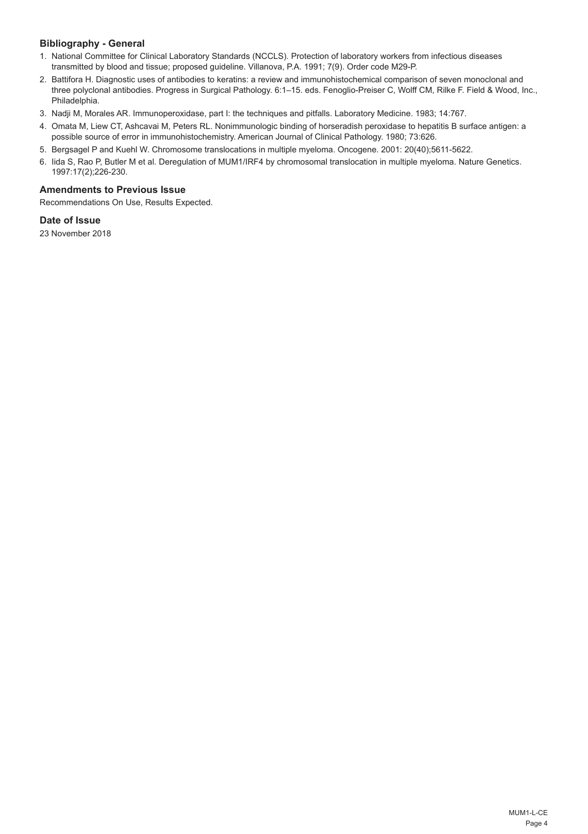# **Bibliography - General**

- 1. National Committee for Clinical Laboratory Standards (NCCLS). Protection of laboratory workers from infectious diseases transmitted by blood and tissue; proposed guideline. Villanova, P.A. 1991; 7(9). Order code M29-P.
- 2. Battifora H. Diagnostic uses of antibodies to keratins: a review and immunohistochemical comparison of seven monoclonal and three polyclonal antibodies. Progress in Surgical Pathology. 6:1–15. eds. Fenoglio-Preiser C, Wolff CM, Rilke F. Field & Wood, Inc., Philadelphia.
- 3. Nadji M, Morales AR. Immunoperoxidase, part I: the techniques and pitfalls. Laboratory Medicine. 1983; 14:767.
- 4. Omata M, Liew CT, Ashcavai M, Peters RL. Nonimmunologic binding of horseradish peroxidase to hepatitis B surface antigen: a possible source of error in immunohistochemistry. American Journal of Clinical Pathology. 1980; 73:626.
- 5. Bergsagel P and Kuehl W. Chromosome translocations in multiple myeloma. Oncogene. 2001: 20(40);5611-5622.
- 6. Iida S, Rao P, Butler M et al. Deregulation of MUM1/IRF4 by chromosomal translocation in multiple myeloma. Nature Genetics. 1997:17(2);226-230.

# **Amendments to Previous Issue**

Recommendations On Use, Results Expected.

# **Date of Issue**

23 November 2018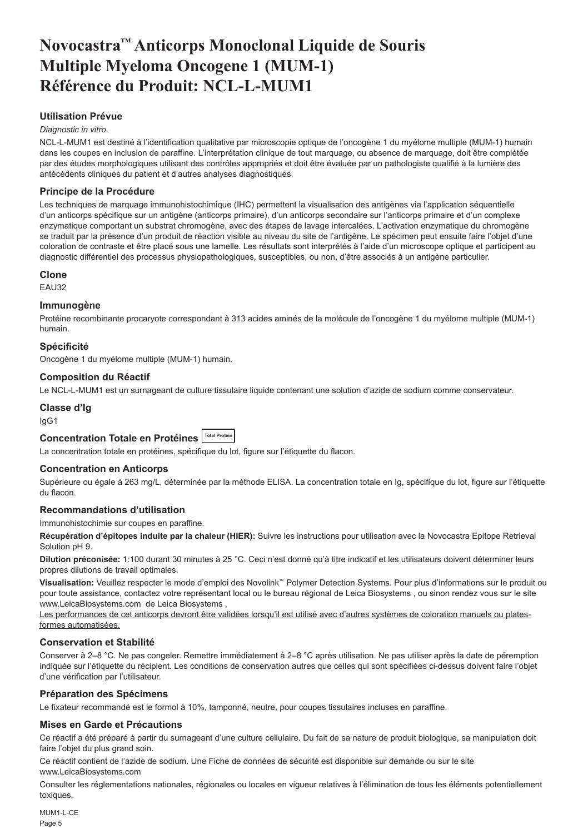# <span id="page-5-0"></span>**Novocastra™ Anticorps Monoclonal Liquide de Souris Multiple Myeloma Oncogene 1 (MUM-1) Référence du Produit: NCL-L-MUM1**

# **Utilisation Prévue**

### *Diagnostic in vitro*.

NCL-L-MUM1 est destiné à l'identification qualitative par microscopie optique de l'oncogène 1 du myélome multiple (MUM-1) humain dans les coupes en inclusion de paraffine. L'interprétation clinique de tout marquage, ou absence de marquage, doit être complétée par des études morphologiques utilisant des contrôles appropriés et doit être évaluée par un pathologiste qualifié à la lumière des antécédents cliniques du patient et d'autres analyses diagnostiques.

## **Principe de la Procédure**

Les techniques de marquage immunohistochimique (IHC) permettent la visualisation des antigènes via l'application séquentielle d'un anticorps spécifique sur un antigène (anticorps primaire), d'un anticorps secondaire sur l'anticorps primaire et d'un complexe enzymatique comportant un substrat chromogène, avec des étapes de lavage intercalées. L'activation enzymatique du chromogène se traduit par la présence d'un produit de réaction visible au niveau du site de l'antigène. Le spécimen peut ensuite faire l'objet d'une coloration de contraste et être placé sous une lamelle. Les résultats sont interprétés à l'aide d'un microscope optique et participent au diagnostic différentiel des processus physiopathologiques, susceptibles, ou non, d'être associés à un antigène particulier.

### **Clone**

EAU32

### **Immunogène**

Protéine recombinante procaryote correspondant à 313 acides aminés de la molécule de l'oncogène 1 du myélome multiple (MUM-1) humain.

## **Spécificité**

Oncogène 1 du myélome multiple (MUM-1) humain.

### **Composition du Réactif**

Le NCL-L-MUM1 est un surnageant de culture tissulaire liquide contenant une solution d'azide de sodium comme conservateur.

## **Classe d'Ig**

IgG1

# **Concentration Totale en Protéines Total Protein**

La concentration totale en protéines, spécifique du lot, figure sur l'étiquette du flacon.

### **Concentration en Anticorps**

Supérieure ou égale à 263 mg/L, déterminée par la méthode ELISA. La concentration totale en Ig, spécifique du lot, figure sur l'étiquette du flacon.

## **Recommandations d'utilisation**

Immunohistochimie sur coupes en paraffine.

**Récupération d'épitopes induite par la chaleur (HIER):** Suivre les instructions pour utilisation avec la Novocastra Epitope Retrieval Solution pH 9.

**Dilution préconisée:** 1:100 durant 30 minutes à 25 °C. Ceci n'est donné qu'à titre indicatif et les utilisateurs doivent déterminer leurs propres dilutions de travail optimales.

**Visualisation:** Veuillez respecter le mode d'emploi des Novolink™ Polymer Detection Systems. Pour plus d'informations sur le produit ou pour toute assistance, contactez votre représentant local ou le bureau régional de Leica Biosystems , ou sinon rendez vous sur le site www.LeicaBiosystems.com de Leica Biosystems .

Les performances de cet anticorps devront être validées lorsqu'il est utilisé avec d'autres systèmes de coloration manuels ou platesformes automatisées.

### **Conservation et Stabilité**

Conserver à 2–8 °C. Ne pas congeler. Remettre immédiatement à 2–8 °C après utilisation. Ne pas utiliser après la date de péremption indiquée sur l'étiquette du récipient. Les conditions de conservation autres que celles qui sont spécifiées ci-dessus doivent faire l'objet d'une vérification par l'utilisateur.

### **Préparation des Spécimens**

Le fixateur recommandé est le formol à 10%, tamponné, neutre, pour coupes tissulaires incluses en paraffine.

### **Mises en Garde et Précautions**

Ce réactif a été préparé à partir du surnageant d'une culture cellulaire. Du fait de sa nature de produit biologique, sa manipulation doit faire l'objet du plus grand soin.

Ce réactif contient de l'azide de sodium. Une Fiche de données de sécurité est disponible sur demande ou sur le site www.LeicaBiosystems.com

Consulter les réglementations nationales, régionales ou locales en vigueur relatives à l'élimination de tous les éléments potentiellement toxiques.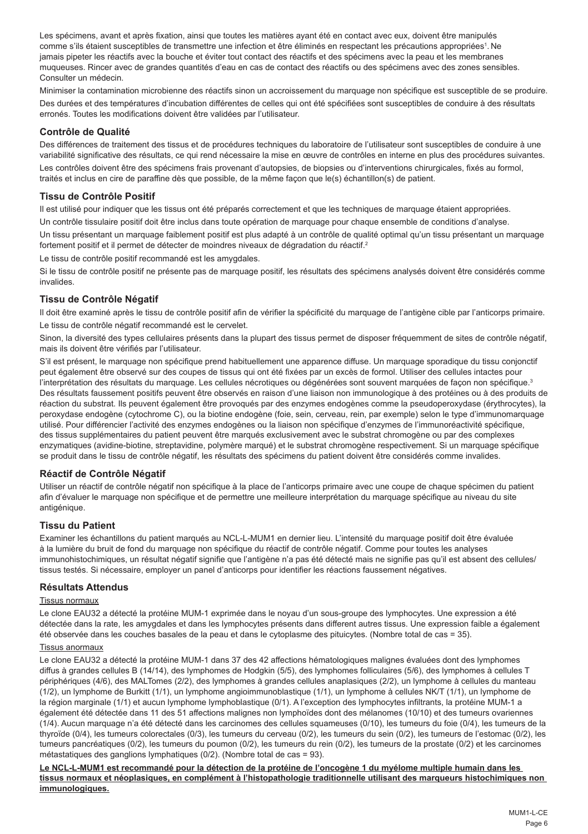Les spécimens, avant et après fixation, ainsi que toutes les matières ayant été en contact avec eux, doivent être manipulés comme s'ils étaient susceptibles de transmettre une infection et être éliminés en respectant les précautions appropriées'. Ne jamais pipeter les réactifs avec la bouche et éviter tout contact des réactifs et des spécimens avec la peau et les membranes muqueuses. Rincer avec de grandes quantités d'eau en cas de contact des réactifs ou des spécimens avec des zones sensibles. Consulter un médecin.

Minimiser la contamination microbienne des réactifs sinon un accroissement du marquage non spécifique est susceptible de se produire. Des durées et des températures d'incubation différentes de celles qui ont été spécifiées sont susceptibles de conduire à des résultats erronés. Toutes les modifications doivent être validées par l'utilisateur.

## **Contrôle de Qualité**

Des différences de traitement des tissus et de procédures techniques du laboratoire de l'utilisateur sont susceptibles de conduire à une variabilité significative des résultats, ce qui rend nécessaire la mise en œuvre de contrôles en interne en plus des procédures suivantes. Les contrôles doivent être des spécimens frais provenant d'autopsies, de biopsies ou d'interventions chirurgicales, fixés au formol, traités et inclus en cire de paraffine dès que possible, de la même façon que le(s) échantillon(s) de patient.

## **Tissu de Contrôle Positif**

Il est utilisé pour indiquer que les tissus ont été préparés correctement et que les techniques de marquage étaient appropriées. Un contrôle tissulaire positif doit être inclus dans toute opération de marquage pour chaque ensemble de conditions d'analyse.

Un tissu présentant un marquage faiblement positif est plus adapté à un contrôle de qualité optimal qu'un tissu présentant un marquage fortement positif et il permet de détecter de moindres niveaux de dégradation du réactif.<sup>2</sup>

Le tissu de contrôle positif recommandé est les amygdales.

Si le tissu de contrôle positif ne présente pas de marquage positif, les résultats des spécimens analysés doivent être considérés comme invalides.

## **Tissu de Contrôle Négatif**

Il doit être examiné après le tissu de contrôle positif afin de vérifier la spécificité du marquage de l'antigène cible par l'anticorps primaire. Le tissu de contrôle négatif recommandé est le cervelet.

Sinon, la diversité des types cellulaires présents dans la plupart des tissus permet de disposer fréquemment de sites de contrôle négatif, mais ils doivent être vérifiés par l'utilisateur.

S'il est présent, le marquage non spécifique prend habituellement une apparence diffuse. Un marquage sporadique du tissu conjonctif peut également être observé sur des coupes de tissus qui ont été fixées par un excès de formol. Utiliser des cellules intactes pour l'interprétation des résultats du marquage. Les cellules nécrotiques ou dégénérées sont souvent marquées de façon non spécifique.<sup>3</sup> Des résultats faussement positifs peuvent être observés en raison d'une liaison non immunologique à des protéines ou à des produits de réaction du substrat. Ils peuvent également être provoqués par des enzymes endogènes comme la pseudoperoxydase (érythrocytes), la peroxydase endogène (cytochrome C), ou la biotine endogène (foie, sein, cerveau, rein, par exemple) selon le type d'immunomarquage utilisé. Pour différencier l'activité des enzymes endogènes ou la liaison non spécifique d'enzymes de l'immunoréactivité spécifique, des tissus supplémentaires du patient peuvent être marqués exclusivement avec le substrat chromogène ou par des complexes enzymatiques (avidine-biotine, streptavidine, polymère marqué) et le substrat chromogène respectivement. Si un marquage spécifique se produit dans le tissu de contrôle négatif, les résultats des spécimens du patient doivent être considérés comme invalides.

## **Réactif de Contrôle Négatif**

Utiliser un réactif de contrôle négatif non spécifique à la place de l'anticorps primaire avec une coupe de chaque spécimen du patient afin d'évaluer le marquage non spécifique et de permettre une meilleure interprétation du marquage spécifique au niveau du site antigénique.

## **Tissu du Patient**

Examiner les échantillons du patient marqués au NCL-L-MUM1 en dernier lieu. L'intensité du marquage positif doit être évaluée à la lumière du bruit de fond du marquage non spécifique du réactif de contrôle négatif. Comme pour toutes les analyses immunohistochimiques, un résultat négatif signifie que l'antigène n'a pas été détecté mais ne signifie pas qu'il est absent des cellules/ tissus testés. Si nécessaire, employer un panel d'anticorps pour identifier les réactions faussement négatives.

# **Résultats Attendus**

## Tissus normaux

Le clone EAU32 a détecté la protéine MUM-1 exprimée dans le noyau d'un sous-groupe des lymphocytes. Une expression a été détectée dans la rate, les amygdales et dans les lymphocytes présents dans different autres tissus. Une expression faible a également été observée dans les couches basales de la peau et dans le cytoplasme des pituicytes. (Nombre total de cas = 35).

### Tissus anormaux

Le clone EAU32 a détecté la protéine MUM-1 dans 37 des 42 affections hématologiques malignes évaluées dont des lymphomes diffus à grandes cellules B (14/14), des lymphomes de Hodgkin (5/5), des lymphomes folliculaires (5/6), des lymphomes à cellules T périphériques (4/6), des MALTomes (2/2), des lymphomes à grandes cellules anaplasiques (2/2), un lymphome à cellules du manteau (1/2), un lymphome de Burkitt (1/1), un lymphome angioimmunoblastique (1/1), un lymphome à cellules NK/T (1/1), un lymphome de la région marginale (1/1) et aucun lymphome lymphoblastique (0/1). A l'exception des lymphocytes infiltrants, la protéine MUM-1 a également été détectée dans 11 des 51 affections malignes non lymphoïdes dont des mélanomes (10/10) et des tumeurs ovariennes (1/4). Aucun marquage n'a été détecté dans les carcinomes des cellules squameuses (0/10), les tumeurs du foie (0/4), les tumeurs de la thyroïde (0/4), les tumeurs colorectales (0/3), les tumeurs du cerveau (0/2), les tumeurs du sein (0/2), les tumeurs de l'estomac (0/2), les tumeurs pancréatiques (0/2), les tumeurs du poumon (0/2), les tumeurs du rein (0/2), les tumeurs de la prostate (0/2) et les carcinomes métastatiques des ganglions lymphatiques (0/2). (Nombre total de cas = 93).

**Le NCL-L-MUM1 est recommandé pour la détection de la protéine de l'oncogène 1 du myélome multiple humain dans les tissus normaux et néoplasiques, en complément à l'histopathologie traditionnelle utilisant des marqueurs histochimiques non immunologiques.**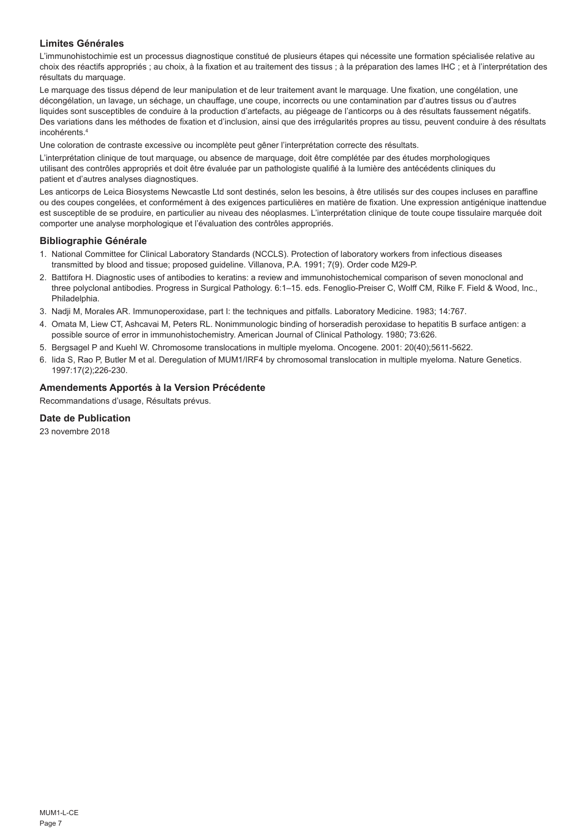# **Limites Générales**

L'immunohistochimie est un processus diagnostique constitué de plusieurs étapes qui nécessite une formation spécialisée relative au choix des réactifs appropriés ; au choix, à la fixation et au traitement des tissus ; à la préparation des lames IHC ; et à l'interprétation des résultats du marquage.

Le marquage des tissus dépend de leur manipulation et de leur traitement avant le marquage. Une fixation, une congélation, une décongélation, un lavage, un séchage, un chauffage, une coupe, incorrects ou une contamination par d'autres tissus ou d'autres liquides sont susceptibles de conduire à la production d'artefacts, au piégeage de l'anticorps ou à des résultats faussement négatifs. Des variations dans les méthodes de fixation et d'inclusion, ainsi que des irrégularités propres au tissu, peuvent conduire à des résultats incohérents.4

Une coloration de contraste excessive ou incomplète peut gêner l'interprétation correcte des résultats.

L'interprétation clinique de tout marquage, ou absence de marquage, doit être complétée par des études morphologiques utilisant des contrôles appropriés et doit être évaluée par un pathologiste qualifié à la lumière des antécédents cliniques du patient et d'autres analyses diagnostiques.

Les anticorps de Leica Biosystems Newcastle Ltd sont destinés, selon les besoins, à être utilisés sur des coupes incluses en paraffine ou des coupes congelées, et conformément à des exigences particulières en matière de fixation. Une expression antigénique inattendue est susceptible de se produire, en particulier au niveau des néoplasmes. L'interprétation clinique de toute coupe tissulaire marquée doit comporter une analyse morphologique et l'évaluation des contrôles appropriés.

## **Bibliographie Générale**

- 1. National Committee for Clinical Laboratory Standards (NCCLS). Protection of laboratory workers from infectious diseases transmitted by blood and tissue; proposed guideline. Villanova, P.A. 1991; 7(9). Order code M29-P.
- 2. Battifora H. Diagnostic uses of antibodies to keratins: a review and immunohistochemical comparison of seven monoclonal and three polyclonal antibodies. Progress in Surgical Pathology. 6:1–15. eds. Fenoglio-Preiser C, Wolff CM, Rilke F. Field & Wood, Inc., Philadelphia.
- 3. Nadji M, Morales AR. Immunoperoxidase, part I: the techniques and pitfalls. Laboratory Medicine. 1983; 14:767.
- 4. Omata M, Liew CT, Ashcavai M, Peters RL. Nonimmunologic binding of horseradish peroxidase to hepatitis B surface antigen: a possible source of error in immunohistochemistry. American Journal of Clinical Pathology. 1980; 73:626.
- 5. Bergsagel P and Kuehl W. Chromosome translocations in multiple myeloma. Oncogene. 2001: 20(40);5611-5622.
- 6. Iida S, Rao P, Butler M et al. Deregulation of MUM1/IRF4 by chromosomal translocation in multiple myeloma. Nature Genetics. 1997:17(2);226-230.

# **Amendements Apportés à la Version Précédente**

Recommandations d'usage, Résultats prévus.

# **Date de Publication**

23 novembre 2018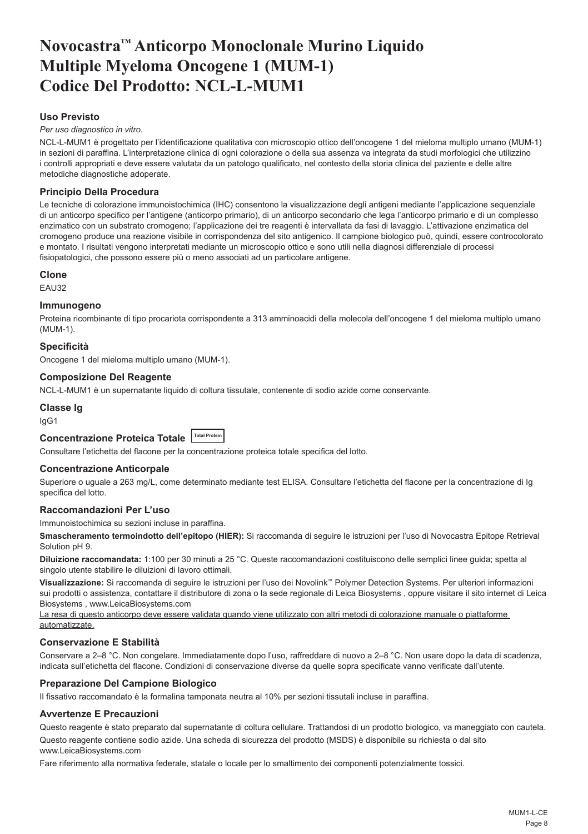# <span id="page-8-0"></span>**Novocastra™ Anticorpo Monoclonale Murino Liquido Multiple Myeloma Oncogene 1 (MUM-1) Codice Del Prodotto: NCL-L-MUM1**

# **Uso Previsto**

*Per uso diagnostico in vitro*.

NCL-L-MUM1 è progettato per l'identificazione qualitativa con microscopio ottico dell'oncogene 1 del mieloma multiplo umano (MUM-1) in sezioni di paraffina. L'interpretazione clinica di ogni colorazione o della sua assenza va integrata da studi morfologici che utilizzino i controlli appropriati e deve essere valutata da un patologo qualificato, nel contesto della storia clinica del paziente e delle altre metodiche diagnostiche adoperate.

# **Principio Della Procedura**

Le tecniche di colorazione immunoistochimica (IHC) consentono la visualizzazione degli antigeni mediante l'applicazione sequenziale di un anticorpo specifico per l'antigene (anticorpo primario), di un anticorpo secondario che lega l'anticorpo primario e di un complesso enzimatico con un substrato cromogeno; l'applicazione dei tre reagenti è intervallata da fasi di lavaggio. L'attivazione enzimatica del cromogeno produce una reazione visibile in corrispondenza del sito antigenico. Il campione biologico può, quindi, essere controcolorato e montato. I risultati vengono interpretati mediante un microscopio ottico e sono utili nella diagnosi differenziale di processi fisiopatologici, che possono essere più o meno associati ad un particolare antigene.

## **Clone**

EAU32

# **Immunogeno**

Proteina ricombinante di tipo procariota corrispondente a 313 amminoacidi della molecola dell'oncogene 1 del mieloma multiplo umano (MUM-1).

## **Specificità**

Oncogene 1 del mieloma multiplo umano (MUM-1).

## **Composizione Del Reagente**

NCL-L-MUM1 è un supernatante liquido di coltura tissutale, contenente di sodio azide come conservante.

## **Classe Ig**

IgG1

# **Concentrazione Proteica Totale Total Protein**

Consultare l'etichetta del flacone per la concentrazione proteica totale specifica del lotto.

### **Concentrazione Anticorpale**

Superiore o uguale a 263 mg/L, come determinato mediante test ELISA. Consultare l'etichetta del flacone per la concentrazione di Ig specifica del lotto.

## **Raccomandazioni Per L'uso**

Immunoistochimica su sezioni incluse in paraffina.

**Smascheramento termoindotto dell'epitopo (HIER):** Si raccomanda di seguire le istruzioni per l'uso di Novocastra Epitope Retrieval Solution pH 9.

**Diluizione raccomandata:** 1:100 per 30 minuti a 25 °C. Queste raccomandazioni costituiscono delle semplici linee guida; spetta al singolo utente stabilire le diluizioni di lavoro ottimali.

**Visualizzazione:** Si raccomanda di seguire le istruzioni per l'uso dei Novolink™ Polymer Detection Systems. Per ulteriori informazioni sui prodotti o assistenza, contattare il distributore di zona o la sede regionale di Leica Biosystems , oppure visitare il sito internet di Leica Biosystems , www.LeicaBiosystems.com

La resa di questo anticorpo deve essere validata quando viene utilizzato con altri metodi di colorazione manuale o piattaforme automatizzate.

### **Conservazione E Stabilità**

Conservare a 2–8 °C. Non congelare. Immediatamente dopo l'uso, raffreddare di nuovo a 2–8 °C. Non usare dopo la data di scadenza, indicata sull'etichetta del flacone. Condizioni di conservazione diverse da quelle sopra specificate vanno verificate dall'utente.

## **Preparazione Del Campione Biologico**

Il fissativo raccomandato è la formalina tamponata neutra al 10% per sezioni tissutali incluse in paraffina.

## **Avvertenze E Precauzioni**

Questo reagente è stato preparato dal supernatante di coltura cellulare. Trattandosi di un prodotto biologico, va maneggiato con cautela.

Questo reagente contiene sodio azide. Una scheda di sicurezza del prodotto (MSDS) è disponibile su richiesta o dal sito www.LeicaBiosystems.com

Fare riferimento alla normativa federale, statale o locale per lo smaltimento dei componenti potenzialmente tossici.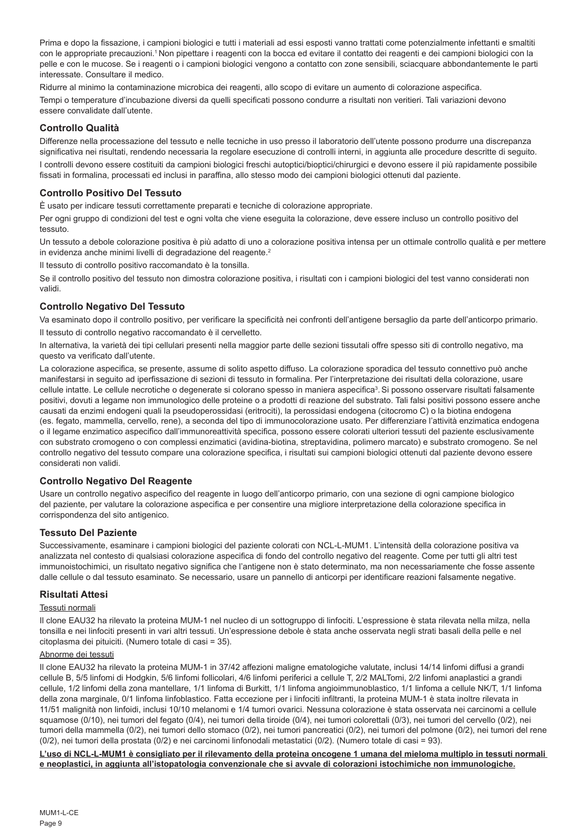Prima e dopo la fissazione, i campioni biologici e tutti i materiali ad essi esposti vanno trattati come potenzialmente infettanti e smaltiti con le appropriate precauzioni.<sup>1</sup> Non pipettare i reagenti con la bocca ed evitare il contatto dei reagenti e dei campioni biologici con la pelle e con le mucose. Se i reagenti o i campioni biologici vengono a contatto con zone sensibili, sciacquare abbondantemente le parti interessate. Consultare il medico.

Ridurre al minimo la contaminazione microbica dei reagenti, allo scopo di evitare un aumento di colorazione aspecifica. Tempi o temperature d'incubazione diversi da quelli specificati possono condurre a risultati non veritieri. Tali variazioni devono essere convalidate dall'utente.

# **Controllo Qualità**

Differenze nella processazione del tessuto e nelle tecniche in uso presso il laboratorio dell'utente possono produrre una discrepanza significativa nei risultati, rendendo necessaria la regolare esecuzione di controlli interni, in aggiunta alle procedure descritte di seguito.

I controlli devono essere costituiti da campioni biologici freschi autoptici/bioptici/chirurgici e devono essere il più rapidamente possibile fissati in formalina, processati ed inclusi in paraffina, allo stesso modo dei campioni biologici ottenuti dal paziente.

# **Controllo Positivo Del Tessuto**

È usato per indicare tessuti correttamente preparati e tecniche di colorazione appropriate.

Per ogni gruppo di condizioni del test e ogni volta che viene eseguita la colorazione, deve essere incluso un controllo positivo del tessuto.

Un tessuto a debole colorazione positiva è più adatto di uno a colorazione positiva intensa per un ottimale controllo qualità e per mettere in evidenza anche minimi livelli di degradazione del reagente.<sup>2</sup>

Il tessuto di controllo positivo raccomandato è la tonsilla.

Se il controllo positivo del tessuto non dimostra colorazione positiva, i risultati con i campioni biologici del test vanno considerati non validi.

# **Controllo Negativo Del Tessuto**

Va esaminato dopo il controllo positivo, per verificare la specificità nei confronti dell'antigene bersaglio da parte dell'anticorpo primario. Il tessuto di controllo negativo raccomandato è il cervelletto.

In alternativa, la varietà dei tipi cellulari presenti nella maggior parte delle sezioni tissutali offre spesso siti di controllo negativo, ma questo va verificato dall'utente.

La colorazione aspecifica, se presente, assume di solito aspetto diffuso. La colorazione sporadica del tessuto connettivo può anche manifestarsi in seguito ad iperfissazione di sezioni di tessuto in formalina. Per l'interpretazione dei risultati della colorazione, usare cellule intatte. Le cellule necrotiche o degenerate si colorano spesso in maniera aspecifica<sup>3</sup>. Si possono osservare risultati falsamente positivi, dovuti a legame non immunologico delle proteine o a prodotti di reazione del substrato. Tali falsi positivi possono essere anche causati da enzimi endogeni quali la pseudoperossidasi (eritrociti), la perossidasi endogena (citocromo C) o la biotina endogena (es. fegato, mammella, cervello, rene), a seconda del tipo di immunocolorazione usato. Per differenziare l'attività enzimatica endogena o il legame enzimatico aspecifico dall'immunoreattività specifica, possono essere colorati ulteriori tessuti del paziente esclusivamente con substrato cromogeno o con complessi enzimatici (avidina-biotina, streptavidina, polimero marcato) e substrato cromogeno. Se nel controllo negativo del tessuto compare una colorazione specifica, i risultati sui campioni biologici ottenuti dal paziente devono essere considerati non validi.

# **Controllo Negativo Del Reagente**

Usare un controllo negativo aspecifico del reagente in luogo dell'anticorpo primario, con una sezione di ogni campione biologico del paziente, per valutare la colorazione aspecifica e per consentire una migliore interpretazione della colorazione specifica in corrispondenza del sito antigenico.

## **Tessuto Del Paziente**

Successivamente, esaminare i campioni biologici del paziente colorati con NCL-L-MUM1. L'intensità della colorazione positiva va analizzata nel contesto di qualsiasi colorazione aspecifica di fondo del controllo negativo del reagente. Come per tutti gli altri test immunoistochimici, un risultato negativo significa che l'antigene non è stato determinato, ma non necessariamente che fosse assente dalle cellule o dal tessuto esaminato. Se necessario, usare un pannello di anticorpi per identificare reazioni falsamente negative.

## **Risultati Attesi**

### Tessuti normali

Il clone EAU32 ha rilevato la proteina MUM-1 nel nucleo di un sottogruppo di linfociti. L'espressione è stata rilevata nella milza, nella tonsilla e nei linfociti presenti in vari altri tessuti. Un'espressione debole è stata anche osservata negli strati basali della pelle e nel citoplasma dei pituiciti. (Numero totale di casi = 35).

## Abnorme dei tessuti

Il clone EAU32 ha rilevato la proteina MUM-1 in 37/42 affezioni maligne ematologiche valutate, inclusi 14/14 linfomi diffusi a grandi cellule B, 5/5 linfomi di Hodgkin, 5/6 linfomi follicolari, 4/6 linfomi periferici a cellule T, 2/2 MALTomi, 2/2 linfomi anaplastici a grandi cellule, 1/2 linfomi della zona mantellare, 1/1 linfoma di Burkitt, 1/1 linfoma angioimmunoblastico, 1/1 linfoma a cellule NK/T, 1/1 linfoma della zona marginale, 0/1 linfoma linfoblastico. Fatta eccezione per i linfociti infiltranti, la proteina MUM-1 è stata inoltre rilevata in 11/51 malignità non linfoidi, inclusi 10/10 melanomi e 1/4 tumori ovarici. Nessuna colorazione è stata osservata nei carcinomi a cellule squamose (0/10), nei tumori del fegato (0/4), nei tumori della tiroide (0/4), nei tumori colorettali (0/3), nei tumori del cervello (0/2), nei tumori della mammella (0/2), nei tumori dello stomaco (0/2), nei tumori pancreatici (0/2), nei tumori del polmone (0/2), nei tumori del rene (0/2), nei tumori della prostata (0/2) e nei carcinomi linfonodali metastatici (0/2). (Numero totale di casi = 93).

**L'uso di NCL-L-MUM1 è consigliato per il rilevamento della proteina oncogene 1 umana del mieloma multiplo in tessuti normali e neoplastici, in aggiunta all'istopatologia convenzionale che si avvale di colorazioni istochimiche non immunologiche.**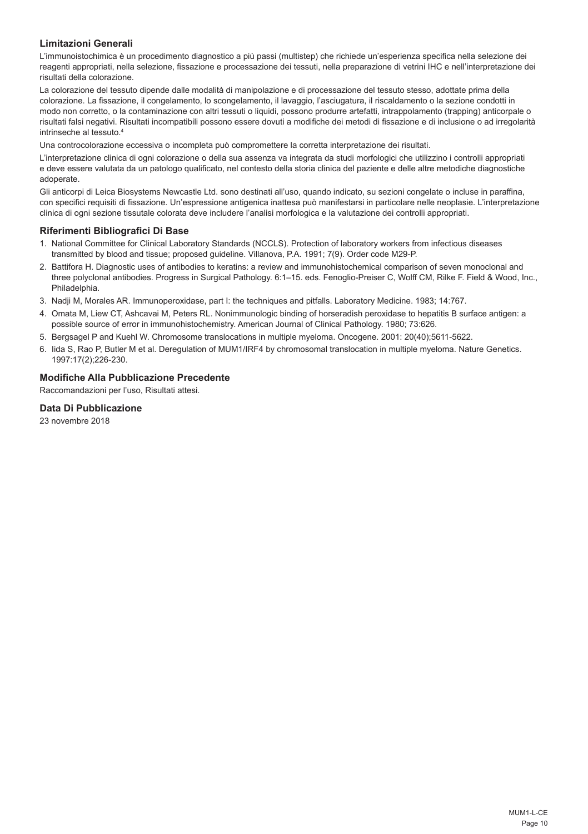# **Limitazioni Generali**

L'immunoistochimica è un procedimento diagnostico a più passi (multistep) che richiede un'esperienza specifica nella selezione dei reagenti appropriati, nella selezione, fissazione e processazione dei tessuti, nella preparazione di vetrini IHC e nell'interpretazione dei risultati della colorazione.

La colorazione del tessuto dipende dalle modalità di manipolazione e di processazione del tessuto stesso, adottate prima della colorazione. La fissazione, il congelamento, lo scongelamento, il lavaggio, l'asciugatura, il riscaldamento o la sezione condotti in modo non corretto, o la contaminazione con altri tessuti o liquidi, possono produrre artefatti, intrappolamento (trapping) anticorpale o risultati falsi negativi. Risultati incompatibili possono essere dovuti a modifiche dei metodi di fissazione e di inclusione o ad irregolarità intrinseche al tessuto.4

Una controcolorazione eccessiva o incompleta può compromettere la corretta interpretazione dei risultati.

L'interpretazione clinica di ogni colorazione o della sua assenza va integrata da studi morfologici che utilizzino i controlli appropriati e deve essere valutata da un patologo qualificato, nel contesto della storia clinica del paziente e delle altre metodiche diagnostiche adoperate.

Gli anticorpi di Leica Biosystems Newcastle Ltd. sono destinati all'uso, quando indicato, su sezioni congelate o incluse in paraffina, con specifici requisiti di fissazione. Un'espressione antigenica inattesa può manifestarsi in particolare nelle neoplasie. L'interpretazione clinica di ogni sezione tissutale colorata deve includere l'analisi morfologica e la valutazione dei controlli appropriati.

## **Riferimenti Bibliografici Di Base**

- 1. National Committee for Clinical Laboratory Standards (NCCLS). Protection of laboratory workers from infectious diseases transmitted by blood and tissue; proposed guideline. Villanova, P.A. 1991; 7(9). Order code M29-P.
- 2. Battifora H. Diagnostic uses of antibodies to keratins: a review and immunohistochemical comparison of seven monoclonal and three polyclonal antibodies. Progress in Surgical Pathology. 6:1–15. eds. Fenoglio-Preiser C, Wolff CM, Rilke F. Field & Wood, Inc., Philadelphia.
- 3. Nadji M, Morales AR. Immunoperoxidase, part I: the techniques and pitfalls. Laboratory Medicine. 1983; 14:767.
- 4. Omata M, Liew CT, Ashcavai M, Peters RL. Nonimmunologic binding of horseradish peroxidase to hepatitis B surface antigen: a possible source of error in immunohistochemistry. American Journal of Clinical Pathology. 1980; 73:626.
- 5. Bergsagel P and Kuehl W. Chromosome translocations in multiple myeloma. Oncogene. 2001: 20(40);5611-5622.
- 6. Iida S, Rao P, Butler M et al. Deregulation of MUM1/IRF4 by chromosomal translocation in multiple myeloma. Nature Genetics. 1997:17(2);226-230.

# **Modifiche Alla Pubblicazione Precedente**

Raccomandazioni per l'uso, Risultati attesi.

## **Data Di Pubblicazione**

23 novembre 2018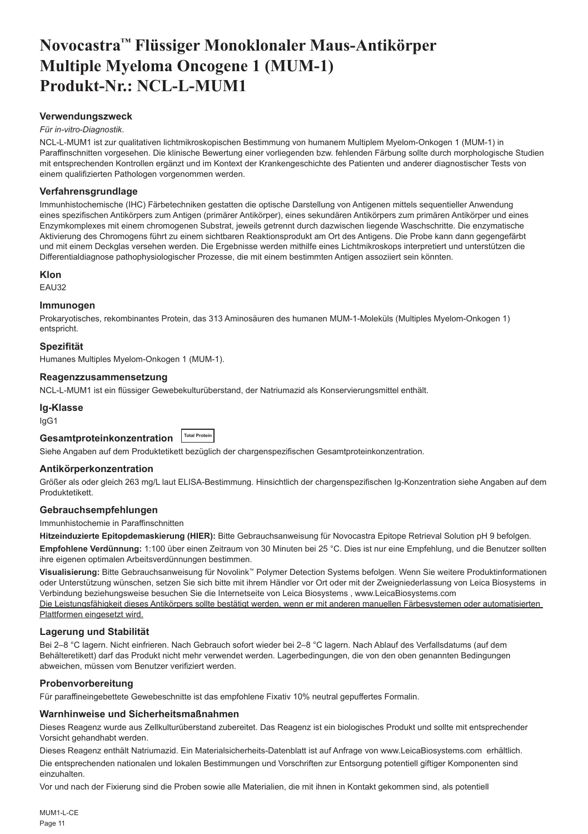# <span id="page-11-0"></span>**Novocastra™ Flüssiger Monoklonaler Maus-Antikörper Multiple Myeloma Oncogene 1 (MUM-1) Produkt-Nr.: NCL-L-MUM1**

## **Verwendungszweck**

#### *Für in-vitro-Diagnostik*.

NCL-L-MUM1 ist zur qualitativen lichtmikroskopischen Bestimmung von humanem Multiplem Myelom-Onkogen 1 (MUM-1) in Paraffinschnitten vorgesehen. Die klinische Bewertung einer vorliegenden bzw. fehlenden Färbung sollte durch morphologische Studien mit entsprechenden Kontrollen ergänzt und im Kontext der Krankengeschichte des Patienten und anderer diagnostischer Tests von einem qualifizierten Pathologen vorgenommen werden.

## **Verfahrensgrundlage**

Immunhistochemische (IHC) Färbetechniken gestatten die optische Darstellung von Antigenen mittels sequentieller Anwendung eines spezifischen Antikörpers zum Antigen (primärer Antikörper), eines sekundären Antikörpers zum primären Antikörper und eines Enzymkomplexes mit einem chromogenen Substrat, jeweils getrennt durch dazwischen liegende Waschschritte. Die enzymatische Aktivierung des Chromogens führt zu einem sichtbaren Reaktionsprodukt am Ort des Antigens. Die Probe kann dann gegengefärbt und mit einem Deckglas versehen werden. Die Ergebnisse werden mithilfe eines Lichtmikroskops interpretiert und unterstützen die Differentialdiagnose pathophysiologischer Prozesse, die mit einem bestimmten Antigen assoziiert sein könnten.

### **Klon**

EAU32

# **Immunogen**

Prokaryotisches, rekombinantes Protein, das 313 Aminosäuren des humanen MUM-1-Moleküls (Multiples Myelom-Onkogen 1) entspricht.

### **Spezifität**

Humanes Multiples Myelom-Onkogen 1 (MUM-1).

## **Reagenzzusammensetzung**

NCL-L-MUM1 ist ein flüssiger Gewebekulturüberstand, der Natriumazid als Konservierungsmittel enthält.

### **Ig-Klasse**

IgG1

# **Gesamtproteinkonzentration Total Protein**

Siehe Angaben auf dem Produktetikett bezüglich der chargenspezifischen Gesamtproteinkonzentration.

### **Antikörperkonzentration**

Größer als oder gleich 263 mg/L laut ELISA-Bestimmung. Hinsichtlich der chargenspezifischen Ig-Konzentration siehe Angaben auf dem Produktetikett.

### **Gebrauchsempfehlungen**

Immunhistochemie in Paraffinschnitten

**Hitzeinduzierte Epitopdemaskierung (HIER):** Bitte Gebrauchsanweisung für Novocastra Epitope Retrieval Solution pH 9 befolgen.

**Empfohlene Verdünnung:** 1:100 über einen Zeitraum von 30 Minuten bei 25 °C. Dies ist nur eine Empfehlung, und die Benutzer sollten ihre eigenen optimalen Arbeitsverdünnungen bestimmen.

**Visualisierung:** Bitte Gebrauchsanweisung für Novolink™ Polymer Detection Systems befolgen. Wenn Sie weitere Produktinformationen oder Unterstützung wünschen, setzen Sie sich bitte mit ihrem Händler vor Ort oder mit der Zweigniederlassung von Leica Biosystems in Verbindung beziehungsweise besuchen Sie die Internetseite von Leica Biosystems , www.LeicaBiosystems.com Die Leistungsfähigkeit dieses Antikörpers sollte bestätigt werden, wenn er mit anderen manuellen Färbesystemen oder automatisierten

Plattformen eingesetzt wird.

# **Lagerung und Stabilität**

Bei 2–8 °C lagern. Nicht einfrieren. Nach Gebrauch sofort wieder bei 2–8 °C lagern. Nach Ablauf des Verfallsdatums (auf dem Behälteretikett) darf das Produkt nicht mehr verwendet werden. Lagerbedingungen, die von den oben genannten Bedingungen abweichen, müssen vom Benutzer verifiziert werden.

## **Probenvorbereitung**

Für paraffineingebettete Gewebeschnitte ist das empfohlene Fixativ 10% neutral gepuffertes Formalin.

### **Warnhinweise und Sicherheitsmaßnahmen**

Dieses Reagenz wurde aus Zellkulturüberstand zubereitet. Das Reagenz ist ein biologisches Produkt und sollte mit entsprechender Vorsicht gehandhabt werden.

Dieses Reagenz enthält Natriumazid. Ein Materialsicherheits-Datenblatt ist auf Anfrage von www.LeicaBiosystems.com erhältlich.

Die entsprechenden nationalen und lokalen Bestimmungen und Vorschriften zur Entsorgung potentiell giftiger Komponenten sind einzuhalten.

Vor und nach der Fixierung sind die Proben sowie alle Materialien, die mit ihnen in Kontakt gekommen sind, als potentiell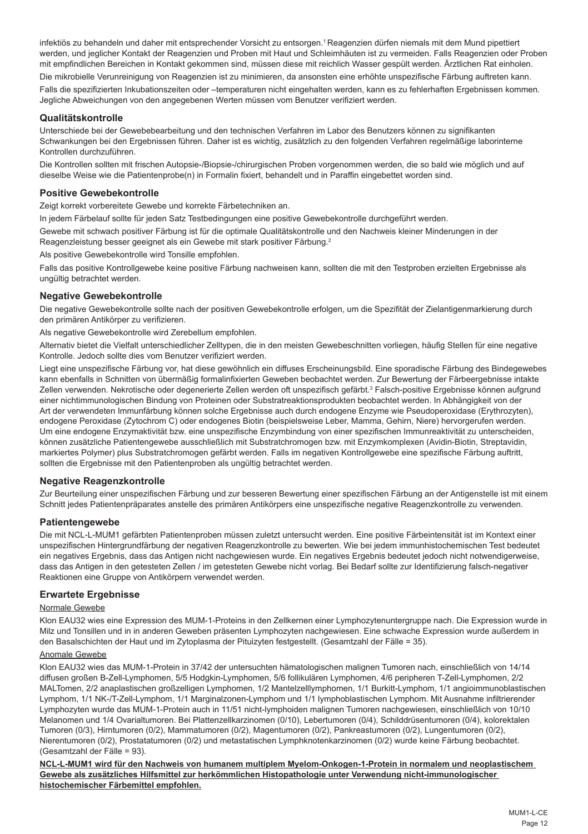infektiös zu behandeln und daher mit entsprechender Vorsicht zu entsorgen.<sup>1</sup> Reagenzien dürfen niemals mit dem Mund pipettiert werden, und jeglicher Kontakt der Reagenzien und Proben mit Haut und Schleimhäuten ist zu vermeiden. Falls Reagenzien oder Proben mit empfindlichen Bereichen in Kontakt gekommen sind, müssen diese mit reichlich Wasser gespült werden. Ärztlichen Rat einholen. Die mikrobielle Verunreinigung von Reagenzien ist zu minimieren, da ansonsten eine erhöhte unspezifische Färbung auftreten kann. Falls die spezifizierten Inkubationszeiten oder –temperaturen nicht eingehalten werden, kann es zu fehlerhaften Ergebnissen kommen.

## **Qualitätskontrolle**

Unterschiede bei der Gewebebearbeitung und den technischen Verfahren im Labor des Benutzers können zu signifikanten Schwankungen bei den Ergebnissen führen. Daher ist es wichtig, zusätzlich zu den folgenden Verfahren regelmäßige laborinterne Kontrollen durchzuführen.

Die Kontrollen sollten mit frischen Autopsie-/Biopsie-/chirurgischen Proben vorgenommen werden, die so bald wie möglich und auf dieselbe Weise wie die Patientenprobe(n) in Formalin fixiert, behandelt und in Paraffin eingebettet worden sind.

## **Positive Gewebekontrolle**

Zeigt korrekt vorbereitete Gewebe und korrekte Färbetechniken an.

In jedem Färbelauf sollte für jeden Satz Testbedingungen eine positive Gewebekontrolle durchgeführt werden.

Jegliche Abweichungen von den angegebenen Werten müssen vom Benutzer verifiziert werden.

Gewebe mit schwach positiver Färbung ist für die optimale Qualitätskontrolle und den Nachweis kleiner Minderungen in der Reagenzleistung besser geeignet als ein Gewebe mit stark positiver Färbung.<sup>2</sup>

Als positive Gewebekontrolle wird Tonsille empfohlen.

Falls das positive Kontrollgewebe keine positive Färbung nachweisen kann, sollten die mit den Testproben erzielten Ergebnisse als ungültig betrachtet werden.

## **Negative Gewebekontrolle**

Die negative Gewebekontrolle sollte nach der positiven Gewebekontrolle erfolgen, um die Spezifität der Zielantigenmarkierung durch den primären Antikörper zu verifizieren.

Als negative Gewebekontrolle wird Zerebellum empfohlen.

Alternativ bietet die Vielfalt unterschiedlicher Zelltypen, die in den meisten Gewebeschnitten vorliegen, häufig Stellen für eine negative Kontrolle. Jedoch sollte dies vom Benutzer verifiziert werden.

Liegt eine unspezifische Färbung vor, hat diese gewöhnlich ein diffuses Erscheinungsbild. Eine sporadische Färbung des Bindegewebes kann ebenfalls in Schnitten von übermäßig formalinfixierten Geweben beobachtet werden. Zur Bewertung der Färbeergebnisse intakte Zellen verwenden. Nekrotische oder degenerierte Zellen werden oft unspezifisch gefärbt.<sup>3</sup> Falsch-positive Ergebnisse können aufgrund einer nichtimmunologischen Bindung von Proteinen oder Substratreaktionsprodukten beobachtet werden. In Abhängigkeit von der Art der verwendeten Immunfärbung können solche Ergebnisse auch durch endogene Enzyme wie Pseudoperoxidase (Erythrozyten), endogene Peroxidase (Zytochrom C) oder endogenes Biotin (beispielsweise Leber, Mamma, Gehirn, Niere) hervorgerufen werden. Um eine endogene Enzymaktivität bzw. eine unspezifische Enzymbindung von einer spezifischen Immunreaktivität zu unterscheiden, können zusätzliche Patientengewebe ausschließlich mit Substratchromogen bzw. mit Enzymkomplexen (Avidin-Biotin, Streptavidin, markiertes Polymer) plus Substratchromogen gefärbt werden. Falls im negativen Kontrollgewebe eine spezifische Färbung auftritt, sollten die Ergebnisse mit den Patientenproben als ungültig betrachtet werden.

## **Negative Reagenzkontrolle**

Zur Beurteilung einer unspezifischen Färbung und zur besseren Bewertung einer spezifischen Färbung an der Antigenstelle ist mit einem Schnitt jedes Patientenpräparates anstelle des primären Antikörpers eine unspezifische negative Reagenzkontrolle zu verwenden.

### **Patientengewebe**

Die mit NCL-L-MUM1 gefärbten Patientenproben müssen zuletzt untersucht werden. Eine positive Färbeintensität ist im Kontext einer unspezifischen Hintergrundfärbung der negativen Reagenzkontrolle zu bewerten. Wie bei jedem immunhistochemischen Test bedeutet ein negatives Ergebnis, dass das Antigen nicht nachgewiesen wurde. Ein negatives Ergebnis bedeutet jedoch nicht notwendigerweise, dass das Antigen in den getesteten Zellen / im getesteten Gewebe nicht vorlag. Bei Bedarf sollte zur Identifizierung falsch-negativer Reaktionen eine Gruppe von Antikörpern verwendet werden.

### **Erwartete Ergebnisse**

### Normale Gewebe

Klon EAU32 wies eine Expression des MUM-1-Proteins in den Zellkernen einer Lymphozytenuntergruppe nach. Die Expression wurde in Milz und Tonsillen und in in anderen Geweben präsenten Lymphozyten nachgewiesen. Eine schwache Expression wurde außerdem in den Basalschichten der Haut und im Zytoplasma der Pituizyten festgestellt. (Gesamtzahl der Fälle = 35).

## Anomale Gewebe

Klon EAU32 wies das MUM-1-Protein in 37/42 der untersuchten hämatologischen malignen Tumoren nach, einschließlich von 14/14 diffusen großen B-Zell-Lymphomen, 5/5 Hodgkin-Lymphomen, 5/6 follikulären Lymphomen, 4/6 peripheren T-Zell-Lymphomen, 2/2 MALTomen, 2/2 anaplastischen großzelligen Lymphomen, 1/2 Mantelzelllymphomen, 1/1 Burkitt-Lymphom, 1/1 angioimmunoblastischen Lymphom, 1/1 NK-/T-Zell-Lymphom, 1/1 Marginalzonen-Lymphom und 1/1 lymphoblastischen Lymphom. Mit Ausnahme infiltrierender Lymphozyten wurde das MUM-1-Protein auch in 11/51 nicht-lymphoiden malignen Tumoren nachgewiesen, einschließlich von 10/10 Melanomen und 1/4 Ovarialtumoren. Bei Plattenzellkarzinomen (0/10), Lebertumoren (0/4), Schilddrüsentumoren (0/4), kolorektalen Tumoren (0/3), Hirntumoren (0/2), Mammatumoren (0/2), Magentumoren (0/2), Pankreastumoren (0/2), Lungentumoren (0/2), Nierentumoren (0/2), Prostatatumoren (0/2) und metastatischen Lymphknotenkarzinomen (0/2) wurde keine Färbung beobachtet. (Gesamtzahl der Fälle = 93).

**NCL-L-MUM1 wird für den Nachweis von humanem multiplem Myelom-Onkogen-1-Protein in normalem und neoplastischem Gewebe als zusätzliches Hilfsmittel zur herkömmlichen Histopathologie unter Verwendung nicht-immunologischer histochemischer Färbemittel empfohlen.**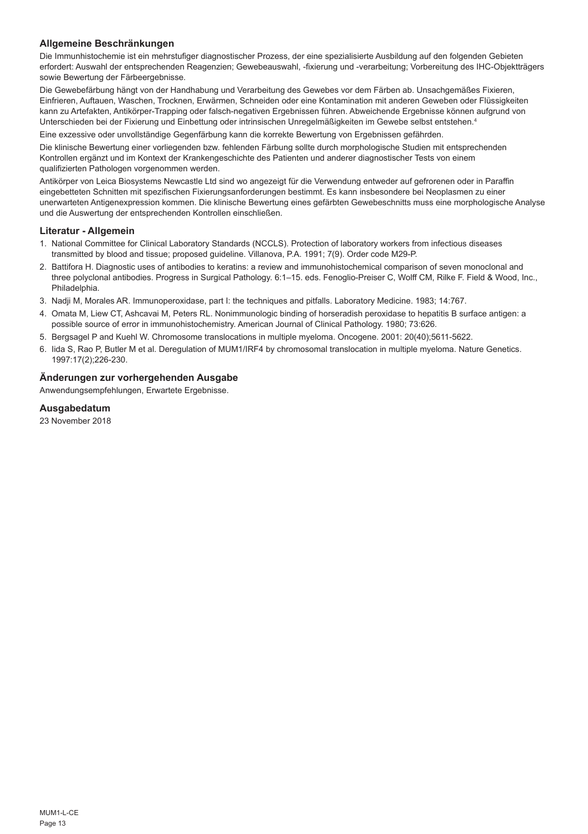# **Allgemeine Beschränkungen**

Die Immunhistochemie ist ein mehrstufiger diagnostischer Prozess, der eine spezialisierte Ausbildung auf den folgenden Gebieten erfordert: Auswahl der entsprechenden Reagenzien; Gewebeauswahl, -fixierung und -verarbeitung; Vorbereitung des IHC-Objektträgers sowie Bewertung der Färbeergebnisse.

Die Gewebefärbung hängt von der Handhabung und Verarbeitung des Gewebes vor dem Färben ab. Unsachgemäßes Fixieren, Einfrieren, Auftauen, Waschen, Trocknen, Erwärmen, Schneiden oder eine Kontamination mit anderen Geweben oder Flüssigkeiten kann zu Artefakten, Antikörper-Trapping oder falsch-negativen Ergebnissen führen. Abweichende Ergebnisse können aufgrund von Unterschieden bei der Fixierung und Einbettung oder intrinsischen Unregelmäßigkeiten im Gewebe selbst entstehen.4

Eine exzessive oder unvollständige Gegenfärbung kann die korrekte Bewertung von Ergebnissen gefährden.

Die klinische Bewertung einer vorliegenden bzw. fehlenden Färbung sollte durch morphologische Studien mit entsprechenden Kontrollen ergänzt und im Kontext der Krankengeschichte des Patienten und anderer diagnostischer Tests von einem qualifizierten Pathologen vorgenommen werden.

Antikörper von Leica Biosystems Newcastle Ltd sind wo angezeigt für die Verwendung entweder auf gefrorenen oder in Paraffin eingebetteten Schnitten mit spezifischen Fixierungsanforderungen bestimmt. Es kann insbesondere bei Neoplasmen zu einer unerwarteten Antigenexpression kommen. Die klinische Bewertung eines gefärbten Gewebeschnitts muss eine morphologische Analyse und die Auswertung der entsprechenden Kontrollen einschließen.

## **Literatur - Allgemein**

- 1. National Committee for Clinical Laboratory Standards (NCCLS). Protection of laboratory workers from infectious diseases transmitted by blood and tissue; proposed guideline. Villanova, P.A. 1991; 7(9). Order code M29-P.
- 2. Battifora H. Diagnostic uses of antibodies to keratins: a review and immunohistochemical comparison of seven monoclonal and three polyclonal antibodies. Progress in Surgical Pathology. 6:1–15. eds. Fenoglio-Preiser C, Wolff CM, Rilke F. Field & Wood, Inc., Philadelphia.
- 3. Nadji M, Morales AR. Immunoperoxidase, part I: the techniques and pitfalls. Laboratory Medicine. 1983; 14:767.
- 4. Omata M, Liew CT, Ashcavai M, Peters RL. Nonimmunologic binding of horseradish peroxidase to hepatitis B surface antigen: a possible source of error in immunohistochemistry. American Journal of Clinical Pathology. 1980; 73:626.
- 5. Bergsagel P and Kuehl W. Chromosome translocations in multiple myeloma. Oncogene. 2001: 20(40);5611-5622.
- 6. Iida S, Rao P, Butler M et al. Deregulation of MUM1/IRF4 by chromosomal translocation in multiple myeloma. Nature Genetics. 1997:17(2);226-230.

# **Änderungen zur vorhergehenden Ausgabe**

Anwendungsempfehlungen, Erwartete Ergebnisse.

## **Ausgabedatum**

23 November 2018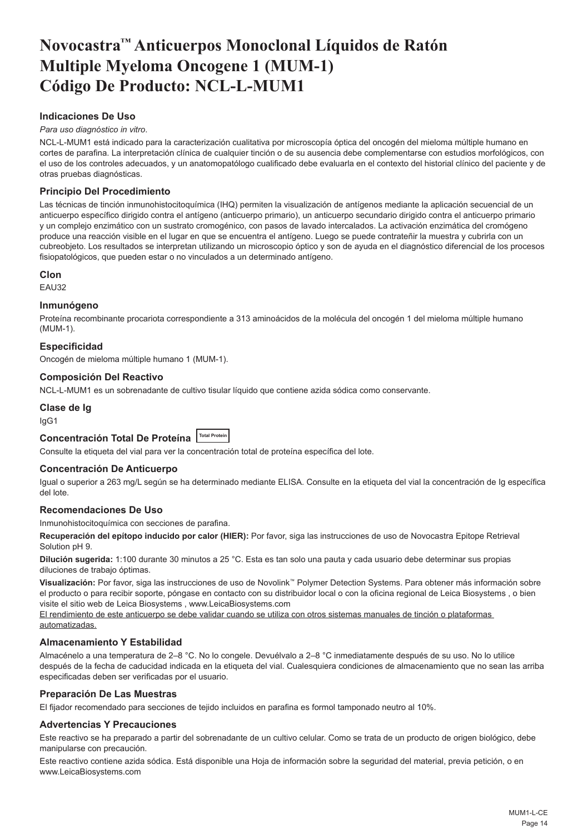# <span id="page-14-0"></span>**Novocastra™ Anticuerpos Monoclonal Líquidos de Ratón Multiple Myeloma Oncogene 1 (MUM-1) Código De Producto: NCL-L-MUM1**

# **Indicaciones De Uso**

## *Para uso diagnóstico in vitro*.

NCL-L-MUM1 está indicado para la caracterización cualitativa por microscopía óptica del oncogén del mieloma múltiple humano en cortes de parafina. La interpretación clínica de cualquier tinción o de su ausencia debe complementarse con estudios morfológicos, con el uso de los controles adecuados, y un anatomopatólogo cualificado debe evaluarla en el contexto del historial clínico del paciente y de otras pruebas diagnósticas.

# **Principio Del Procedimiento**

Las técnicas de tinción inmunohistocitoquímica (IHQ) permiten la visualización de antígenos mediante la aplicación secuencial de un anticuerpo específico dirigido contra el antígeno (anticuerpo primario), un anticuerpo secundario dirigido contra el anticuerpo primario y un complejo enzimático con un sustrato cromogénico, con pasos de lavado intercalados. La activación enzimática del cromógeno produce una reacción visible en el lugar en que se encuentra el antígeno. Luego se puede contrateñir la muestra y cubrirla con un cubreobjeto. Los resultados se interpretan utilizando un microscopio óptico y son de ayuda en el diagnóstico diferencial de los procesos fisiopatológicos, que pueden estar o no vinculados a un determinado antígeno.

## **Clon**

EAU32

## **Inmunógeno**

Proteína recombinante procariota correspondiente a 313 aminoácidos de la molécula del oncogén 1 del mieloma múltiple humano (MUM-1).

## **Especificidad**

Oncogén de mieloma múltiple humano 1 (MUM-1).

# **Composición Del Reactivo**

NCL-L-MUM1 es un sobrenadante de cultivo tisular líquido que contiene azida sódica como conservante.

## **Clase de Ig**

IgG1

# **Concentración Total De Proteína Total Protein**

Consulte la etiqueta del vial para ver la concentración total de proteína específica del lote.

### **Concentración De Anticuerpo**

Igual o superior a 263 mg/L según se ha determinado mediante ELISA. Consulte en la etiqueta del vial la concentración de Ig específica del lote.

## **Recomendaciones De Uso**

Inmunohistocitoquímica con secciones de parafina.

**Recuperación del epítopo inducido por calor (HIER):** Por favor, siga las instrucciones de uso de Novocastra Epitope Retrieval Solution pH 9.

**Dilución sugerida:** 1:100 durante 30 minutos a 25 °C. Esta es tan solo una pauta y cada usuario debe determinar sus propias diluciones de trabajo óptimas.

**Visualización:** Por favor, siga las instrucciones de uso de Novolink™ Polymer Detection Systems. Para obtener más información sobre el producto o para recibir soporte, póngase en contacto con su distribuidor local o con la oficina regional de Leica Biosystems , o bien visite el sitio web de Leica Biosystems , www.LeicaBiosystems.com

El rendimiento de este anticuerpo se debe validar cuando se utiliza con otros sistemas manuales de tinción o plataformas automatizadas.

### **Almacenamiento Y Estabilidad**

Almacénelo a una temperatura de 2–8 °C. No lo congele. Devuélvalo a 2–8 °C inmediatamente después de su uso. No lo utilice después de la fecha de caducidad indicada en la etiqueta del vial. Cualesquiera condiciones de almacenamiento que no sean las arriba especificadas deben ser verificadas por el usuario.

## **Preparación De Las Muestras**

El fijador recomendado para secciones de tejido incluidos en parafina es formol tamponado neutro al 10%.

## **Advertencias Y Precauciones**

Este reactivo se ha preparado a partir del sobrenadante de un cultivo celular. Como se trata de un producto de origen biológico, debe manipularse con precaución.

Este reactivo contiene azida sódica. Está disponible una Hoja de información sobre la seguridad del material, previa petición, o en www.LeicaBiosystems.com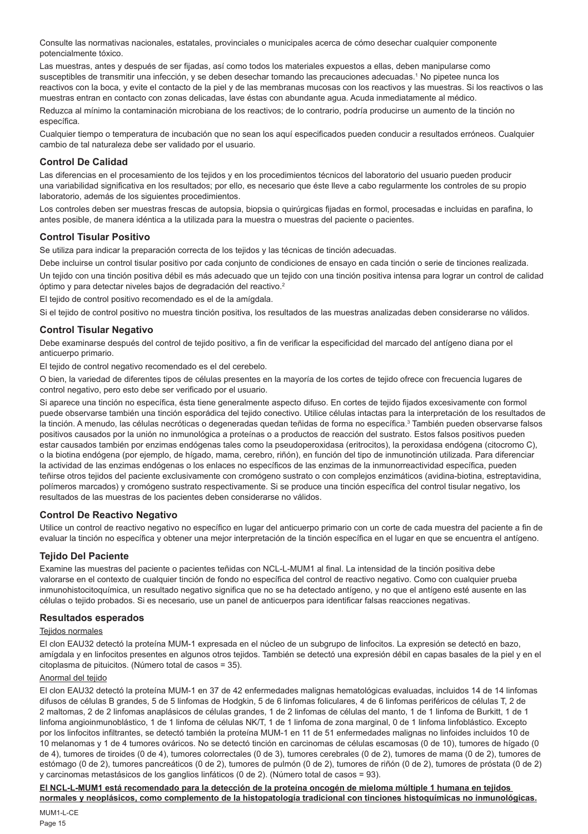Consulte las normativas nacionales, estatales, provinciales o municipales acerca de cómo desechar cualquier componente potencialmente tóxico.

Las muestras, antes y después de ser fijadas, así como todos los materiales expuestos a ellas, deben manipularse como susceptibles de transmitir una infección, y se deben desechar tomando las precauciones adecuadas.<sup>1</sup> No pipetee nunca los reactivos con la boca, y evite el contacto de la piel y de las membranas mucosas con los reactivos y las muestras. Si los reactivos o las muestras entran en contacto con zonas delicadas, lave éstas con abundante agua. Acuda inmediatamente al médico.

Reduzca al mínimo la contaminación microbiana de los reactivos; de lo contrario, podría producirse un aumento de la tinción no específica.

Cualquier tiempo o temperatura de incubación que no sean los aquí especificados pueden conducir a resultados erróneos. Cualquier cambio de tal naturaleza debe ser validado por el usuario.

# **Control De Calidad**

Las diferencias en el procesamiento de los tejidos y en los procedimientos técnicos del laboratorio del usuario pueden producir una variabilidad significativa en los resultados; por ello, es necesario que éste lleve a cabo regularmente los controles de su propio laboratorio, además de los siguientes procedimientos.

Los controles deben ser muestras frescas de autopsia, biopsia o quirúrgicas fijadas en formol, procesadas e incluidas en parafina, lo antes posible, de manera idéntica a la utilizada para la muestra o muestras del paciente o pacientes.

## **Control Tisular Positivo**

Se utiliza para indicar la preparación correcta de los tejidos y las técnicas de tinción adecuadas.

Debe incluirse un control tisular positivo por cada conjunto de condiciones de ensayo en cada tinción o serie de tinciones realizada.

Un tejido con una tinción positiva débil es más adecuado que un tejido con una tinción positiva intensa para lograr un control de calidad óptimo y para detectar niveles bajos de degradación del reactivo.<sup>2</sup>

El tejido de control positivo recomendado es el de la amígdala.

Si el tejido de control positivo no muestra tinción positiva, los resultados de las muestras analizadas deben considerarse no válidos.

## **Control Tisular Negativo**

Debe examinarse después del control de tejido positivo, a fin de verificar la especificidad del marcado del antígeno diana por el anticuerpo primario.

El tejido de control negativo recomendado es el del cerebelo.

O bien, la variedad de diferentes tipos de células presentes en la mayoría de los cortes de tejido ofrece con frecuencia lugares de control negativo, pero esto debe ser verificado por el usuario.

Si aparece una tinción no específica, ésta tiene generalmente aspecto difuso. En cortes de tejido fijados excesivamente con formol puede observarse también una tinción esporádica del tejido conectivo. Utilice células intactas para la interpretación de los resultados de la tinción. A menudo, las células necróticas o degeneradas quedan teñidas de forma no específica.<sup>3</sup> También pueden observarse falsos positivos causados por la unión no inmunológica a proteínas o a productos de reacción del sustrato. Estos falsos positivos pueden estar causados también por enzimas endógenas tales como la pseudoperoxidasa (eritrocitos), la peroxidasa endógena (citocromo C), o la biotina endógena (por ejemplo, de hígado, mama, cerebro, riñón), en función del tipo de inmunotinción utilizada. Para diferenciar la actividad de las enzimas endógenas o los enlaces no específicos de las enzimas de la inmunorreactividad específica, pueden teñirse otros tejidos del paciente exclusivamente con cromógeno sustrato o con complejos enzimáticos (avidina-biotina, estreptavidina, polímeros marcados) y cromógeno sustrato respectivamente. Si se produce una tinción específica del control tisular negativo, los resultados de las muestras de los pacientes deben considerarse no válidos.

## **Control De Reactivo Negativo**

Utilice un control de reactivo negativo no específico en lugar del anticuerpo primario con un corte de cada muestra del paciente a fin de evaluar la tinción no específica y obtener una mejor interpretación de la tinción específica en el lugar en que se encuentra el antígeno.

## **Tejido Del Paciente**

Examine las muestras del paciente o pacientes teñidas con NCL-L-MUM1 al final. La intensidad de la tinción positiva debe valorarse en el contexto de cualquier tinción de fondo no específica del control de reactivo negativo. Como con cualquier prueba inmunohistocitoquímica, un resultado negativo significa que no se ha detectado antígeno, y no que el antígeno esté ausente en las células o tejido probados. Si es necesario, use un panel de anticuerpos para identificar falsas reacciones negativas.

## **Resultados esperados**

## Teiidos normales

El clon EAU32 detectó la proteína MUM-1 expresada en el núcleo de un subgrupo de linfocitos. La expresión se detectó en bazo, amígdala y en linfocitos presentes en algunos otros tejidos. También se detectó una expresión débil en capas basales de la piel y en el citoplasma de pituicitos. (Número total de casos = 35).

# Anormal del tejido

El clon EAU32 detectó la proteína MUM-1 en 37 de 42 enfermedades malignas hematológicas evaluadas, incluidos 14 de 14 linfomas difusos de células B grandes, 5 de 5 linfomas de Hodgkin, 5 de 6 linfomas foliculares, 4 de 6 linfomas periféricos de células T, 2 de 2 maltomas, 2 de 2 linfomas anaplásicos de células grandes, 1 de 2 linfomas de células del manto, 1 de 1 linfoma de Burkitt, 1 de 1 linfoma angioinmunoblástico, 1 de 1 linfoma de células NK/T, 1 de 1 linfoma de zona marginal, 0 de 1 linfoma linfoblástico. Excepto por los linfocitos infiltrantes, se detectó también la proteína MUM-1 en 11 de 51 enfermedades malignas no linfoides incluidos 10 de 10 melanomas y 1 de 4 tumores ováricos. No se detectó tinción en carcinomas de células escamosas (0 de 10), tumores de hígado (0 de 4), tumores de tiroides (0 de 4), tumores colorrectales (0 de 3), tumores cerebrales (0 de 2), tumores de mama (0 de 2), tumores de estómago (0 de 2), tumores pancreáticos (0 de 2), tumores de pulmón (0 de 2), tumores de riñón (0 de 2), tumores de próstata (0 de 2) y carcinomas metastásicos de los ganglios linfáticos (0 de 2). (Número total de casos = 93).

**El NCL-L-MUM1 está recomendado para la detección de la proteína oncogén de mieloma múltiple 1 humana en tejidos normales y neoplásicos, como complemento de la histopatología tradicional con tinciones histoquímicas no inmunológicas.**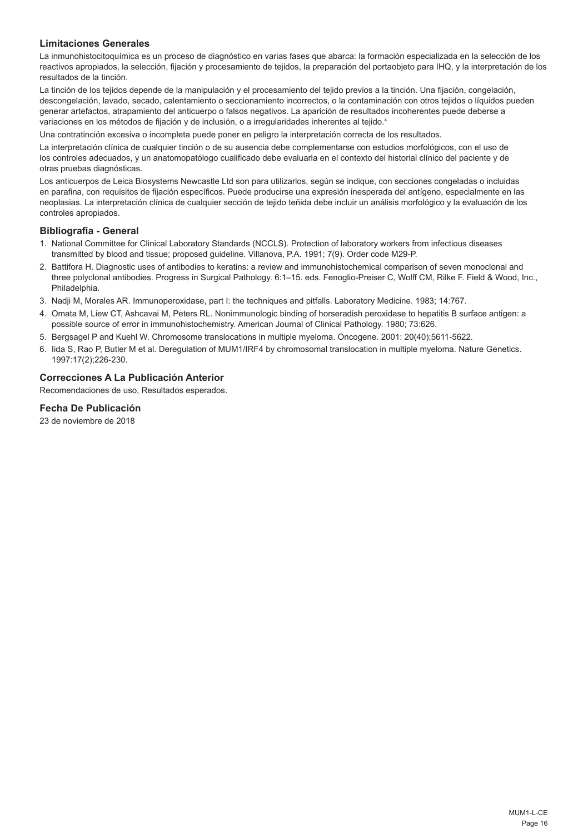# **Limitaciones Generales**

La inmunohistocitoquímica es un proceso de diagnóstico en varias fases que abarca: la formación especializada en la selección de los reactivos apropiados, la selección, fijación y procesamiento de tejidos, la preparación del portaobjeto para IHQ, y la interpretación de los resultados de la tinción.

La tinción de los tejidos depende de la manipulación y el procesamiento del tejido previos a la tinción. Una fijación, congelación, descongelación, lavado, secado, calentamiento o seccionamiento incorrectos, o la contaminación con otros tejidos o líquidos pueden generar artefactos, atrapamiento del anticuerpo o falsos negativos. La aparición de resultados incoherentes puede deberse a variaciones en los métodos de fijación y de inclusión, o a irregularidades inherentes al tejido.4

Una contratinción excesiva o incompleta puede poner en peligro la interpretación correcta de los resultados.

La interpretación clínica de cualquier tinción o de su ausencia debe complementarse con estudios morfológicos, con el uso de los controles adecuados, y un anatomopatólogo cualificado debe evaluarla en el contexto del historial clínico del paciente y de otras pruebas diagnósticas.

Los anticuerpos de Leica Biosystems Newcastle Ltd son para utilizarlos, según se indique, con secciones congeladas o incluidas en parafina, con requisitos de fijación específicos. Puede producirse una expresión inesperada del antígeno, especialmente en las neoplasias. La interpretación clínica de cualquier sección de tejido teñida debe incluir un análisis morfológico y la evaluación de los controles apropiados.

## **Bibliografía - General**

- 1. National Committee for Clinical Laboratory Standards (NCCLS). Protection of laboratory workers from infectious diseases transmitted by blood and tissue; proposed guideline. Villanova, P.A. 1991; 7(9). Order code M29-P.
- 2. Battifora H. Diagnostic uses of antibodies to keratins: a review and immunohistochemical comparison of seven monoclonal and three polyclonal antibodies. Progress in Surgical Pathology. 6:1–15. eds. Fenoglio-Preiser C, Wolff CM, Rilke F. Field & Wood, Inc., Philadelphia.
- 3. Nadji M, Morales AR. Immunoperoxidase, part I: the techniques and pitfalls. Laboratory Medicine. 1983; 14:767.
- 4. Omata M, Liew CT, Ashcavai M, Peters RL. Nonimmunologic binding of horseradish peroxidase to hepatitis B surface antigen: a possible source of error in immunohistochemistry. American Journal of Clinical Pathology. 1980; 73:626.
- 5. Bergsagel P and Kuehl W. Chromosome translocations in multiple myeloma. Oncogene. 2001: 20(40);5611-5622.
- 6. Iida S, Rao P, Butler M et al. Deregulation of MUM1/IRF4 by chromosomal translocation in multiple myeloma. Nature Genetics. 1997:17(2);226-230.

# **Correcciones A La Publicación Anterior**

Recomendaciones de uso, Resultados esperados.

## **Fecha De Publicación**

23 de noviembre de 2018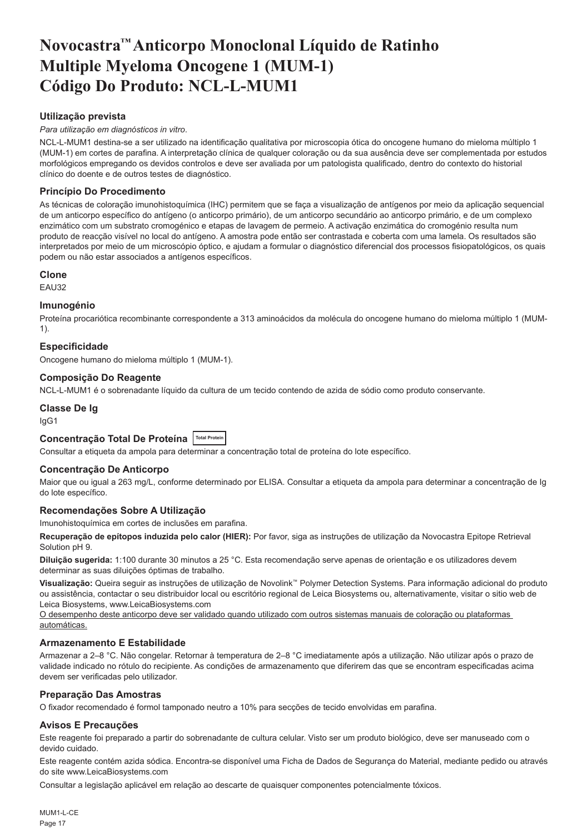# <span id="page-17-0"></span>**Novocastra™ Anticorpo Monoclonal Líquido de Ratinho Multiple Myeloma Oncogene 1 (MUM-1) Código Do Produto: NCL-L-MUM1**

# **Utilização prevista**

## *Para utilização em diagnósticos in vitro*.

NCL-L-MUM1 destina-se a ser utilizado na identificação qualitativa por microscopia ótica do oncogene humano do mieloma múltiplo 1 (MUM-1) em cortes de parafina. A interpretação clínica de qualquer coloração ou da sua ausência deve ser complementada por estudos morfológicos empregando os devidos controlos e deve ser avaliada por um patologista qualificado, dentro do contexto do historial clínico do doente e de outros testes de diagnóstico.

# **Princípio Do Procedimento**

As técnicas de coloração imunohistoquímica (IHC) permitem que se faça a visualização de antígenos por meio da aplicação sequencial de um anticorpo específico do antígeno (o anticorpo primário), de um anticorpo secundário ao anticorpo primário, e de um complexo enzimático com um substrato cromogénico e etapas de lavagem de permeio. A activação enzimática do cromogénio resulta num produto de reacção visível no local do antígeno. A amostra pode então ser contrastada e coberta com uma lamela. Os resultados são interpretados por meio de um microscópio óptico, e ajudam a formular o diagnóstico diferencial dos processos fisiopatológicos, os quais podem ou não estar associados a antígenos específicos.

## **Clone**

EAU32

## **Imunogénio**

Proteína procariótica recombinante correspondente a 313 aminoácidos da molécula do oncogene humano do mieloma múltiplo 1 (MUM-1).

## **Especificidade**

Oncogene humano do mieloma múltiplo 1 (MUM-1).

# **Composição Do Reagente**

NCL-L-MUM1 é o sobrenadante líquido da cultura de um tecido contendo de azida de sódio como produto conservante.

## **Classe De Ig**

IgG1

# **Concentração Total De Proteína Total Protein**

Consultar a etiqueta da ampola para determinar a concentração total de proteína do lote específico.

### **Concentração De Anticorpo**

Maior que ou igual a 263 mg/L, conforme determinado por ELISA. Consultar a etiqueta da ampola para determinar a concentração de Ig do lote específico.

## **Recomendações Sobre A Utilização**

Imunohistoquímica em cortes de inclusões em parafina.

**Recuperação de epítopos induzida pelo calor (HIER):** Por favor, siga as instruções de utilização da Novocastra Epitope Retrieval Solution pH 9.

**Diluição sugerida:** 1:100 durante 30 minutos a 25 °C. Esta recomendação serve apenas de orientação e os utilizadores devem determinar as suas diluições óptimas de trabalho.

**Visualização:** Queira seguir as instruções de utilização de Novolink™ Polymer Detection Systems. Para informação adicional do produto ou assistência, contactar o seu distribuidor local ou escritório regional de Leica Biosystems ou, alternativamente, visitar o sitio web de Leica Biosystems, www.LeicaBiosystems.com

O desempenho deste anticorpo deve ser validado quando utilizado com outros sistemas manuais de coloração ou plataformas automáticas.

### **Armazenamento E Estabilidade**

Armazenar a 2–8 °C. Não congelar. Retornar à temperatura de 2–8 °C imediatamente após a utilização. Não utilizar após o prazo de validade indicado no rótulo do recipiente. As condições de armazenamento que diferirem das que se encontram especificadas acima devem ser verificadas pelo utilizador.

## **Preparação Das Amostras**

O fixador recomendado é formol tamponado neutro a 10% para secções de tecido envolvidas em parafina.

### **Avisos E Precauções**

Este reagente foi preparado a partir do sobrenadante de cultura celular. Visto ser um produto biológico, deve ser manuseado com o devido cuidado.

Este reagente contém azida sódica. Encontra-se disponível uma Ficha de Dados de Segurança do Material, mediante pedido ou através do site www.LeicaBiosystems.com

Consultar a legislação aplicável em relação ao descarte de quaisquer componentes potencialmente tóxicos.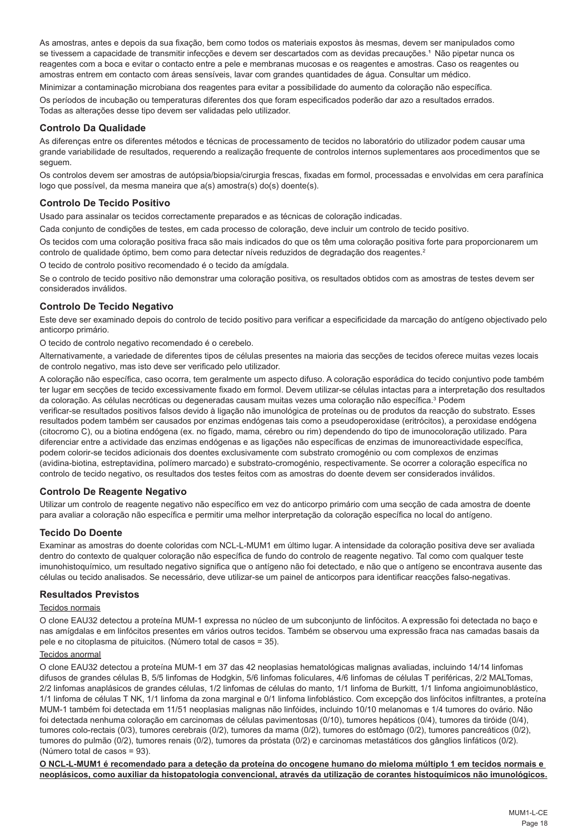As amostras, antes e depois da sua fixação, bem como todos os materiais expostos às mesmas, devem ser manipulados como se tivessem a capacidade de transmitir infecções e devem ser descartados com as devidas precauções.<sup>1</sup> Não pipetar nunca os reagentes com a boca e evitar o contacto entre a pele e membranas mucosas e os reagentes e amostras. Caso os reagentes ou amostras entrem em contacto com áreas sensíveis, lavar com grandes quantidades de água. Consultar um médico.

Minimizar a contaminação microbiana dos reagentes para evitar a possibilidade do aumento da coloração não específica. Os períodos de incubação ou temperaturas diferentes dos que foram especificados poderão dar azo a resultados errados. Todas as alterações desse tipo devem ser validadas pelo utilizador.

# **Controlo Da Qualidade**

As diferenças entre os diferentes métodos e técnicas de processamento de tecidos no laboratório do utilizador podem causar uma grande variabilidade de resultados, requerendo a realização frequente de controlos internos suplementares aos procedimentos que se seguem.

Os controlos devem ser amostras de autópsia/biopsia/cirurgia frescas, fixadas em formol, processadas e envolvidas em cera parafínica logo que possível, da mesma maneira que a(s) amostra(s) do(s) doente(s).

## **Controlo De Tecido Positivo**

Usado para assinalar os tecidos correctamente preparados e as técnicas de coloração indicadas.

Cada conjunto de condições de testes, em cada processo de coloração, deve incluir um controlo de tecido positivo.

Os tecidos com uma coloração positiva fraca são mais indicados do que os têm uma coloração positiva forte para proporcionarem um controlo de qualidade óptimo, bem como para detectar níveis reduzidos de degradação dos reagentes.<sup>2</sup>

O tecido de controlo positivo recomendado é o tecido da amígdala.

Se o controlo de tecido positivo não demonstrar uma coloração positiva, os resultados obtidos com as amostras de testes devem ser considerados inválidos.

# **Controlo De Tecido Negativo**

Este deve ser examinado depois do controlo de tecido positivo para verificar a especificidade da marcação do antígeno objectivado pelo anticorpo primário.

O tecido de controlo negativo recomendado é o cerebelo.

Alternativamente, a variedade de diferentes tipos de células presentes na maioria das secções de tecidos oferece muitas vezes locais de controlo negativo, mas isto deve ser verificado pelo utilizador.

A coloração não específica, caso ocorra, tem geralmente um aspecto difuso. A coloração esporádica do tecido conjuntivo pode também ter lugar em secções de tecido excessivamente fixado em formol. Devem utilizar-se células intactas para a interpretação dos resultados da coloração. As células necróticas ou degeneradas causam muitas vezes uma coloração não específica.<sup>3</sup> Podem

verificar-se resultados positivos falsos devido à ligação não imunológica de proteínas ou de produtos da reacção do substrato. Esses resultados podem também ser causados por enzimas endógenas tais como a pseudoperoxidase (eritrócitos), a peroxidase endógena (citocromo C), ou a biotina endógena (ex. no fígado, mama, cérebro ou rim) dependendo do tipo de imunocoloração utilizado. Para diferenciar entre a actividade das enzimas endógenas e as ligações não específicas de enzimas de imunoreactividade específica, podem colorir-se tecidos adicionais dos doentes exclusivamente com substrato cromogénio ou com complexos de enzimas (avidina-biotina, estreptavidina, polímero marcado) e substrato-cromogénio, respectivamente. Se ocorrer a coloração específica no controlo de tecido negativo, os resultados dos testes feitos com as amostras do doente devem ser considerados inválidos.

## **Controlo De Reagente Negativo**

Utilizar um controlo de reagente negativo não específico em vez do anticorpo primário com uma secção de cada amostra de doente para avaliar a coloração não específica e permitir uma melhor interpretação da coloração específica no local do antígeno.

## **Tecido Do Doente**

Examinar as amostras do doente coloridas com NCL-L-MUM1 em último lugar. A intensidade da coloração positiva deve ser avaliada dentro do contexto de qualquer coloração não específica de fundo do controlo de reagente negativo. Tal como com qualquer teste imunohistoquímico, um resultado negativo significa que o antígeno não foi detectado, e não que o antígeno se encontrava ausente das células ou tecido analisados. Se necessário, deve utilizar-se um painel de anticorpos para identificar reacções falso-negativas.

### **Resultados Previstos**

## Tecidos normais

O clone EAU32 detectou a proteína MUM-1 expressa no núcleo de um subconjunto de linfócitos. A expressão foi detectada no baço e nas amígdalas e em linfócitos presentes em vários outros tecidos. Também se observou uma expressão fraca nas camadas basais da pele e no citoplasma de pituicitos. (Número total de casos = 35).

## Tecidos anormal

O clone EAU32 detectou a proteína MUM-1 em 37 das 42 neoplasias hematológicas malignas avaliadas, incluindo 14/14 linfomas difusos de grandes células B, 5/5 linfomas de Hodgkin, 5/6 linfomas foliculares, 4/6 linfomas de células T periféricas, 2/2 MALTomas, 2/2 linfomas anaplásicos de grandes células, 1/2 linfomas de células do manto, 1/1 linfoma de Burkitt, 1/1 linfoma angioimunoblástico, 1/1 linfoma de células T NK, 1/1 linfoma da zona marginal e 0/1 linfoma linfoblástico. Com excepção dos linfócitos infiltrantes, a proteína MUM-1 também foi detectada em 11/51 neoplasias malignas não linfóides, incluindo 10/10 melanomas e 1/4 tumores do ovário. Não foi detectada nenhuma coloração em carcinomas de células pavimentosas (0/10), tumores hepáticos (0/4), tumores da tiróide (0/4), tumores colo-rectais (0/3), tumores cerebrais (0/2), tumores da mama (0/2), tumores do estômago (0/2), tumores pancreáticos (0/2), tumores do pulmão (0/2), tumores renais (0/2), tumores da próstata (0/2) e carcinomas metastáticos dos gânglios linfáticos (0/2). (Número total de casos = 93).

**O NCL-L-MUM1 é recomendado para a deteção da proteína do oncogene humano do mieloma múltiplo 1 em tecidos normais e neoplásicos, como auxiliar da histopatologia convencional, através da utilização de corantes histoquímicos não imunológicos.**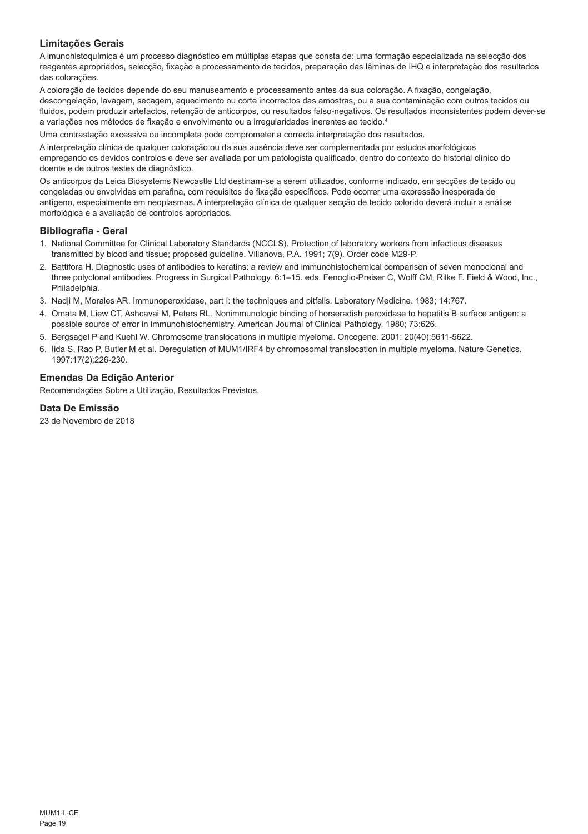# **Limitações Gerais**

A imunohistoquímica é um processo diagnóstico em múltiplas etapas que consta de: uma formação especializada na selecção dos reagentes apropriados, selecção, fixação e processamento de tecidos, preparação das lâminas de IHQ e interpretação dos resultados das colorações.

A coloração de tecidos depende do seu manuseamento e processamento antes da sua coloração. A fixação, congelação, descongelação, lavagem, secagem, aquecimento ou corte incorrectos das amostras, ou a sua contaminação com outros tecidos ou fluidos, podem produzir artefactos, retenção de anticorpos, ou resultados falso-negativos. Os resultados inconsistentes podem dever-se a variações nos métodos de fixação e envolvimento ou a irregularidades inerentes ao tecido.4

Uma contrastação excessiva ou incompleta pode comprometer a correcta interpretação dos resultados.

A interpretação clínica de qualquer coloração ou da sua ausência deve ser complementada por estudos morfológicos empregando os devidos controlos e deve ser avaliada por um patologista qualificado, dentro do contexto do historial clínico do doente e de outros testes de diagnóstico.

Os anticorpos da Leica Biosystems Newcastle Ltd destinam-se a serem utilizados, conforme indicado, em secções de tecido ou congeladas ou envolvidas em parafina, com requisitos de fixação específicos. Pode ocorrer uma expressão inesperada de antígeno, especialmente em neoplasmas. A interpretação clínica de qualquer secção de tecido colorido deverá incluir a análise morfológica e a avaliação de controlos apropriados.

## **Bibliografia - Geral**

- 1. National Committee for Clinical Laboratory Standards (NCCLS). Protection of laboratory workers from infectious diseases transmitted by blood and tissue; proposed guideline. Villanova, P.A. 1991; 7(9). Order code M29-P.
- 2. Battifora H. Diagnostic uses of antibodies to keratins: a review and immunohistochemical comparison of seven monoclonal and three polyclonal antibodies. Progress in Surgical Pathology. 6:1–15. eds. Fenoglio-Preiser C, Wolff CM, Rilke F. Field & Wood, Inc., Philadelphia.
- 3. Nadji M, Morales AR. Immunoperoxidase, part I: the techniques and pitfalls. Laboratory Medicine. 1983; 14:767.
- 4. Omata M, Liew CT, Ashcavai M, Peters RL. Nonimmunologic binding of horseradish peroxidase to hepatitis B surface antigen: a possible source of error in immunohistochemistry. American Journal of Clinical Pathology. 1980; 73:626.
- 5. Bergsagel P and Kuehl W. Chromosome translocations in multiple myeloma. Oncogene. 2001: 20(40);5611-5622.
- 6. Iida S, Rao P, Butler M et al. Deregulation of MUM1/IRF4 by chromosomal translocation in multiple myeloma. Nature Genetics. 1997:17(2);226-230.

# **Emendas Da Edição Anterior**

Recomendações Sobre a Utilização, Resultados Previstos.

## **Data De Emissão**

23 de Novembro de 2018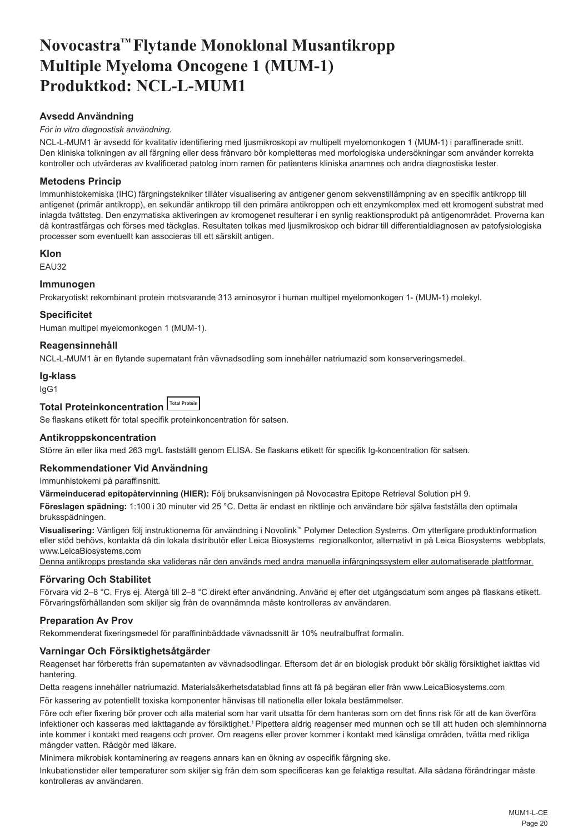# <span id="page-20-0"></span>**Novocastra™ Flytande Monoklonal Musantikropp Multiple Myeloma Oncogene 1 (MUM-1) Produktkod: NCL-L-MUM1**

# **Avsedd Användning**

# *För in vitro diagnostisk användning*.

NCL-L-MUM1 är avsedd för kvalitativ identifiering med ljusmikroskopi av multipelt myelomonkogen 1 (MUM-1) i paraffinerade snitt. Den kliniska tolkningen av all färgning eller dess frånvaro bör kompletteras med morfologiska undersökningar som använder korrekta kontroller och utvärderas av kvalificerad patolog inom ramen för patientens kliniska anamnes och andra diagnostiska tester.

# **Metodens Princip**

Immunhistokemiska (IHC) färgningstekniker tillåter visualisering av antigener genom sekvenstillämpning av en specifik antikropp till antigenet (primär antikropp), en sekundär antikropp till den primära antikroppen och ett enzymkomplex med ett kromogent substrat med inlagda tvättsteg. Den enzymatiska aktiveringen av kromogenet resulterar i en synlig reaktionsprodukt på antigenområdet. Proverna kan då kontrastfärgas och förses med täckglas. Resultaten tolkas med ljusmikroskop och bidrar till differentialdiagnosen av patofysiologiska processer som eventuellt kan associeras till ett särskilt antigen.

# **Klon**

EAU32

## **Immunogen**

Prokaryotiskt rekombinant protein motsvarande 313 aminosyror i human multipel myelomonkogen 1- (MUM-1) molekyl.

# **Specificitet**

Human multipel myelomonkogen 1 (MUM-1).

# **Reagensinnehåll**

NCL-L-MUM1 är en flytande supernatant från vävnadsodling som innehåller natriumazid som konserveringsmedel.

### **Ig-klass**

IgG1

#### **Total Proteinkoncentration Total Protein**

Se flaskans etikett för total specifik proteinkoncentration för satsen.

## **Antikroppskoncentration**

Större än eller lika med 263 mg/L fastställt genom ELISA. Se flaskans etikett för specifik Ig-koncentration för satsen.

## **Rekommendationer Vid Användning**

Immunhistokemi på paraffinsnitt.

**Värmeinducerad epitopåtervinning (HIER):** Följ bruksanvisningen på Novocastra Epitope Retrieval Solution pH 9.

**Föreslagen spädning:** 1:100 i 30 minuter vid 25 °C. Detta är endast en riktlinje och användare bör själva fastställa den optimala bruksspädningen.

**Visualisering:** Vänligen följ instruktionerna för användning i Novolink™ Polymer Detection Systems. Om ytterligare produktinformation eller stöd behövs, kontakta då din lokala distributör eller Leica Biosystems regionalkontor, alternativt in på Leica Biosystems webbplats, www.LeicaBiosystems.com

Denna antikropps prestanda ska valideras när den används med andra manuella infärgningssystem eller automatiserade plattformar.

## **Förvaring Och Stabilitet**

Förvara vid 2–8 °C. Frys ej. Återgå till 2–8 °C direkt efter användning. Använd ej efter det utgångsdatum som anges på flaskans etikett. Förvaringsförhållanden som skiljer sig från de ovannämnda måste kontrolleras av användaren.

# **Preparation Av Prov**

Rekommenderat fixeringsmedel för paraffininbäddade vävnadssnitt är 10% neutralbuffrat formalin.

## **Varningar Och Försiktighetsåtgärder**

Reagenset har förberetts från supernatanten av vävnadsodlingar. Eftersom det är en biologisk produkt bör skälig försiktighet iakttas vid hantering.

Detta reagens innehåller natriumazid. Materialsäkerhetsdatablad finns att få på begäran eller från www.LeicaBiosystems.com

För kassering av potentiellt toxiska komponenter hänvisas till nationella eller lokala bestämmelser.

Före och efter fixering bör prover och alla material som har varit utsatta för dem hanteras som om det finns risk för att de kan överföra infektioner och kasseras med iakttagande av försiktighet.<sup>1</sup> Pipettera aldrig reagenser med munnen och se till att huden och slemhinnorna inte kommer i kontakt med reagens och prover. Om reagens eller prover kommer i kontakt med känsliga områden, tvätta med rikliga mängder vatten. Rådgör med läkare.

Minimera mikrobisk kontaminering av reagens annars kan en ökning av ospecifik färgning ske.

Inkubationstider eller temperaturer som skiljer sig från dem som specificeras kan ge felaktiga resultat. Alla sådana förändringar måste kontrolleras av användaren.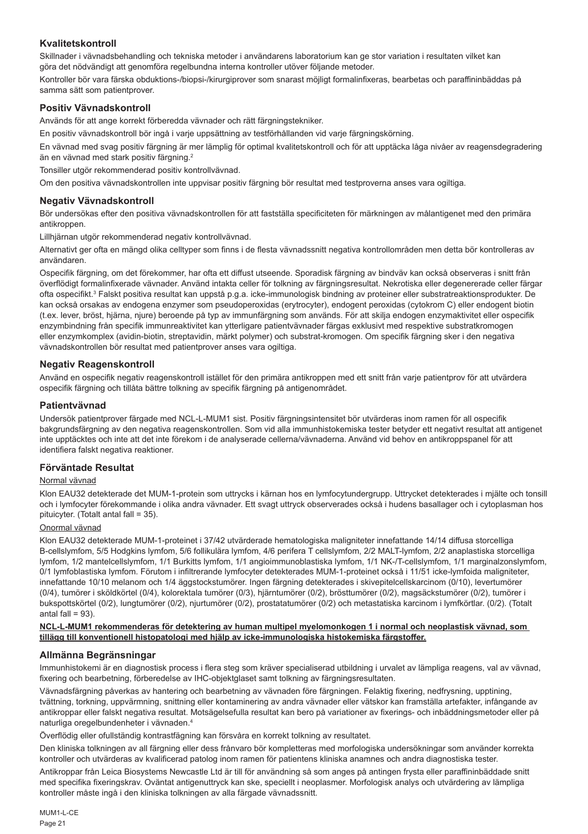# **Kvalitetskontroll**

Skillnader i vävnadsbehandling och tekniska metoder i användarens laboratorium kan ge stor variation i resultaten vilket kan göra det nödvändigt att genomföra regelbundna interna kontroller utöver följande metoder.

Kontroller bör vara färska obduktions-/biopsi-/kirurgiprover som snarast möjligt formalinfixeras, bearbetas och paraffininbäddas på samma sätt som patientprover.

## **Positiv Vävnadskontroll**

Används för att ange korrekt förberedda vävnader och rätt färgningstekniker.

En positiv vävnadskontroll bör ingå i varje uppsättning av testförhållanden vid varje färgningskörning.

En vävnad med svag positiv färgning är mer lämplig för optimal kvalitetskontroll och för att upptäcka låga nivåer av reagensdegradering än en vävnad med stark positiv färgning.<sup>2</sup>

Tonsiller utgör rekommenderad positiv kontrollvävnad.

Om den positiva vävnadskontrollen inte uppvisar positiv färgning bör resultat med testproverna anses vara ogiltiga.

## **Negativ Vävnadskontroll**

Bör undersökas efter den positiva vävnadskontrollen för att fastställa specificiteten för märkningen av målantigenet med den primära antikroppen.

Lillhjärnan utgör rekommenderad negativ kontrollvävnad.

Alternativt ger ofta en mängd olika celltyper som finns i de flesta vävnadssnitt negativa kontrollområden men detta bör kontrolleras av användaren.

Ospecifik färgning, om det förekommer, har ofta ett diffust utseende. Sporadisk färgning av bindväv kan också observeras i snitt från överflödigt formalinfixerade vävnader. Använd intakta celler för tolkning av färgningsresultat. Nekrotiska eller degenererade celler färgar ofta ospecifikt.<sup>3</sup> Falskt positiva resultat kan uppstå p.g.a. icke-immunologisk bindning av proteiner eller substratreaktionsprodukter. De kan också orsakas av endogena enzymer som pseudoperoxidas (erytrocyter), endogent peroxidas (cytokrom C) eller endogent biotin (t.ex. lever, bröst, hjärna, njure) beroende på typ av immunfärgning som används. För att skilja endogen enzymaktivitet eller ospecifik enzymbindning från specifik immunreaktivitet kan ytterligare patientvävnader färgas exklusivt med respektive substratkromogen eller enzymkomplex (avidin-biotin, streptavidin, märkt polymer) och substrat-kromogen. Om specifik färgning sker i den negativa vävnadskontrollen bör resultat med patientprover anses vara ogiltiga.

# **Negativ Reagenskontroll**

Använd en ospecifik negativ reagenskontroll istället för den primära antikroppen med ett snitt från varje patientprov för att utvärdera ospecifik färgning och tillåta bättre tolkning av specifik färgning på antigenområdet.

## **Patientvävnad**

Undersök patientprover färgade med NCL-L-MUM1 sist. Positiv färgningsintensitet bör utvärderas inom ramen för all ospecifik bakgrundsfärgning av den negativa reagenskontrollen. Som vid alla immunhistokemiska tester betyder ett negativt resultat att antigenet inte upptäcktes och inte att det inte förekom i de analyserade cellerna/vävnaderna. Använd vid behov en antikroppspanel för att identifiera falskt negativa reaktioner.

## **Förväntade Resultat**

## Normal vävnad

Klon EAU32 detekterade det MUM-1-protein som uttrycks i kärnan hos en lymfocytundergrupp. Uttrycket detekterades i mjälte och tonsill och i lymfocyter förekommande i olika andra vävnader. Ett svagt uttryck observerades också i hudens basallager och i cytoplasman hos pituicyter. (Totalt antal fall = 35).

### Onormal vävnad

Klon EAU32 detekterade MUM-1-proteinet i 37/42 utvärderade hematologiska maligniteter innefattande 14/14 diffusa storcelliga B-cellslymfom, 5/5 Hodgkins lymfom, 5/6 follikulära lymfom, 4/6 perifera T cellslymfom, 2/2 MALT-lymfom, 2/2 anaplastiska storcelliga lymfom, 1/2 mantelcellslymfom, 1/1 Burkitts lymfom, 1/1 angioimmunoblastiska lymfom, 1/1 NK-/T-cellslymfom, 1/1 marginalzonslymfom, 0/1 lymfoblastiska lymfom. Förutom i infiltrerande lymfocyter detekterades MUM-1-proteinet också i 11/51 icke-lymfoida maligniteter, innefattande 10/10 melanom och 1/4 äggstockstumörer. Ingen färgning detekterades i skivepitelcellskarcinom (0/10), levertumörer  $(0/4)$ , tumörer i sköldkörtel (0/4), kolorektala tumörer (0/3), hjärntumörer (0/2), brösttumörer (0/2), magsäckstumörer (0/2), tumörer i bukspottskörtel (0/2), lungtumörer (0/2), njurtumörer (0/2), prostatatumörer (0/2) och metastatiska karcinom i lymfkörtlar. (0/2). (Totalt antal fall  $= 93$ ).

### **NCL-L-MUM1 rekommenderas för detektering av human multipel myelomonkogen 1 i normal och neoplastisk vävnad, som tillägg till konventionell histopatologi med hjälp av icke-immunologiska histokemiska färgstoffer.**

## **Allmänna Begränsningar**

Immunhistokemi är en diagnostisk process i flera steg som kräver specialiserad utbildning i urvalet av lämpliga reagens, val av vävnad, fixering och bearbetning, förberedelse av IHC-objektglaset samt tolkning av färgningsresultaten.

Vävnadsfärgning påverkas av hantering och bearbetning av vävnaden före färgningen. Felaktig fixering, nedfrysning, upptining, tvättning, torkning, uppvärmning, snittning eller kontaminering av andra vävnader eller vätskor kan framställa artefakter, infångande av antikroppar eller falskt negativa resultat. Motsägelsefulla resultat kan bero på variationer av fixerings- och inbäddningsmetoder eller på naturliga oregelbundenheter i vävnaden.4

Överflödig eller ofullständig kontrastfägning kan försvåra en korrekt tolkning av resultatet.

Den kliniska tolkningen av all färgning eller dess frånvaro bör kompletteras med morfologiska undersökningar som använder korrekta kontroller och utvärderas av kvalificerad patolog inom ramen för patientens kliniska anamnes och andra diagnostiska tester.

Antikroppar från Leica Biosystems Newcastle Ltd är till för användning så som anges på antingen frysta eller paraffininbäddade snitt med specifika fixeringskrav. Oväntat antigenuttryck kan ske, speciellt i neoplasmer. Morfologisk analys och utvärdering av lämpliga kontroller måste ingå i den kliniska tolkningen av alla färgade vävnadssnitt.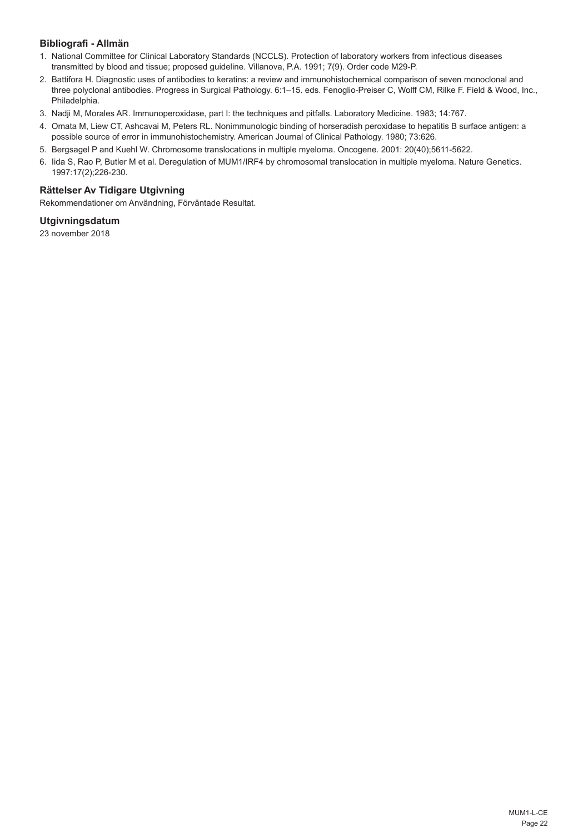# **Bibliografi - Allmän**

- 1. National Committee for Clinical Laboratory Standards (NCCLS). Protection of laboratory workers from infectious diseases transmitted by blood and tissue; proposed guideline. Villanova, P.A. 1991; 7(9). Order code M29-P.
- 2. Battifora H. Diagnostic uses of antibodies to keratins: a review and immunohistochemical comparison of seven monoclonal and three polyclonal antibodies. Progress in Surgical Pathology. 6:1–15. eds. Fenoglio-Preiser C, Wolff CM, Rilke F. Field & Wood, Inc., Philadelphia.
- 3. Nadji M, Morales AR. Immunoperoxidase, part I: the techniques and pitfalls. Laboratory Medicine. 1983; 14:767.
- 4. Omata M, Liew CT, Ashcavai M, Peters RL. Nonimmunologic binding of horseradish peroxidase to hepatitis B surface antigen: a possible source of error in immunohistochemistry. American Journal of Clinical Pathology. 1980; 73:626.
- 5. Bergsagel P and Kuehl W. Chromosome translocations in multiple myeloma. Oncogene. 2001: 20(40);5611-5622.
- 6. Iida S, Rao P, Butler M et al. Deregulation of MUM1/IRF4 by chromosomal translocation in multiple myeloma. Nature Genetics. 1997:17(2);226-230.

# **Rättelser Av Tidigare Utgivning**

Rekommendationer om Användning, Förväntade Resultat.

# **Utgivningsdatum**

23 november 2018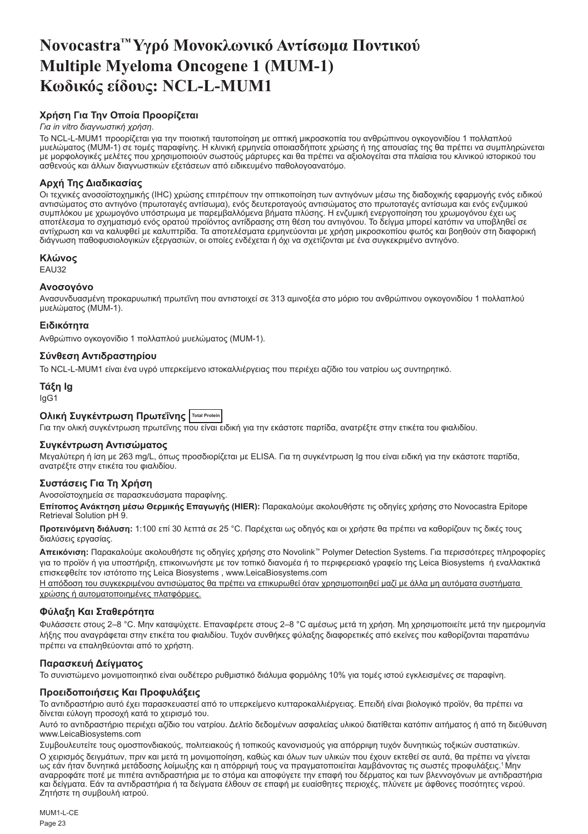# <span id="page-23-0"></span>**Novocastra™ Υγρό Μονοκλωνικό Αντίσωμα Ποντικού Multiple Myeloma Oncogene 1 (MUM-1) Κωδικός είδους: NCL-L-MUM1**

# **Χρήση Για Την Οποία Προορίζεται**

## *Για in vitro διαγνωστική χρήση*.

Το NCL-L-MUM1 προορίζεται για την ποιοτική ταυτοποίηση με οπτική μικροσκοπία του ανθρώπινου ογκογονιδίου 1 πολλαπλού μυελώματος (MUM-1) σε τομές παραφίνης. Η κλινική ερμηνεία οποιασδήποτε χρώσης ή της απουσίας της θα πρέπει να συμπληρώνεται με μορφολογικές μελέτες που χρησιμοποιούν σωστούς μάρτυρες και θα πρέπει να αξιολογείται στα πλαίσια του κλινικού ιστορικού του ασθενούς και άλλων διαγνωστικών εξετάσεων από ειδικευμένο παθολογοανατόμο.

# **Αρχή Της Διαδικασίας**

Οι τεχνικές ανοσοϊστοχημικής (IHC) χρώσης επιτρέπουν την οπτικοποίηση των αντιγόνων μέσω της διαδοχικής εφαρμογής ενός ειδικού αντισώματος στο αντιγόνο (πρωτοταγές αντίσωμα), ενός δευτεροταγούς αντισώματος στο πρωτοταγές αντίσωμα και ενός ενζυμικού συμπλόκου με χρωμογόνο υπόστρωμα με παρεμβαλλόμενα βήματα πλύσης. Η ενζυμική ενεργοποίηση του χρωμογόνου έχει ως αποτέλεσμα το σχηματισμό ενός ορατού προϊόντος αντίδρασης στη θέση του αντιγόνου. Το δείγμα μπορεί κατόπιν να υποβληθεί σε αντίχρωση και να καλυφθεί με καλυπτρίδα. Τα αποτελέσματα ερμηνεύονται με χρήση μικροσκοπίου φωτός και βοηθούν στη διαφορική διάγνωση παθοφυσιολογικών εξεργασιών, οι οποίες ενδέχεται ή όχι να σχετίζονται με ένα συγκεκριμένο αντιγόνο.

## **Κλώνος**

EAU32

## **Ανοσογόνο**

Ανασυνδυασμένη προκαρυωτική πρωτεΐνη που αντιστοιχεί σε 313 αμινοξέα στο μόριο του ανθρώπινου ογκογονιδίου 1 πολλαπλού μυελώματος (MUM-1).

## **Ειδικότητα**

Ανθρώπινο ογκογονίδιο 1 πολλαπλού μυελώματος (MUM-1).

## **Σύνθεση Αντιδραστηρίου**

Το NCL-L-MUM1 είναι ένα υγρό υπερκείμενο ιστοκαλλιέργειας που περιέχει αζίδιο του νατρίου ως συντηρητικό.

## **Τάξη Ig** IgG1

# **Ολική Συγκέντρωση Πρωτεΐνης Total Protein**

Για την ολική συγκέντρωση πρωτεΐνης που είναι ειδική για την εκάστοτε παρτίδα, ανατρέξτε στην ετικέτα του φιαλιδίου.

## **Συγκέντρωση Αντισώματος**

Μεγαλύτερη ή ίση με 263 mg/L, όπως προσδιορίζεται με ELISA. Για τη συγκέντρωση Ig που είναι ειδική για την εκάστοτε παρτίδα, ανατρέξτε στην ετικέτα του φιαλιδίου.

## **Συστάσεις Για Τη Χρήση**

Ανοσοϊστοχημεία σε παρασκευάσματα παραφίνης.

**Επίτοπος Ανάκτηση μέσω Θερμικής Επαγωγής (HIER):** Παρακαλούμε ακολουθήστε τις οδηγίες χρήσης στο Novocastra Epitope Retrieval Solution pH 9.

**Προτεινόμενη διάλυση:** 1:100 επί 30 λεπτά σε 25 °C. Παρέχεται ως οδηγός και οι χρήστε θα πρέπει να καθορίζουν τις δικές τους διαλύσεις εργασίας.

**Απεικόνιση:** Παρακαλούμε ακολουθήστε τις οδηγίες χρήσης στο Novolink™ Polymer Detection Systems. Για περισσότερες πληροφορίες για το προϊόν ή για υποστήριξη, επικοινωνήστε με τον τοπικό διανομέα ή το περιφερειακό γραφείο της Leica Biosystems ή εναλλακτικά επισκεφθείτε τον ιστότοπο της Leica Biosystems , www.LeicaBiosystems.com

Η απόδοση του συγκεκριμένου αντισώματος θα πρέπει να επικυρωθεί όταν χρησιμοποιηθεί μαζί με άλλα μη αυτόματα συστήματα χρώσης ή αυτοματοποιημένες πλατφόρμες.

# **Φύλαξη Και Σταθερότητα**

Φυλάσσετε στους 2–8 °C. Μην καταψύχετε. Επαναφέρετε στους 2–8 °C αμέσως μετά τη χρήση. Μη χρησιμοποιείτε μετά την ημερομηνία λήξης που αναγράφεται στην ετικέτα του φιαλιδίου. Τυχόν συνθήκες φύλαξης διαφορετικές από εκείνες που καθορίζονται παραπάνω πρέπει να επαληθεύονται από το χρήστη.

## **Παρασκευή Δείγματος**

Το συνιστώμενο μονιμοποιητικό είναι ουδέτερο ρυθμιστικό διάλυμα φορμόλης 10% για τομές ιστού εγκλεισμένες σε παραφίνη.

## **Προειδοποιήσεις Και Προφυλάξεις**

Το αντιδραστήριο αυτό έχει παρασκευαστεί από το υπερκείμενο κυτταροκαλλιέργειας. Επειδή είναι βιολογικό προϊόν, θα πρέπει να δίνεται εύλογη προσοχή κατά το χειρισμό του.

Αυτό το αντιδραστήριο περιέχει αζίδιο του νατρίου. Δελτίο δεδομένων ασφαλείας υλικού διατίθεται κατόπιν αιτήματος ή από τη διεύθυνση www.LeicaBiosystems.com

Συμβουλευτείτε τους ομοσπονδιακούς, πολιτειακούς ή τοπικούς κανονισμούς για απόρριψη τυχόν δυνητικώς τοξικών συστατικών. Ο χειρισμός δειγμάτων, πριν και μετά τη μονιμοποίηση, καθώς και όλων των υλικών που έχουν εκτεθεί σε αυτά, θα πρέπει να γίνεται ως εάν ήταν δυνητικά μετάδοσης λοίμωξης και η απόρριψή τους να πραγματοποιείται λαμβάνοντας τις σωστές προφυλάξεις.<sup>1</sup>Μην αναρροφάτε ποτέ με πιπέτα αντιδραστήρια με το στόμα και αποφύγετε την επαφή του δέρματος και των βλεννογόνων με αντιδραστήρια και δείγματα. Εάν τα αντιδραστήρια ή τα δείγματα έλθουν σε επαφή με ευαίσθητες περιοχές, πλύνετε με άφθονες ποσότητες νερού. Ζητήστε τη συμβουλή ιατρού.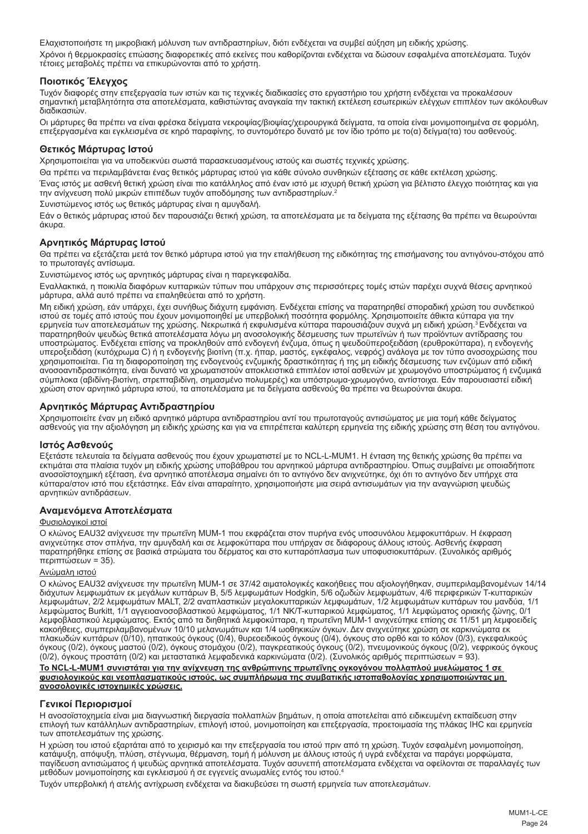Ελαχιστοποιήστε τη μικροβιακή μόλυνση των αντιδραστηρίων, διότι ενδέχεται να συμβεί αύξηση μη ειδικής χρώσης. Χρόνοι ή θερμοκρασίες επώασης διαφορετικές από εκείνες που καθορίζονται ενδέχεται να δώσουν εσφαλμένα αποτελέσματα. Τυχόν τέτοιες μεταβολές πρέπει να επικυρώνονται από το χρήστη.

# **Ποιοτικός Έλεγχος**

Τυχόν διαφορές στην επεξεργασία των ιστών και τις τεχνικές διαδικασίες στο εργαστήριο του χρήστη ενδέχεται να προκαλέσουν σημαντική μεταβλητότητα στα αποτελέσματα, καθιστώντας αναγκαία την τακτική εκτέλεση εσωτερικών ελέγχων επιπλέον των ακόλουθων διαδικασιών.

Οι μάρτυρες θα πρέπει να είναι φρέσκα δείγματα νεκροψίας/βιοψίας/χειρουργικά δείγματα, τα οποία είναι μονιμοποιημένα σε φορμόλη, επεξεργασμένα και εγκλεισμένα σε κηρό παραφίνης, το συντομότερο δυνατό με τον ίδιο τρόπο με το(α) δείγμα(τα) του ασθενούς.

# **Θετικός Μάρτυρας Ιστού**

Χρησιμοποιείται για να υποδεικνύει σωστά παρασκευασμένους ιστούς και σωστές τεχνικές χρώσης.

Θα πρέπει να περιλαμβάνεται ένας θετικός μάρτυρας ιστού για κάθε σύνολο συνθηκών εξέτασης σε κάθε εκτέλεση χρώσης.

Ένας ιστός με ασθενή θετική χρώση είναι πιο κατάλληλος από έναν ιστό με ισχυρή θετική χρώση για βέλτιστο έλεγχο ποιότητας και για την ανίχνευση πολύ μικρών επιπέδων τυχόν αποδόμησης των αντιδραστηρίων.<sup>2</sup>

Συνιστώμενος ιστός ως θετικός μάρτυρας είναι η αμυγδαλή.

Εάν ο θετικός μάρτυρας ιστού δεν παρουσιάζει θετική χρώση, τα αποτελέσματα με τα δείγματα της εξέτασης θα πρέπει να θεωρούνται άκυρα.

# **Αρνητικός Μάρτυρας Ιστού**

Θα πρέπει να εξετάζεται μετά τον θετικό μάρτυρα ιστού για την επαλήθευση της ειδικότητας της επισήμανσης του αντιγόνου-στόχου από το πρωτοταγές αντίσωμα.

Συνιστώμενος ιστός ως αρνητικός μάρτυρας είναι η παρεγκεφαλίδα.

Εναλλακτικά, η ποικιλία διαφόρων κυτταρικών τύπων που υπάρχουν στις περισσότερες τομές ιστών παρέχει συχνά θέσεις αρνητικού μάρτυρα, αλλά αυτό πρέπει να επαληθεύεται από το χρήστη.

Μη ειδική χρώση, εάν υπάρχει, έχει συνήθως διάχυτη εμφάνιση. Ενδέχεται επίσης να παρατηρηθεί σποραδική χρώση του συνδετικού ιστού σε τομές από ιστούς που έχουν μονιμοποιηθεί με υπερβολική ποσότητα φορμόλης. Χρησιμοποιείτε άθικτα κύτταρα για την<br>ερμηνεία των αποτελεσμάτων της χρώσης. Νεκρωτικά ή εκφυλισμένα κύτταρα παρουσιάζουν συχνά μη ειδική παρατηρηθούν ψευδώς θετικά αποτελέσματα λόγω μη ανοσολογικής δέσμευσης των πρωτεϊνών ή των προϊόντων αντίδρασης του υποστρώματος. Ενδέχεται επίσης να προκληθούν από ενδογενή ένζυμα, όπως η ψευδοϋπεροξειδάση (ερυθροκύτταρα), η ενδογενής<br>υπεροξειδάση (κυτόχρωμα C) ή η ενδογενής βιοτίνη (π.χ. ήπαρ, μαστός, εγκέφαλος, νεφρός) ανάλογα με το χρησιμοποιείται. Για τη διαφοροποίηση της ενδογενούς ενζυμικής δραστικότητας ή της μη ειδικής δέσμευσης των ενζύμων από ειδική ανοσοαντιδραστικότητα, είναι δυνατό να χρωματιστούν αποκλειστικά επιπλέον ιστοί ασθενών με χρωμογόνο υποστρώματος ή ενζυμικά σύμπλοκα (αβιδίνη-βιοτίνη, στρεπταβιδίνη, σημασμένο πολυμερές) και υπόστρωμα-χρωμογόνο, αντίστοιχα. Εάν παρουσιαστεί ειδική χρώση στον αρνητικό μάρτυρα ιστού, τα αποτελέσματα με τα δείγματα ασθενούς θα πρέπει να θεωρούνται άκυρα.

# **Αρνητικός Μάρτυρας Αντιδραστηρίου**

Χρησιμοποιείτε έναν μη ειδικό αρνητικό μάρτυρα αντιδραστηρίου αντί του πρωτοταγούς αντισώματος με μια τομή κάθε δείγματος<br>ασθενούς για την αξιολόγηση μη ειδικής χρώσης και για να επιτρέπεται καλύτερη ερμηνεία της ειδικής

## **Ιστός Ασθενούς**

Εξετάστε τελευταία τα δείγματα ασθενούς που έχουν χρωματιστεί με το NCL-L-MUM1. Η ένταση της θετικής χρώσης θα πρέπει να εκτιμάται στα πλαίσια τυχόν μη ειδικής χρώσης υποβάθρου του αρνητικού μάρτυρα αντιδραστηρίου. Όπως συμβαίνει με οποιαδήποτε ανοσοϊστοχημική εξέταση, ένα αρνητικό αποτέλεσμα σημαίνει ότι το αντιγόνο δεν ανιχνεύτηκε, όχι ότι το αντιγόνο δεν υπήρχε στα κύτταρα/στον ιστό που εξετάστηκε. Εάν είναι απαραίτητο, χρησιμοποιήστε μια σειρά αντισωμάτων για την αναγνώριση ψευδώς αρνητικών αντιδράσεων.

## **Αναμενόμενα Αποτελέσματα**

### Φυσιολογικοί ιστοί

Ο κλώνος EAU32 ανίχνευσε την πρωτεΐνη MUM-1 που εκφράζεται στον πυρήνα ενός υποσυνόλου λεμφοκυττάρων. Η έκφραση ανιχνεύτηκε στον σπλήνα, την αμυγδαλή και σε λεμφοκύτταρα που υπήρχαν σε διάφορους άλλους ιστούς. Ασθενής έκφραση παρατηρήθηκε επίσης σε βασικά στρώματα του δέρματος και στο κυτταρόπλασμα των υποφυσιοκυττάρων. (Συνολικός αριθμός περιπτώσεων = 35).

## Ανώμαλη ιστού

Ο κλώνος EAU32 ανίχνευσε την πρωτεΐνη MUM-1 σε 37/42 αιματολογικές κακοήθειες που αξιολογήθηκαν, συμπεριλαμβανομένων 14/14 διάχυτων λεμφωμάτων εκ μεγάλων κυττάρων Β, 5/5 λεμφωμάτων Hodgkin, 5/6 οζωδών λεμφωμάτων, 4/6 περιφερικών T-κυτταρικών λεμφωμάτων, 2/2 λεμφωμάτων MALT, 2/2 αναπλαστικών μεγαλοκυτταρικών λεμφωμάτων, 1/2 λεμφωμάτων κυττάρων του μανδύα, 1/1 λεμφώματος Burkitt, 1/1 αγγειοανοσοβλαστικού λεμφώματος, 1/1 NK/T-κυτταρικού λεμφώματος, 1/1 λεμφώματος οριακής ζώνης, 0/1 λεμφοβλαστικού λεμφώματος. Εκτός από τα διηθητικά λεμφοκύτταρα, η πρωτεΐνη MUM-1 ανιχνεύτηκε επίσης σε 11/51 μη λεμφοειδείς κακοήθειες, συμπεριλαμβανομένων 10/10 μελανωμάτων και 1/4 ωοθηκικών όγκων. Δεν ανιχνεύτηκε χρώση σε καρκινώματα εκ πλακωδών κυττάρων (0/10), ηπατικούς όγκους (0/4), θυρεοειδικούς όγκους (0/4), όγκους στο ορθό και το κόλον (0/3), εγκεφαλικούς όγκους (0/2), όγκους μαστού (0/2), όγκους στομάχου (0/2), παγκρεατικούς όγκους (0/2), πνευμονικούς όγκους (0/2), νεφρικούς όγκους (0/2), όγκους προστάτη (0/2) και μεταστατικά λεμφαδενικά καρκινώματα (0/2). (Συνολικός αριθμός περιπτώσεων = 93).

# **Το NCL-L-MUM1 συνιστάται για την ανίχνευση της ανθρώπινης πρωτεΐνης ογκογόνου πολλαπλού μυελώματος 1 σε φυσιολογικούς και νεοπλασματικούς ιστούς, ως συμπλήρωμα της συμβατικής ιστοπαθολογίας χρησιμοποιώντας μη ανοσολογικές ιστοχημικές χρώσεις.**

# **Γενικοί Περιορισμοί**

Η ανοσοϊστοχημεία είναι μια διαγνωστική διεργασία πολλαπλών βημάτων, η οποία αποτελείται από ειδικευμένη εκπαίδευση στην επιλογή των κατάλληλων αντιδραστηρίων, επιλογή ιστού, μονιμοποίηση και επεξεργασία, προετοιμασία της πλάκας IHC και ερμηνεία των αποτελεσμάτων της χρώσης.

Η χρώση του ιστού εξαρτάται από το χειρισμό και την επεξεργασία του ιστού πριν από τη χρώση. Τυχόν εσφαλμένη μονιμοποίηση, κατάψυξη, απόψυξη, πλύση, στέγνωμα, θέρμανση, τομή ή μόλυνση με άλλους ιστούς ή υγρά ενδέχεται να παράγει μορφώματα, παγίδευση αντισώματος ή ψευδώς αρνητικά αποτελέσματα. Τυχόν ασυνεπή αποτελέσματα ενδέχεται να οφείλονται σε παραλλαγές των μεθόδων μονιμοποίησης και εγκλεισμού ή σε εγγενείς ανωμαλίες εντός του ιστού.4

Τυχόν υπερβολική ή ατελής αντίχρωση ενδέχεται να διακυβεύσει τη σωστή ερμηνεία των αποτελεσμάτων.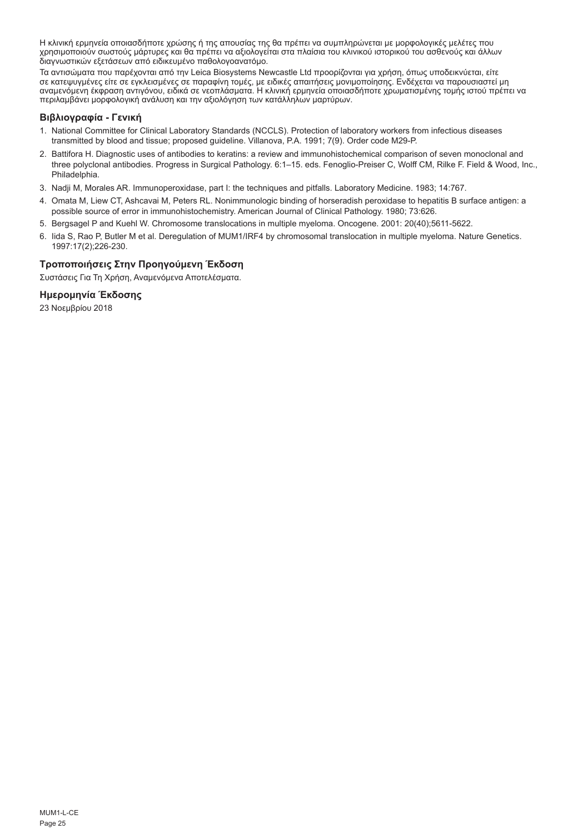Η κλινική ερμηνεία οποιασδήποτε χρώσης ή της απουσίας της θα πρέπει να συμπληρώνεται με μορφολογικές μελέτες που χρησιμοποιούν σωστούς μάρτυρες και θα πρέπει να αξιολογείται στα πλαίσια του κλινικού ιστορικού του ασθενούς και άλλων διαγνωστικών εξετάσεων από ειδικευμένο παθολογοανατόμο.

Τα αντισώματα που παρέχονται από την Leica Biosystems Newcastle Ltd προορίζονται για χρήση, όπως υποδεικνύεται, είτε σε κατεψυγμένες είτε σε εγκλεισμένες σε παραφίνη τομές, με ειδικές απαιτήσεις μονιμοποίησης. Ενδέχεται να παρουσιαστεί μη<br>αναμενόμενη έκφραση αντιγόνου, ειδικά σε νεοπλάσματα. Η κλινική ερμηνεία οποιασδήποτε χρωματισμένης περιλαμβάνει μορφολογική ανάλυση και την αξιολόγηση των κατάλληλων μαρτύρων.

# **Βιβλιογραφία - Γενική**

- 1. National Committee for Clinical Laboratory Standards (NCCLS). Protection of laboratory workers from infectious diseases transmitted by blood and tissue; proposed guideline. Villanova, P.A. 1991; 7(9). Order code M29-P.
- 2. Battifora H. Diagnostic uses of antibodies to keratins: a review and immunohistochemical comparison of seven monoclonal and three polyclonal antibodies. Progress in Surgical Pathology. 6:1–15. eds. Fenoglio-Preiser C, Wolff CM, Rilke F. Field & Wood, Inc., Philadelphia.
- 3. Nadji M, Morales AR. Immunoperoxidase, part I: the techniques and pitfalls. Laboratory Medicine. 1983; 14:767.
- 4. Omata M, Liew CT, Ashcavai M, Peters RL. Nonimmunologic binding of horseradish peroxidase to hepatitis B surface antigen: a possible source of error in immunohistochemistry. American Journal of Clinical Pathology. 1980; 73:626.
- 5. Bergsagel P and Kuehl W. Chromosome translocations in multiple myeloma. Oncogene. 2001: 20(40);5611-5622.
- 6. Iida S, Rao P, Butler M et al. Deregulation of MUM1/IRF4 by chromosomal translocation in multiple myeloma. Nature Genetics. 1997:17(2);226-230.

# **Τροποποιήσεις Στην Προηγούμενη Έκδοση**

Συστάσεις Για Τη Χρήση, Αναμενόμενα Αποτελέσματα.

# **Ημερομηνία Έκδοσης**

23 Νοεμβρίου 2018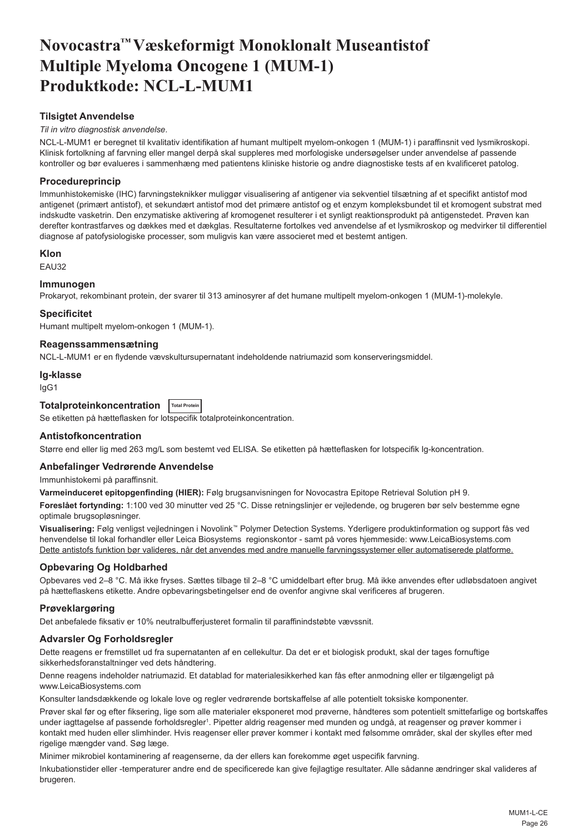# <span id="page-26-0"></span>**Novocastra™ Væskeformigt Monoklonalt Museantistof Multiple Myeloma Oncogene 1 (MUM-1) Produktkode: NCL-L-MUM1**

# **Tilsigtet Anvendelse**

# *Til in vitro diagnostisk anvendelse*.

NCL-L-MUM1 er beregnet til kvalitativ identifikation af humant multipelt myelom-onkogen 1 (MUM-1) i paraffinsnit ved lysmikroskopi. Klinisk fortolkning af farvning eller mangel derpå skal suppleres med morfologiske undersøgelser under anvendelse af passende kontroller og bør evalueres i sammenhæng med patientens kliniske historie og andre diagnostiske tests af en kvalificeret patolog.

# **Procedureprincip**

Immunhistokemiske (IHC) farvningsteknikker muliggør visualisering af antigener via sekventiel tilsætning af et specifikt antistof mod antigenet (primært antistof), et sekundært antistof mod det primære antistof og et enzym kompleksbundet til et kromogent substrat med indskudte vasketrin. Den enzymatiske aktivering af kromogenet resulterer i et synligt reaktionsprodukt på antigenstedet. Prøven kan derefter kontrastfarves og dækkes med et dækglas. Resultaterne fortolkes ved anvendelse af et lysmikroskop og medvirker til differentiel diagnose af patofysiologiske processer, som muligvis kan være associeret med et bestemt antigen.

# **Klon**

EAU32

## **Immunogen**

Prokaryot, rekombinant protein, der svarer til 313 aminosyrer af det humane multipelt myelom-onkogen 1 (MUM-1)-molekyle.

## **Specificitet**

Humant multipelt myelom-onkogen 1 (MUM-1).

## **Reagenssammensætning**

NCL-L-MUM1 er en flydende vævskultursupernatant indeholdende natriumazid som konserveringsmiddel.

### **Ig-klasse**

IgG1

# **Totalproteinkoncentration Total Protein**

Se etiketten på hætteflasken for lotspecifik totalproteinkoncentration.

## **Antistofkoncentration**

Større end eller lig med 263 mg/L som bestemt ved ELISA. Se etiketten på hætteflasken for lotspecifik Ig-koncentration.

# **Anbefalinger Vedrørende Anvendelse**

Immunhistokemi på paraffinsnit.

**Varmeinduceret epitopgenfinding (HIER):** Følg brugsanvisningen for Novocastra Epitope Retrieval Solution pH 9.

**Foreslået fortynding:** 1:100 ved 30 minutter ved 25 °C. Disse retningslinjer er vejledende, og brugeren bør selv bestemme egne optimale brugsopløsninger.

**Visualisering:** Følg venligst vejledningen i Novolink™ Polymer Detection Systems. Yderligere produktinformation og support fås ved henvendelse til lokal forhandler eller Leica Biosystems regionskontor - samt på vores hjemmeside: www.LeicaBiosystems.com Dette antistofs funktion bør valideres, når det anvendes med andre manuelle farvningssystemer eller automatiserede platforme.

## **Opbevaring Og Holdbarhed**

Opbevares ved 2–8 °C. Må ikke fryses. Sættes tilbage til 2–8 °C umiddelbart efter brug. Må ikke anvendes efter udløbsdatoen angivet på hætteflaskens etikette. Andre opbevaringsbetingelser end de ovenfor angivne skal verificeres af brugeren.

## **Prøveklargøring**

Det anbefalede fiksativ er 10% neutralbufferjusteret formalin til paraffinindstøbte vævssnit.

## **Advarsler Og Forholdsregler**

Dette reagens er fremstillet ud fra supernatanten af en cellekultur. Da det er et biologisk produkt, skal der tages fornuftige sikkerhedsforanstaltninger ved dets håndtering.

Denne reagens indeholder natriumazid. Et datablad for materialesikkerhed kan fås efter anmodning eller er tilgængeligt på www.LeicaBiosystems.com

Konsulter landsdækkende og lokale love og regler vedrørende bortskaffelse af alle potentielt toksiske komponenter.

Prøver skal før og efter fiksering, lige som alle materialer eksponeret mod prøverne, håndteres som potentielt smittefarlige og bortskaffes under iagttagelse af passende forholdsregler<sup>ı</sup>. Pipetter aldrig reagenser med munden og undgå, at reagenser og prøver kommer i kontakt med huden eller slimhinder. Hvis reagenser eller prøver kommer i kontakt med følsomme områder, skal der skylles efter med rigelige mængder vand. Søg læge.

Minimer mikrobiel kontaminering af reagenserne, da der ellers kan forekomme øget uspecifik farvning.

Inkubationstider eller -temperaturer andre end de specificerede kan give fejlagtige resultater. Alle sådanne ændringer skal valideres af brugeren.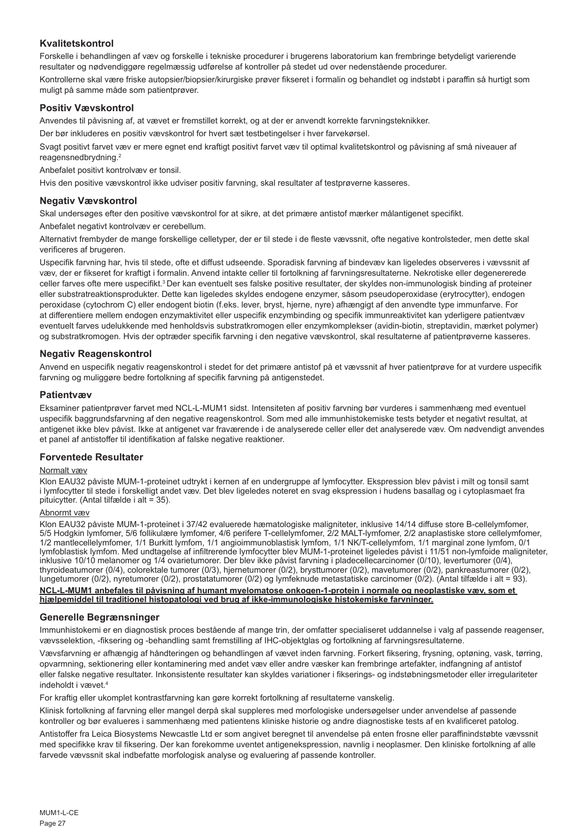# **Kvalitetskontrol**

Forskelle i behandlingen af væv og forskelle i tekniske procedurer i brugerens laboratorium kan frembringe betydeligt varierende resultater og nødvendiggøre regelmæssig udførelse af kontroller på stedet ud over nedenstående procedurer. Kontrollerne skal være friske autopsier/biopsier/kirurgiske prøver fikseret i formalin og behandlet og indstøbt i paraffin så hurtigt som muligt på samme måde som patientprøver.

# **Positiv Vævskontrol**

Anvendes til påvisning af, at vævet er fremstillet korrekt, og at der er anvendt korrekte farvningsteknikker.

Der bør inkluderes en positiv vævskontrol for hvert sæt testbetingelser i hver farvekørsel.

Svagt positivt farvet væv er mere egnet end kraftigt positivt farvet væv til optimal kvalitetskontrol og påvisning af små niveauer af reagensnedbrydning.<sup>2</sup>

Anbefalet positivt kontrolvæv er tonsil.

Hvis den positive vævskontrol ikke udviser positiv farvning, skal resultater af testprøverne kasseres.

# **Negativ Vævskontrol**

Skal undersøges efter den positive vævskontrol for at sikre, at det primære antistof mærker målantigenet specifikt.

Anbefalet negativt kontrolvæv er cerebellum.

Alternativt frembyder de mange forskellige celletyper, der er til stede i de fleste vævssnit, ofte negative kontrolsteder, men dette skal verificeres af brugeren.

Uspecifik farvning har, hvis til stede, ofte et diffust udseende. Sporadisk farvning af bindevæv kan ligeledes observeres i vævssnit af væv, der er fikseret for kraftigt i formalin. Anvend intakte celler til fortolkning af farvningsresultaterne. Nekrotiske eller degenererede celler farves ofte mere uspecifikt.<sup>3</sup>Der kan eventuelt ses falske positive resultater, der skyldes non-immunologisk binding af proteiner eller substratreaktionsprodukter. Dette kan ligeledes skyldes endogene enzymer, såsom pseudoperoxidase (erytrocytter), endogen peroxidase (cytochrom C) eller endogent biotin (f.eks. lever, bryst, hjerne, nyre) afhængigt af den anvendte type immunfarve. For at differentiere mellem endogen enzymaktivitet eller uspecifik enzymbinding og specifik immunreaktivitet kan yderligere patientvæv eventuelt farves udelukkende med henholdsvis substratkromogen eller enzymkomplekser (avidin-biotin, streptavidin, mærket polymer) og substratkromogen. Hvis der optræder specifik farvning i den negative vævskontrol, skal resultaterne af patientprøverne kasseres.

# **Negativ Reagenskontrol**

Anvend en uspecifik negativ reagenskontrol i stedet for det primære antistof på et vævssnit af hver patientprøve for at vurdere uspecifik farvning og muliggøre bedre fortolkning af specifik farvning på antigenstedet.

## **Patientvæv**

Eksaminer patientprøver farvet med NCL-L-MUM1 sidst. Intensiteten af positiv farvning bør vurderes i sammenhæng med eventuel uspecifik baggrundsfarvning af den negative reagenskontrol. Som med alle immunhistokemiske tests betyder et negativt resultat, at antigenet ikke blev påvist. Ikke at antigenet var fraværende i de analyserede celler eller det analyserede væv. Om nødvendigt anvendes et panel af antistoffer til identifikation af falske negative reaktioner.

## **Forventede Resultater**

## Normalt væv

Klon EAU32 påviste MUM-1-proteinet udtrykt i kernen af en undergruppe af lymfocytter. Ekspression blev påvist i milt og tonsil samt i lymfocytter til stede i forskelligt andet væv. Det blev ligeledes noteret en svag ekspression i hudens basallag og i cytoplasmaet fra pituicytter. (Antal tilfælde i alt = 35).

## Abnormt væv

Klon EAU32 påviste MUM-1-proteinet i 37/42 evaluerede hæmatologiske maligniteter, inklusive 14/14 diffuse store B-cellelymfomer, 5/5 Hodgkin lymfomer, 5/6 follikulære lymfomer, 4/6 perifere T-cellelymfomer, 2/2 MALT-lymfomer, 2/2 anaplastiske store cellelymfomer,<br>1/2 mantlecellelymfomer, 1/1 Burkitt lymfom, 1/1 angioimmunoblastisk lymfom, 1/1 NK/T-c lymfoblastisk lymfom. Med undtagelse af infiltrerende lymfocytter blev MUM-1-proteinet ligeledes påvist i 11/51 non-lymfoide maligniteter, inklusive 10/10 melanomer og 1/4 ovarietumorer. Der blev ikke påvist farvning i pladecellecarcinomer (0/10), levertumorer (0/4), thyroideatumorer (0/4), colorektale tumorer (0/3), hjernetumorer (0/2), brysttumorer (0/2), mavetumorer (0/2), pankreastumorer (0/2), lungetumorer (0/2), nyretumorer (0/2), prostatatumorer (0/2) og lymfeknude metastatiske carcinomer (0/2). (Antal tilfælde i alt = 93).

**NCL-L-MUM1 anbefales til påvisning af humant myelomatose onkogen-1-protein i normale og neoplastiske væv, som et hjælpemiddel til traditionel histopatologi ved brug af ikke-immunologiske histokemiske farvninger.**

## **Generelle Begrænsninger**

Immunhistokemi er en diagnostisk proces bestående af mange trin, der omfatter specialiseret uddannelse i valg af passende reagenser, vævsselektion, -fiksering og -behandling samt fremstilling af IHC-objektglas og fortolkning af farvningsresultaterne.

Vævsfarvning er afhængig af håndteringen og behandlingen af vævet inden farvning. Forkert fiksering, frysning, optøning, vask, tørring, opvarmning, sektionering eller kontaminering med andet væv eller andre væsker kan frembringe artefakter, indfangning af antistof eller falske negative resultater. Inkonsistente resultater kan skyldes variationer i fikserings- og indstøbningsmetoder eller irregulariteter indeholdt i vævet<sup>4</sup>

For kraftig eller ukomplet kontrastfarvning kan gøre korrekt fortolkning af resultaterne vanskelig.

Klinisk fortolkning af farvning eller mangel derpå skal suppleres med morfologiske undersøgelser under anvendelse af passende kontroller og bør evalueres i sammenhæng med patientens kliniske historie og andre diagnostiske tests af en kvalificeret patolog.

Antistoffer fra Leica Biosystems Newcastle Ltd er som angivet beregnet til anvendelse på enten frosne eller paraffinindstøbte vævssnit med specifikke krav til fiksering. Der kan forekomme uventet antigenekspression, navnlig i neoplasmer. Den kliniske fortolkning af alle farvede vævssnit skal indbefatte morfologisk analyse og evaluering af passende kontroller.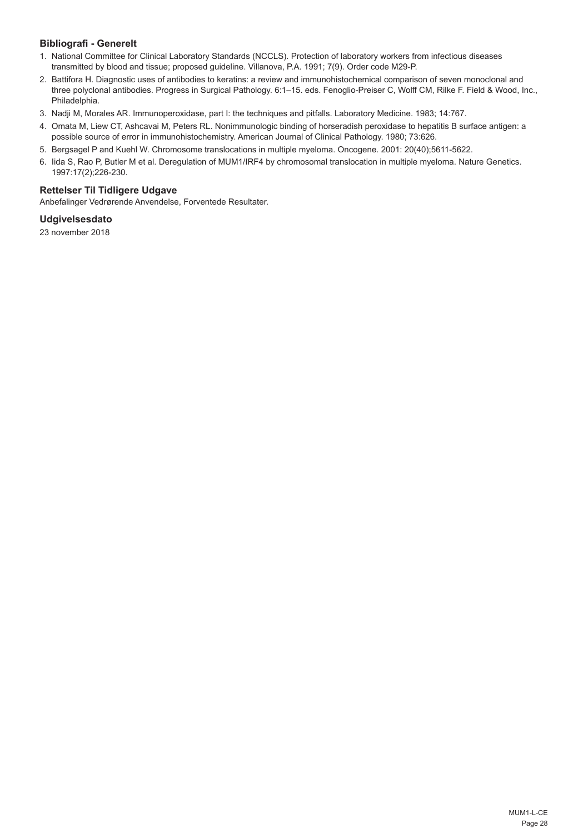# **Bibliografi - Generelt**

- 1. National Committee for Clinical Laboratory Standards (NCCLS). Protection of laboratory workers from infectious diseases transmitted by blood and tissue; proposed guideline. Villanova, P.A. 1991; 7(9). Order code M29-P.
- 2. Battifora H. Diagnostic uses of antibodies to keratins: a review and immunohistochemical comparison of seven monoclonal and three polyclonal antibodies. Progress in Surgical Pathology. 6:1–15. eds. Fenoglio-Preiser C, Wolff CM, Rilke F. Field & Wood, Inc., Philadelphia.
- 3. Nadji M, Morales AR. Immunoperoxidase, part I: the techniques and pitfalls. Laboratory Medicine. 1983; 14:767.
- 4. Omata M, Liew CT, Ashcavai M, Peters RL. Nonimmunologic binding of horseradish peroxidase to hepatitis B surface antigen: a possible source of error in immunohistochemistry. American Journal of Clinical Pathology. 1980; 73:626.
- 5. Bergsagel P and Kuehl W. Chromosome translocations in multiple myeloma. Oncogene. 2001: 20(40);5611-5622.
- 6. Iida S, Rao P, Butler M et al. Deregulation of MUM1/IRF4 by chromosomal translocation in multiple myeloma. Nature Genetics. 1997:17(2);226-230.

# **Rettelser Til Tidligere Udgave**

Anbefalinger Vedrørende Anvendelse, Forventede Resultater.

## **Udgivelsesdato**

23 november 2018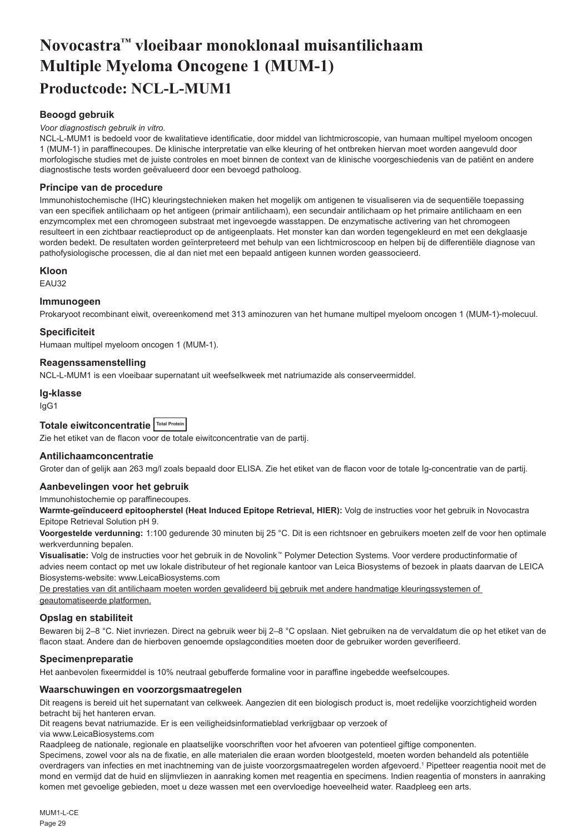# <span id="page-29-0"></span>**Novocastra™ vloeibaar monoklonaal muisantilichaam Multiple Myeloma Oncogene 1 (MUM-1) Productcode: NCL-L-MUM1**

# **Beoogd gebruik**

#### *Voor diagnostisch gebruik in vitro.*

NCL-L-MUM1 is bedoeld voor de kwalitatieve identificatie, door middel van lichtmicroscopie, van humaan multipel myeloom oncogen 1 (MUM-1) in paraffinecoupes. De klinische interpretatie van elke kleuring of het ontbreken hiervan moet worden aangevuld door morfologische studies met de juiste controles en moet binnen de context van de klinische voorgeschiedenis van de patiënt en andere diagnostische tests worden geëvalueerd door een bevoegd patholoog.

## **Principe van de procedure**

Immunohistochemische (IHC) kleuringstechnieken maken het mogelijk om antigenen te visualiseren via de sequentiële toepassing van een specifiek antilichaam op het antigeen (primair antilichaam), een secundair antilichaam op het primaire antilichaam en een enzymcomplex met een chromogeen substraat met ingevoegde wasstappen. De enzymatische activering van het chromogeen resulteert in een zichtbaar reactieproduct op de antigeenplaats. Het monster kan dan worden tegengekleurd en met een dekglaasje worden bedekt. De resultaten worden geïnterpreteerd met behulp van een lichtmicroscoop en helpen bij de differentiële diagnose van pathofysiologische processen, die al dan niet met een bepaald antigeen kunnen worden geassocieerd.

## **Kloon**

EAU32

## **Immunogeen**

Prokaryoot recombinant eiwit, overeenkomend met 313 aminozuren van het humane multipel myeloom oncogen 1 (MUM-1)-molecuul.

## **Specificiteit**

Humaan multipel myeloom oncogen 1 (MUM-1).

# **Reagenssamenstelling**

NCL-L-MUM1 is een vloeibaar supernatant uit weefselkweek met natriumazide als conserveermiddel.

### **Ig-klasse**

IgG1

# **Totale eiwitconcentratie Total Protein**

Zie het etiket van de flacon voor de totale eiwitconcentratie van de partij.

### **Antilichaamconcentratie**

Groter dan of gelijk aan 263 mg/l zoals bepaald door ELISA. Zie het etiket van de flacon voor de totale Ig-concentratie van de partij.

## **Aanbevelingen voor het gebruik**

## Immunohistochemie op paraffinecoupes.

**Warmte-geïnduceerd epitoopherstel (Heat Induced Epitope Retrieval, HIER):** Volg de instructies voor het gebruik in Novocastra Epitope Retrieval Solution pH 9.

**Voorgestelde verdunning:** 1:100 gedurende 30 minuten bij 25 °C. Dit is een richtsnoer en gebruikers moeten zelf de voor hen optimale werkverdunning bepalen.

**Visualisatie:** Volg de instructies voor het gebruik in de Novolink™ Polymer Detection Systems. Voor verdere productinformatie of advies neem contact op met uw lokale distributeur of het regionale kantoor van Leica Biosystems of bezoek in plaats daarvan de LEICA Biosystems-website: www.LeicaBiosystems.com

De prestaties van dit antilichaam moeten worden gevalideerd bij gebruik met andere handmatige kleuringssystemen of geautomatiseerde platformen.

## **Opslag en stabiliteit**

Bewaren bij 2–8 °C. Niet invriezen. Direct na gebruik weer bij 2–8 °C opslaan. Niet gebruiken na de vervaldatum die op het etiket van de flacon staat. Andere dan de hierboven genoemde opslagcondities moeten door de gebruiker worden geverifieerd.

# **Specimenpreparatie**

Het aanbevolen fixeermiddel is 10% neutraal gebufferde formaline voor in paraffine ingebedde weefselcoupes.

komen met gevoelige gebieden, moet u deze wassen met een overvloedige hoeveelheid water. Raadpleeg een arts.

### **Waarschuwingen en voorzorgsmaatregelen**

Dit reagens is bereid uit het supernatant van celkweek. Aangezien dit een biologisch product is, moet redelijke voorzichtigheid worden betracht bij het hanteren ervan.

Dit reagens bevat natriumazide. Er is een veiligheidsinformatieblad verkrijgbaar op verzoek of

via www.LeicaBiosystems.com

Raadpleeg de nationale, regionale en plaatselijke voorschriften voor het afvoeren van potentieel giftige componenten. Specimens, zowel voor als na de fixatie, en alle materialen die eraan worden blootgesteld, moeten worden behandeld als potentiële overdragers van infecties en met inachtneming van de juiste voorzorgsmaatregelen worden afgevoerd.1 Pipetteer reagentia nooit met de mond en vermijd dat de huid en slijmvliezen in aanraking komen met reagentia en specimens. Indien reagentia of monsters in aanraking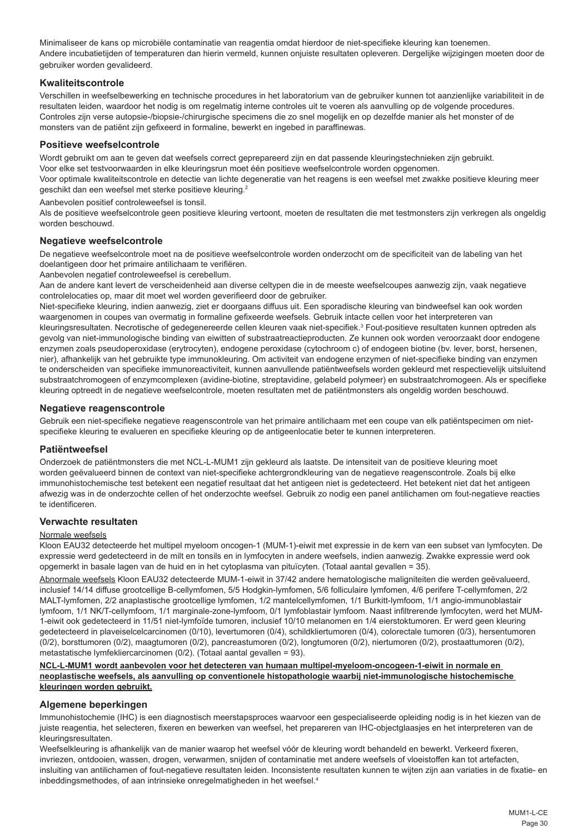Minimaliseer de kans op microbiële contaminatie van reagentia omdat hierdoor de niet-specifieke kleuring kan toenemen. Andere incubatietijden of temperaturen dan hierin vermeld, kunnen onjuiste resultaten opleveren. Dergelijke wijzigingen moeten door de gebruiker worden gevalideerd.

# **Kwaliteitscontrole**

Verschillen in weefselbewerking en technische procedures in het laboratorium van de gebruiker kunnen tot aanzienlijke variabiliteit in de resultaten leiden, waardoor het nodig is om regelmatig interne controles uit te voeren als aanvulling op de volgende procedures. Controles zijn verse autopsie-/biopsie-/chirurgische specimens die zo snel mogelijk en op dezelfde manier als het monster of de monsters van de patiënt zijn gefixeerd in formaline, bewerkt en ingebed in paraffinewas.

## **Positieve weefselcontrole**

Wordt gebruikt om aan te geven dat weefsels correct geprepareerd zijn en dat passende kleuringstechnieken zijn gebruikt.

Voor elke set testvoorwaarden in elke kleuringsrun moet één positieve weefselcontrole worden opgenomen.

Voor optimale kwaliteitscontrole en detectie van lichte degeneratie van het reagens is een weefsel met zwakke positieve kleuring meer geschikt dan een weefsel met sterke positieve kleuring.<sup>2</sup>

Aanbevolen positief controleweefsel is tonsil.

Als de positieve weefselcontrole geen positieve kleuring vertoont, moeten de resultaten die met testmonsters zijn verkregen als ongeldig worden beschouwd.

### **Negatieve weefselcontrole**

De negatieve weefselcontrole moet na de positieve weefselcontrole worden onderzocht om de specificiteit van de labeling van het doelantigeen door het primaire antilichaam te verifiëren.

Aanbevolen negatief controleweefsel is cerebellum.

Aan de andere kant levert de verscheidenheid aan diverse celtypen die in de meeste weefselcoupes aanwezig zijn, vaak negatieve controlelocaties op, maar dit moet wel worden geverifieerd door de gebruiker.

Niet-specifieke kleuring, indien aanwezig, ziet er doorgaans diffuus uit. Een sporadische kleuring van bindweefsel kan ook worden waargenomen in coupes van overmatig in formaline gefixeerde weefsels. Gebruik intacte cellen voor het interpreteren van kleuringsresultaten. Necrotische of gedegenereerde cellen kleuren vaak niet-specifiek.<sup>3</sup> Fout-positieve resultaten kunnen optreden als gevolg van niet-immunologische binding van eiwitten of substraatreactieproducten. Ze kunnen ook worden veroorzaakt door endogene enzymen zoals pseudoperoxidase (erytrocyten), endogene peroxidase (cytochroom c) of endogeen biotine (bv. lever, borst, hersenen, nier), afhankelijk van het gebruikte type immunokleuring. Om activiteit van endogene enzymen of niet-specifieke binding van enzymen te onderscheiden van specifieke immunoreactiviteit, kunnen aanvullende patiëntweefsels worden gekleurd met respectievelijk uitsluitend substraatchromogeen of enzymcomplexen (avidine-biotine, streptavidine, gelabeld polymeer) en substraatchromogeen. Als er specifieke kleuring optreedt in de negatieve weefselcontrole, moeten resultaten met de patiëntmonsters als ongeldig worden beschouwd.

## **Negatieve reagenscontrole**

Gebruik een niet-specifieke negatieve reagenscontrole van het primaire antilichaam met een coupe van elk patiëntspecimen om nietspecifieke kleuring te evalueren en specifieke kleuring op de antigeenlocatie beter te kunnen interpreteren.

### **Patiëntweefsel**

Onderzoek de patiëntmonsters die met NCL-L-MUM1 zijn gekleurd als laatste. De intensiteit van de positieve kleuring moet worden geëvalueerd binnen de context van niet-specifieke achtergrondkleuring van de negatieve reagenscontrole. Zoals bij elke immunohistochemische test betekent een negatief resultaat dat het antigeen niet is gedetecteerd. Het betekent niet dat het antigeen afwezig was in de onderzochte cellen of het onderzochte weefsel. Gebruik zo nodig een panel antilichamen om fout-negatieve reacties te identificeren.

## **Verwachte resultaten**

### Normale weefsels

Kloon EAU32 detecteerde het multipel myeloom oncogen-1 (MUM-1)-eiwit met expressie in de kern van een subset van lymfocyten. De expressie werd gedetecteerd in de milt en tonsils en in lymfocyten in andere weefsels, indien aanwezig. Zwakke expressie werd ook opgemerkt in basale lagen van de huid en in het cytoplasma van pituïcyten. (Totaal aantal gevallen = 35).

Abnormale weefsels Kloon EAU32 detecteerde MUM-1-eiwit in 37/42 andere hematologische maligniteiten die werden geëvalueerd, inclusief 14/14 diffuse grootcellige B-cellymfomen, 5/5 Hodgkin-lymfomen, 5/6 folliculaire lymfomen, 4/6 perifere T-cellymfomen, 2/2 MALT-lymfomen, 2/2 anaplastische grootcellige lymfomen, 1/2 mantelcellymfomen, 1/1 Burkitt-lymfoom, 1/1 angio-immunoblastair lymfoom, 1/1 NK/T-cellymfoom, 1/1 marginale-zone-lymfoom, 0/1 lymfoblastair lymfoom. Naast infiltrerende lymfocyten, werd het MUM-1-eiwit ook gedetecteerd in 11/51 niet-lymfoïde tumoren, inclusief 10/10 melanomen en 1/4 eierstoktumoren. Er werd geen kleuring gedetecteerd in plaveiselcelcarcinomen (0/10), levertumoren (0/4), schildkliertumoren (0/4), colorectale tumoren (0/3), hersentumoren (0/2), borsttumoren (0/2), maagtumoren (0/2), pancreastumoren (0/2), longtumoren (0/2), niertumoren (0/2), prostaattumoren (0/2), metastatische lymfekliercarcinomen (0/2). (Totaal aantal gevallen = 93).

## **NCL-L-MUM1 wordt aanbevolen voor het detecteren van humaan multipel-myeloom-oncogeen-1-eiwit in normale en neoplastische weefsels, als aanvulling op conventionele histopathologie waarbij niet-immunologische histochemische kleuringen worden gebruikt.**

## **Algemene beperkingen**

Immunohistochemie (IHC) is een diagnostisch meerstapsproces waarvoor een gespecialiseerde opleiding nodig is in het kiezen van de juiste reagentia, het selecteren, fixeren en bewerken van weefsel, het prepareren van IHC-objectglaasjes en het interpreteren van de kleuringsresultaten.

Weefselkleuring is afhankelijk van de manier waarop het weefsel vóór de kleuring wordt behandeld en bewerkt. Verkeerd fixeren, invriezen, ontdooien, wassen, drogen, verwarmen, snijden of contaminatie met andere weefsels of vloeistoffen kan tot artefacten, insluiting van antilichamen of fout-negatieve resultaten leiden. Inconsistente resultaten kunnen te wijten zijn aan variaties in de fixatie- en inbeddingsmethodes, of aan intrinsieke onregelmatigheden in het weefsel.<sup>4</sup>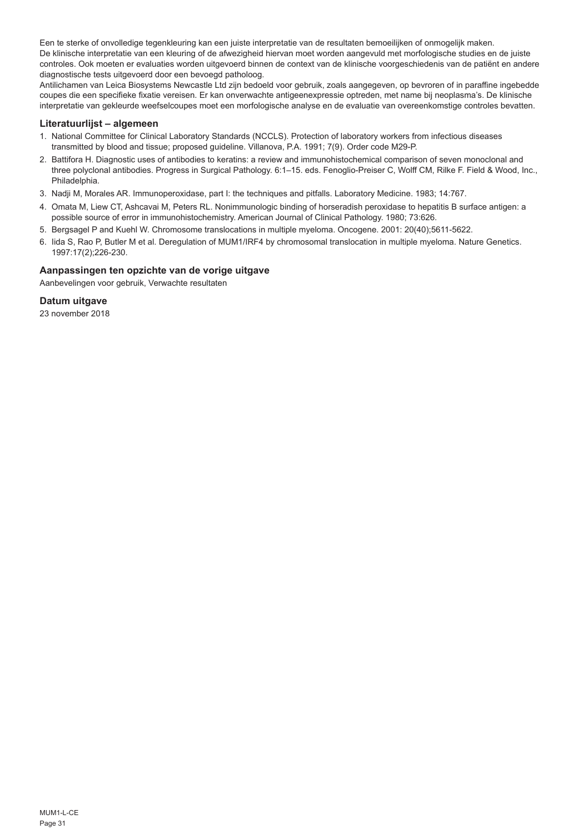Een te sterke of onvolledige tegenkleuring kan een juiste interpretatie van de resultaten bemoeilijken of onmogelijk maken. De klinische interpretatie van een kleuring of de afwezigheid hiervan moet worden aangevuld met morfologische studies en de juiste controles. Ook moeten er evaluaties worden uitgevoerd binnen de context van de klinische voorgeschiedenis van de patiënt en andere diagnostische tests uitgevoerd door een bevoegd patholoog.

Antilichamen van Leica Biosystems Newcastle Ltd zijn bedoeld voor gebruik, zoals aangegeven, op bevroren of in paraffine ingebedde coupes die een specifieke fixatie vereisen. Er kan onverwachte antigeenexpressie optreden, met name bij neoplasma's. De klinische interpretatie van gekleurde weefselcoupes moet een morfologische analyse en de evaluatie van overeenkomstige controles bevatten.

## **Literatuurlijst – algemeen**

- 1. National Committee for Clinical Laboratory Standards (NCCLS). Protection of laboratory workers from infectious diseases transmitted by blood and tissue; proposed guideline. Villanova, P.A. 1991; 7(9). Order code M29-P.
- 2. Battifora H. Diagnostic uses of antibodies to keratins: a review and immunohistochemical comparison of seven monoclonal and three polyclonal antibodies. Progress in Surgical Pathology. 6:1–15. eds. Fenoglio-Preiser C, Wolff CM, Rilke F. Field & Wood, Inc., Philadelphia.
- 3. Nadji M, Morales AR. Immunoperoxidase, part I: the techniques and pitfalls. Laboratory Medicine. 1983; 14:767.
- 4. Omata M, Liew CT, Ashcavai M, Peters RL. Nonimmunologic binding of horseradish peroxidase to hepatitis B surface antigen: a possible source of error in immunohistochemistry. American Journal of Clinical Pathology. 1980; 73:626.
- 5. Bergsagel P and Kuehl W. Chromosome translocations in multiple myeloma. Oncogene. 2001: 20(40);5611-5622.
- 6. Iida S, Rao P, Butler M et al. Deregulation of MUM1/IRF4 by chromosomal translocation in multiple myeloma. Nature Genetics. 1997:17(2);226-230.

## **Aanpassingen ten opzichte van de vorige uitgave**

Aanbevelingen voor gebruik, Verwachte resultaten

# **Datum uitgave**

23 november 2018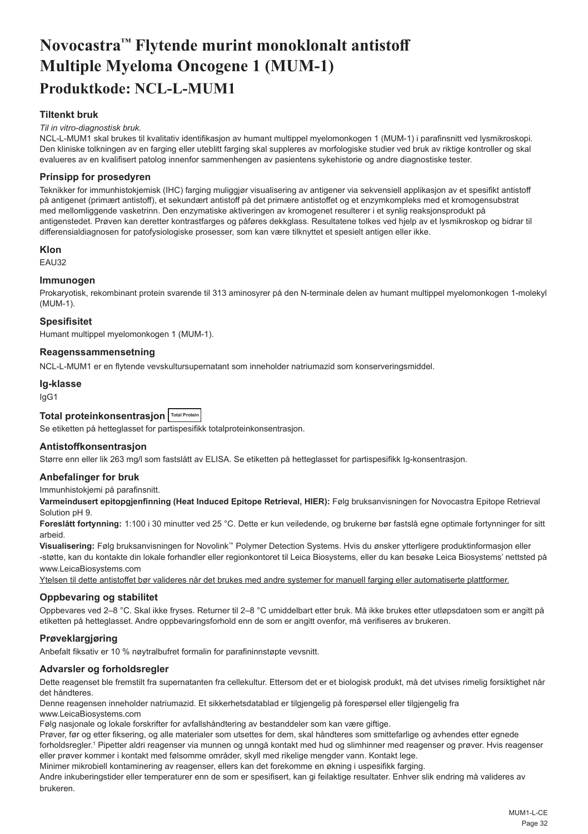# <span id="page-32-0"></span>**Novocastra™ Flytende murint monoklonalt antistoff Multiple Myeloma Oncogene 1 (MUM-1) Produktkode: NCL-L-MUM1**

# **Tiltenkt bruk**

#### *Til in vitro-diagnostisk bruk.*

NCL-L-MUM1 skal brukes til kvalitativ identifikasjon av humant multippel myelomonkogen 1 (MUM-1) i parafinsnitt ved lysmikroskopi. Den kliniske tolkningen av en farging eller uteblitt farging skal suppleres av morfologiske studier ved bruk av riktige kontroller og skal evalueres av en kvalifisert patolog innenfor sammenhengen av pasientens sykehistorie og andre diagnostiske tester.

## **Prinsipp for prosedyren**

Teknikker for immunhistokjemisk (IHC) farging muliggjør visualisering av antigener via sekvensiell applikasjon av et spesifikt antistoff på antigenet (primært antistoff), et sekundært antistoff på det primære antistoffet og et enzymkompleks med et kromogensubstrat med mellomliggende vasketrinn. Den enzymatiske aktiveringen av kromogenet resulterer i et synlig reaksjonsprodukt på antigenstedet. Prøven kan deretter kontrastfarges og påføres dekkglass. Resultatene tolkes ved hjelp av et lysmikroskop og bidrar til differensialdiagnosen for patofysiologiske prosesser, som kan være tilknyttet et spesielt antigen eller ikke.

### **Klon**

EAU32

## **Immunogen**

Prokaryotisk, rekombinant protein svarende til 313 aminosyrer på den N-terminale delen av humant multippel myelomonkogen 1-molekyl (MUM-1).

## **Spesifisitet**

Humant multippel myelomonkogen 1 (MUM-1).

## **Reagenssammensetning**

NCL-L-MUM1 er en flytende vevskultursupernatant som inneholder natriumazid som konserveringsmiddel.

# **Ig-klasse**

IgG1

# **Total proteinkonsentrasjon Total Protein**

Se etiketten på hetteglasset for partispesifikk totalproteinkonsentrasjon.

# **Antistoffkonsentrasjon**

Større enn eller lik 263 mg/l som fastslått av ELISA. Se etiketten på hetteglasset for partispesifikk Ig-konsentrasjon.

## **Anbefalinger for bruk**

Immunhistokjemi på parafinsnitt.

**Varmeindusert epitopgjenfinning (Heat Induced Epitope Retrieval, HIER):** Følg bruksanvisningen for Novocastra Epitope Retrieval Solution pH 9.

**Foreslått fortynning:** 1:100 i 30 minutter ved 25 °C. Dette er kun veiledende, og brukerne bør fastslå egne optimale fortynninger for sitt arbeid.

**Visualisering:** Følg bruksanvisningen for Novolink™ Polymer Detection Systems. Hvis du ønsker ytterligere produktinformasjon eller -støtte, kan du kontakte din lokale forhandler eller regionkontoret til Leica Biosystems, eller du kan besøke Leica Biosystems' nettsted på www.LeicaBiosystems.com

Ytelsen til dette antistoffet bør valideres når det brukes med andre systemer for manuell farging eller automatiserte plattformer.

### **Oppbevaring og stabilitet**

Oppbevares ved 2–8 °C. Skal ikke fryses. Returner til 2–8 °C umiddelbart etter bruk. Må ikke brukes etter utløpsdatoen som er angitt på etiketten på hetteglasset. Andre oppbevaringsforhold enn de som er angitt ovenfor, må verifiseres av brukeren.

## **Prøveklargjøring**

Anbefalt fiksativ er 10 % nøytralbufret formalin for parafininnstøpte vevsnitt.

## **Advarsler og forholdsregler**

Dette reagenset ble fremstilt fra supernatanten fra cellekultur. Ettersom det er et biologisk produkt, må det utvises rimelig forsiktighet når det håndteres.

Denne reagensen inneholder natriumazid. Et sikkerhetsdatablad er tilgjengelig på forespørsel eller tilgjengelig fra www.LeicaBiosystems.com

Følg nasjonale og lokale forskrifter for avfallshåndtering av bestanddeler som kan være giftige.

Prøver, før og etter fiksering, og alle materialer som utsettes for dem, skal håndteres som smittefarlige og avhendes etter egnede forholdsregler.<sup>1</sup> Pipetter aldri reagenser via munnen og unngå kontakt med hud og slimhinner med reagenser og prøver. Hvis reagenser eller prøver kommer i kontakt med følsomme områder, skyll med rikelige mengder vann. Kontakt lege.

Minimer mikrobiell kontaminering av reagenser, ellers kan det forekomme en økning i uspesifikk farging.

Andre inkuberingstider eller temperaturer enn de som er spesifisert, kan gi feilaktige resultater. Enhver slik endring må valideres av brukeren.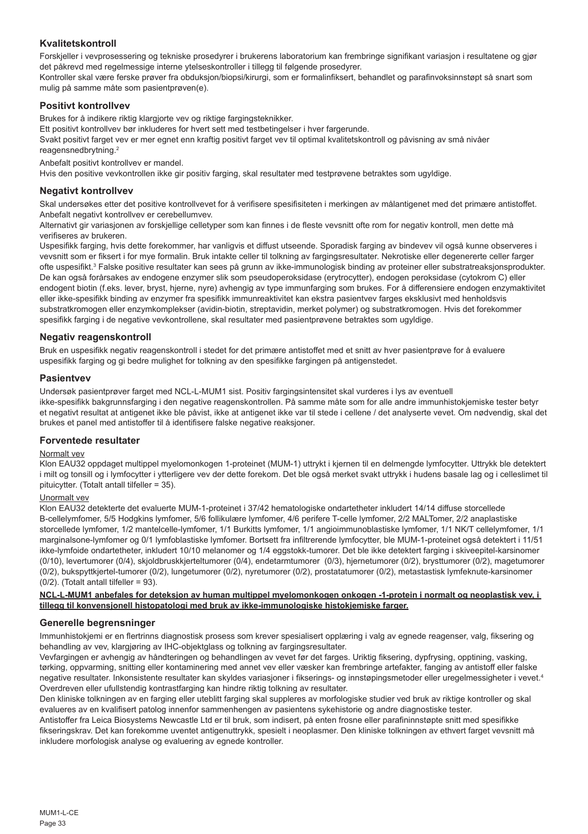# **Kvalitetskontroll**

Forskjeller i vevprosessering og tekniske prosedyrer i brukerens laboratorium kan frembringe signifikant variasjon i resultatene og gjør det påkrevd med regelmessige interne ytelseskontroller i tillegg til følgende prosedyrer.

Kontroller skal være ferske prøver fra obduksjon/biopsi/kirurgi, som er formalinfiksert, behandlet og parafinvoksinnstøpt så snart som mulig på samme måte som pasientprøven(e).

## **Positivt kontrollvev**

Brukes for å indikere riktig klargjorte vev og riktige fargingsteknikker.

Ett positivt kontrollvev bør inkluderes for hvert sett med testbetingelser i hver fargerunde.

Svakt positivt farget vev er mer egnet enn kraftig positivt farget vev til optimal kvalitetskontroll og påvisning av små nivåer reagensnedbrytning.<sup>2</sup>

Anbefalt positivt kontrollvev er mandel.

Hvis den positive vevkontrollen ikke gir positiv farging, skal resultater med testprøvene betraktes som ugyldige.

# **Negativt kontrollvev**

Skal undersøkes etter det positive kontrollvevet for å verifisere spesifisiteten i merkingen av målantigenet med det primære antistoffet. Anbefalt negativt kontrollvev er cerebellumvev.

Alternativt gir variasjonen av forskjellige celletyper som kan finnes i de fleste vevsnitt ofte rom for negativ kontroll, men dette må verifiseres av brukeren.

Uspesifikk farging, hvis dette forekommer, har vanligvis et diffust utseende. Sporadisk farging av bindevev vil også kunne observeres i vevsnitt som er fiksert i for mye formalin. Bruk intakte celler til tolkning av fargingsresultater. Nekrotiske eller degenererte celler farger ofte uspesifikt.<sup>3</sup> Falske positive resultater kan sees på grunn av ikke-immunologisk binding av proteiner eller substratreaksjonsprodukter. De kan også forårsakes av endogene enzymer slik som pseudoperoksidase (erytrocytter), endogen peroksidase (cytokrom C) eller endogent biotin (f.eks. lever, bryst, hjerne, nyre) avhengig av type immunfarging som brukes. For å differensiere endogen enzymaktivitet eller ikke-spesifikk binding av enzymer fra spesifikk immunreaktivitet kan ekstra pasientvev farges eksklusivt med henholdsvis substratkromogen eller enzymkomplekser (avidin-biotin, streptavidin, merket polymer) og substratkromogen. Hvis det forekommer spesifikk farging i de negative vevkontrollene, skal resultater med pasientprøvene betraktes som ugyldige.

# **Negativ reagenskontroll**

Bruk en uspesifikk negativ reagenskontroll i stedet for det primære antistoffet med et snitt av hver pasientprøve for å evaluere uspesifikk farging og gi bedre mulighet for tolkning av den spesifikke fargingen på antigenstedet.

## **Pasientvev**

Undersøk pasientprøver farget med NCL-L-MUM1 sist. Positiv fargingsintensitet skal vurderes i lys av eventuell ikke-spesifikk bakgrunnsfarging i den negative reagenskontrollen. På samme måte som for alle andre immunhistokjemiske tester betyr et negativt resultat at antigenet ikke ble påvist, ikke at antigenet ikke var til stede i cellene / det analyserte vevet. Om nødvendig, skal det brukes et panel med antistoffer til å identifisere falske negative reaksjoner.

## **Forventede resultater**

## Normalt vev

Klon EAU32 oppdaget multippel myelomonkogen 1-proteinet (MUM-1) uttrykt i kjernen til en delmengde lymfocytter. Uttrykk ble detektert i milt og tonsill og i lymfocytter i ytterligere vev der dette forekom. Det ble også merket svakt uttrykk i hudens basale lag og i celleslimet til pituicytter. (Totalt antall tilfeller = 35).

# Unormalt vev

Klon EAU32 detekterte det evaluerte MUM-1-proteinet i 37/42 hematologiske ondartetheter inkludert 14/14 diffuse storcellede B-cellelymfomer, 5/5 Hodgkins lymfomer, 5/6 follikulære lymfomer, 4/6 perifere T-celle lymfomer, 2/2 MALTomer, 2/2 anaplastiske storcellede lymfomer, 1/2 mantelcelle-lymfomer, 1/1 Burkitts lymfomer, 1/1 angioimmunoblastiske lymfomer, 1/1 NK/T cellelymfomer, 1/1 marginalsone-lymfomer og 0/1 lymfoblastiske lymfomer. Bortsett fra infiltrerende lymfocytter, ble MUM-1-proteinet også detektert i 11/51 ikke-lymfoide ondartetheter, inkludert 10/10 melanomer og 1/4 eggstokk-tumorer. Det ble ikke detektert farging i skiveepitel-karsinomer (0/10), levertumorer (0/4), skjoldbruskkjerteltumorer (0/4), endetarmtumorer (0/3), hjernetumorer (0/2), brysttumorer (0/2), magetumorer (0/2), bukspyttkjertel-tumorer (0/2), lungetumorer (0/2), nyretumorer (0/2), prostatatumorer (0/2), metastastisk lymfeknute-karsinomer (0/2). (Totalt antall tilfeller = 93).

**NCL-L-MUM1 anbefales for deteksjon av human multippel myelomonkogen onkogen -1-protein i normalt og neoplastisk vev, i tillegg til konvensjonell histopatologi med bruk av ikke-immunologiske histokjemiske farger.**

# **Generelle begrensninger**

Immunhistokjemi er en flertrinns diagnostisk prosess som krever spesialisert opplæring i valg av egnede reagenser, valg, fiksering og behandling av vev, klargjøring av IHC-objektglass og tolkning av fargingsresultater.

Vevfargingen er avhengig av håndteringen og behandlingen av vevet før det farges. Uriktig fiksering, dypfrysing, opptining, vasking, tørking, oppvarming, snitting eller kontaminering med annet vev eller væsker kan frembringe artefakter, fanging av antistoff eller falske negative resultater. Inkonsistente resultater kan skyldes variasjoner i fikserings- og innstøpingsmetoder eller uregelmessigheter i vevet.4 Overdreven eller ufullstendig kontrastfarging kan hindre riktig tolkning av resultater.

Den kliniske tolkningen av en farging eller uteblitt farging skal suppleres av morfologiske studier ved bruk av riktige kontroller og skal evalueres av en kvalifisert patolog innenfor sammenhengen av pasientens sykehistorie og andre diagnostiske tester.

Antistoffer fra Leica Biosystems Newcastle Ltd er til bruk, som indisert, på enten frosne eller parafininnstøpte snitt med spesifikke fikseringskrav. Det kan forekomme uventet antigenuttrykk, spesielt i neoplasmer. Den kliniske tolkningen av ethvert farget vevsnitt må inkludere morfologisk analyse og evaluering av egnede kontroller.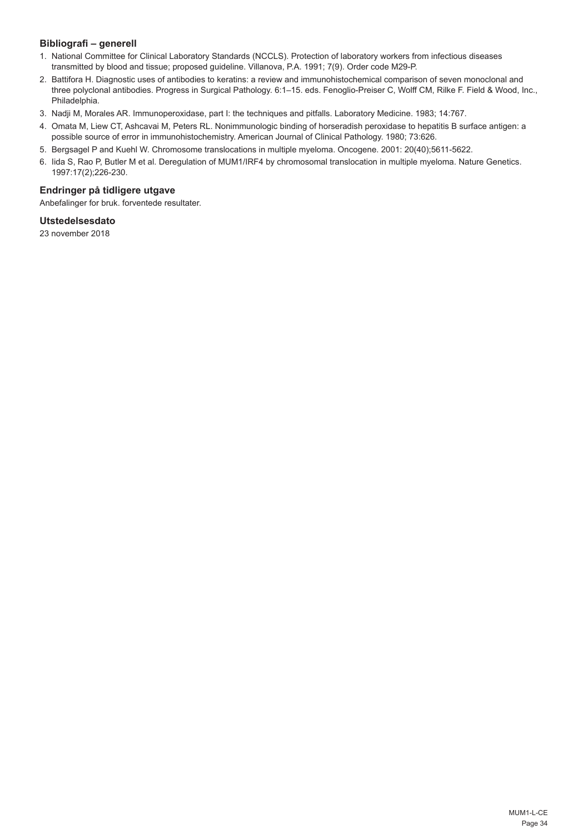# **Bibliografi – generell**

- 1. National Committee for Clinical Laboratory Standards (NCCLS). Protection of laboratory workers from infectious diseases transmitted by blood and tissue; proposed guideline. Villanova, P.A. 1991; 7(9). Order code M29-P.
- 2. Battifora H. Diagnostic uses of antibodies to keratins: a review and immunohistochemical comparison of seven monoclonal and three polyclonal antibodies. Progress in Surgical Pathology. 6:1–15. eds. Fenoglio-Preiser C, Wolff CM, Rilke F. Field & Wood, Inc., Philadelphia.
- 3. Nadji M, Morales AR. Immunoperoxidase, part I: the techniques and pitfalls. Laboratory Medicine. 1983; 14:767.
- 4. Omata M, Liew CT, Ashcavai M, Peters RL. Nonimmunologic binding of horseradish peroxidase to hepatitis B surface antigen: a possible source of error in immunohistochemistry. American Journal of Clinical Pathology. 1980; 73:626.
- 5. Bergsagel P and Kuehl W. Chromosome translocations in multiple myeloma. Oncogene. 2001: 20(40);5611-5622.
- 6. Iida S, Rao P, Butler M et al. Deregulation of MUM1/IRF4 by chromosomal translocation in multiple myeloma. Nature Genetics. 1997:17(2);226-230.

# **Endringer på tidligere utgave**

Anbefalinger for bruk. forventede resultater.

# **Utstedelsesdato**

23 november 2018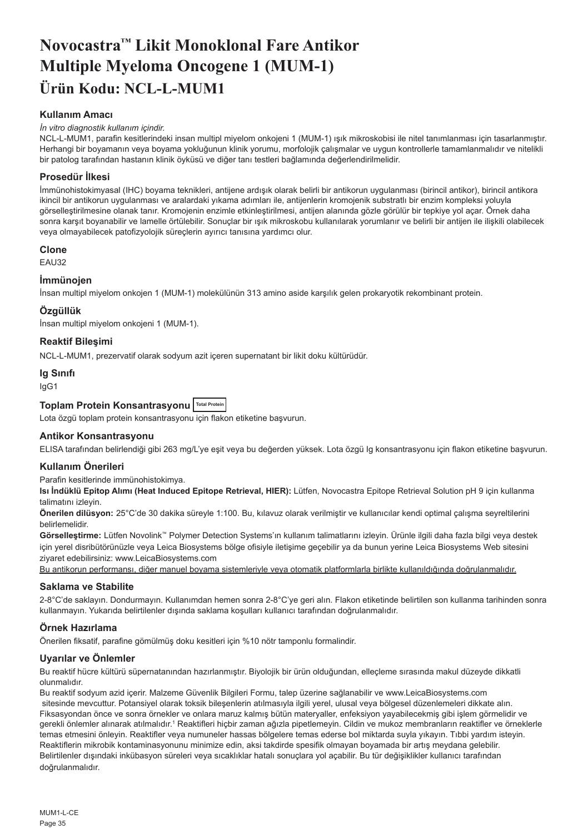# <span id="page-35-0"></span>**Novocastra™ Likit Monoklonal Fare Antikor Multiple Myeloma Oncogene 1 (MUM-1) Ürün Kodu: NCL-L-MUM1**

# **Kullanım Amacı**

### *İn vitro diagnostik kullanım içindir.*

NCL-L-MUM1, parafin kesitlerindeki insan multipl miyelom onkojeni 1 (MUM-1) ışık mikroskobisi ile nitel tanımlanması için tasarlanmıştır. Herhangi bir boyamanın veya boyama yokluğunun klinik yorumu, morfolojik çalışmalar ve uygun kontrollerle tamamlanmalıdır ve nitelikli bir patolog tarafından hastanın klinik öyküsü ve diğer tanı testleri bağlamında değerlendirilmelidir.

# **Prosedür İlkesi**

İmmünohistokimyasal (IHC) boyama teknikleri, antijene ardışık olarak belirli bir antikorun uygulanması (birincil antikor), birincil antikora ikincil bir antikorun uygulanması ve aralardaki yıkama adımları ile, antijenlerin kromojenik substratlı bir enzim kompleksi yoluyla görselleştirilmesine olanak tanır. Kromojenin enzimle etkinleştirilmesi, antijen alanında gözle görülür bir tepkiye yol açar. Örnek daha sonra karşıt boyanabilir ve lamelle örtülebilir. Sonuçlar bir ışık mikroskobu kullanılarak yorumlanır ve belirli bir antijen ile ilişkili olabilecek veya olmayabilecek patofizyolojik süreçlerin ayırıcı tanısına yardımcı olur.

## **Clone**

EAU32

## **İmmünojen**

İnsan multipl miyelom onkojen 1 (MUM-1) molekülünün 313 amino aside karşılık gelen prokaryotik rekombinant protein.

# **Özgüllük**

İnsan multipl miyelom onkojeni 1 (MUM-1).

## **Reaktif Bileşimi**

NCL-L-MUM1, prezervatif olarak sodyum azit içeren supernatant bir likit doku kültürüdür.

## **Ig Sınıfı**

IgG1

# **Toplam Protein Konsantrasyonu Total Protein**

Lota özgü toplam protein konsantrasyonu için flakon etiketine başvurun.

## **Antikor Konsantrasyonu**

ELISA tarafından belirlendiği gibi 263 mg/L'ye eşit veya bu değerden yüksek. Lota özgü Ig konsantrasyonu için flakon etiketine başvurun.

## **Kullanım Önerileri**

Parafin kesitlerinde immünohistokimya.

**Isı İndüklü Epitop Alımı (Heat Induced Epitope Retrieval, HIER):** Lütfen, Novocastra Epitope Retrieval Solution pH 9 için kullanma talimatını izleyin.

**Önerilen dilüsyon:** 25°C'de 30 dakika süreyle 1:100. Bu, kılavuz olarak verilmiştir ve kullanıcılar kendi optimal çalışma seyreltilerini belirlemelidir.

**Görselleştirme:** Lütfen Novolink™ Polymer Detection Systems'ın kullanım talimatlarını izleyin. Ürünle ilgili daha fazla bilgi veya destek için yerel disribütörünüzle veya Leica Biosystems bölge ofisiyle iletişime geçebilir ya da bunun yerine Leica Biosystems Web sitesini ziyaret edebilirsiniz: www.LeicaBiosystems.com

Bu antikorun performansı, diğer manuel boyama sistemleriyle veya otomatik platformlarla birlikte kullanıldığında doğrulanmalıdır.

## **Saklama ve Stabilite**

2-8°C'de saklayın. Dondurmayın. Kullanımdan hemen sonra 2-8°C'ye geri alın. Flakon etiketinde belirtilen son kullanma tarihinden sonra kullanmayın. Yukarıda belirtilenler dışında saklama koşulları kullanıcı tarafından doğrulanmalıdır.

# **Örnek Hazırlama**

Önerilen fiksatif, parafine gömülmüş doku kesitleri için %10 nötr tamponlu formalindir.

## **Uyarılar ve Önlemler**

Bu reaktif hücre kültürü süpernatanından hazırlanmıştır. Biyolojik bir ürün olduğundan, elleçleme sırasında makul düzeyde dikkatli olunmalıdır.

Bu reaktif sodyum azid içerir. Malzeme Güvenlik Bilgileri Formu, talep üzerine sağlanabilir ve www.LeicaBiosystems.com sitesinde mevcuttur. Potansiyel olarak toksik bileşenlerin atılmasıyla ilgili yerel, ulusal veya bölgesel düzenlemeleri dikkate alın. Fiksasyondan önce ve sonra örnekler ve onlara maruz kalmış bütün materyaller, enfeksiyon yayabilecekmiş gibi işlem görmelidir ve gerekli önlemler alınarak atılmalıdır.<sup>ı</sup> Reaktifleri hiçbir zaman ağızla pipetlemeyin. Cildin ve mukoz membranların reaktifler ve örneklerle temas etmesini önleyin. Reaktifler veya numuneler hassas bölgelere temas ederse bol miktarda suyla yıkayın. Tıbbi yardım isteyin. Reaktiflerin mikrobik kontaminasyonunu minimize edin, aksi takdirde spesifik olmayan boyamada bir artış meydana gelebilir. Belirtilenler dışındaki inkübasyon süreleri veya sıcaklıklar hatalı sonuçlara yol açabilir. Bu tür değişiklikler kullanıcı tarafından doğrulanmalıdır.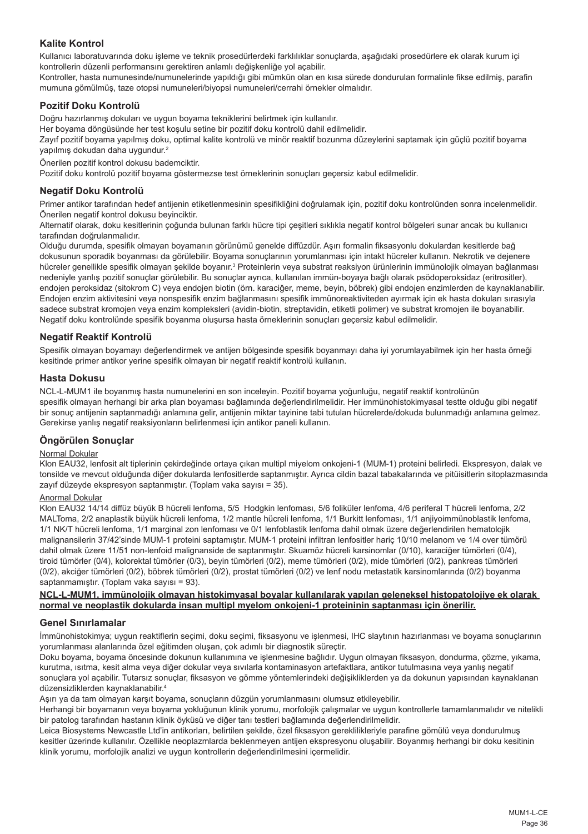# **Kalite Kontrol**

Kullanıcı laboratuvarında doku işleme ve teknik prosedürlerdeki farklılıklar sonuçlarda, aşağıdaki prosedürlere ek olarak kurum içi kontrollerin düzenli performansını gerektiren anlamlı değişkenliğe yol açabilir.

Kontroller, hasta numunesinde/numunelerinde yapıldığı gibi mümkün olan en kısa sürede dondurulan formalinle fikse edilmiş, parafin mumuna gömülmüş, taze otopsi numuneleri/biyopsi numuneleri/cerrahi örnekler olmalıdır.

# **Pozitif Doku Kontrolü**

Doğru hazırlanmış dokuları ve uygun boyama tekniklerini belirtmek için kullanılır.

Her boyama döngüsünde her test koşulu setine bir pozitif doku kontrolü dahil edilmelidir.

Zayıf pozitif boyama yapılmış doku, optimal kalite kontrolü ve minör reaktif bozunma düzeylerini saptamak için güçlü pozitif boyama yapılmış dokudan daha uygundur.<sup>2</sup>

Önerilen pozitif kontrol dokusu bademciktir.

Pozitif doku kontrolü pozitif boyama göstermezse test örneklerinin sonuçları geçersiz kabul edilmelidir.

## **Negatif Doku Kontrolü**

Primer antikor tarafından hedef antijenin etiketlenmesinin spesifikliğini doğrulamak için, pozitif doku kontrolünden sonra incelenmelidir. Önerilen negatif kontrol dokusu beyinciktir.

Alternatif olarak, doku kesitlerinin çoğunda bulunan farklı hücre tipi çeşitleri sıklıkla negatif kontrol bölgeleri sunar ancak bu kullanıcı tarafından doğrulanmalıdır.

Olduğu durumda, spesifik olmayan boyamanın görünümü genelde diffüzdür. Aşırı formalin fiksasyonlu dokulardan kesitlerde bağ dokusunun sporadik boyanması da görülebilir. Boyama sonuçlarının yorumlanması için intakt hücreler kullanın. Nekrotik ve dejenere hücreler genellikle spesifik olmayan şekilde boyanır.<sup>3</sup> Proteinlerin veya substrat reaksiyon ürünlerinin immünolojik olmayan bağlanması nedeniyle yanlış pozitif sonuçlar görülebilir. Bu sonuçlar ayrıca, kullanılan immün-boyaya bağlı olarak psödoperoksidaz (eritrositler), endojen peroksidaz (sitokrom C) veya endojen biotin (örn. karaciğer, meme, beyin, böbrek) gibi endojen enzimlerden de kaynaklanabilir. Endojen enzim aktivitesini veya nonspesifik enzim bağlanmasını spesifik immünoreaktiviteden ayırmak için ek hasta dokuları sırasıyla sadece substrat kromojen veya enzim kompleksleri (avidin-biotin, streptavidin, etiketli polimer) ve substrat kromojen ile boyanabilir. Negatif doku kontrolünde spesifik boyanma oluşursa hasta örneklerinin sonuçları geçersiz kabul edilmelidir.

## **Negatif Reaktif Kontrolü**

Spesifik olmayan boyamayı değerlendirmek ve antijen bölgesinde spesifik boyanmayı daha iyi yorumlayabilmek için her hasta örneği kesitinde primer antikor yerine spesifik olmayan bir negatif reaktif kontrolü kullanın.

## **Hasta Dokusu**

NCL-L-MUM1 ile boyanmış hasta numunelerini en son inceleyin. Pozitif boyama yoğunluğu, negatif reaktif kontrolünün spesifik olmayan herhangi bir arka plan boyaması bağlamında değerlendirilmelidir. Her immünohistokimyasal testte olduğu gibi negatif bir sonuç antijenin saptanmadığı anlamına gelir, antijenin miktar tayinine tabi tutulan hücrelerde/dokuda bulunmadığı anlamına gelmez. Gerekirse yanlış negatif reaksiyonların belirlenmesi için antikor paneli kullanın.

# **Öngörülen Sonuçlar**

# Normal Dokular

Klon EAU32, lenfosit alt tiplerinin çekirdeğinde ortaya çıkan multipl miyelom onkojeni-1 (MUM-1) proteini belirledi. Ekspresyon, dalak ve tonsilde ve mevcut olduğunda diğer dokularda lenfositlerde saptanmıştır. Ayrıca cildin bazal tabakalarında ve pitüisitlerin sitoplazmasında zayıf düzeyde ekspresyon saptanmıştır. (Toplam vaka sayısı = 35).

# Anormal Dokular

Klon EAU32 14/14 diffüz büyük B hücreli lenfoma, 5/5 Hodgkin lenfoması, 5/6 foliküler lenfoma, 4/6 periferal T hücreli lenfoma, 2/2 MALToma, 2/2 anaplastik büyük hücreli lenfoma, 1/2 mantle hücreli lenfoma, 1/1 Burkitt lenfoması, 1/1 anjiyoimmünoblastik lenfoma, 1/1 NK/T hücreli lenfoma, 1/1 marginal zon lenfoması ve 0/1 lenfoblastik lenfoma dahil olmak üzere değerlendirilen hematolojik malignansilerin 37/42'sinde MUM-1 proteini saptamıştır. MUM-1 proteini infiltran lenfositler hariç 10/10 melanom ve 1/4 over tümörü dahil olmak üzere 11/51 non-lenfoid malignanside de saptanmıştır. Skuamöz hücreli karsinomlar (0/10), karaciğer tümörleri (0/4), tiroid tümörler (0/4), kolorektal tümörler (0/3), beyin tümörleri (0/2), meme tümörleri (0/2), mide tümörleri (0/2), pankreas tümörleri (0/2), akciğer tümörleri (0/2), böbrek tümörleri (0/2), prostat tümörleri (0/2) ve lenf nodu metastatik karsinomlarında (0/2) boyanma saptanmamıştır. (Toplam vaka sayısı = 93).

## **NCL-L-MUM1, immünolojik olmayan histokimyasal boyalar kullanılarak yapılan geleneksel histopatolojiye ek olarak normal ve neoplastik dokularda insan multipl myelom onkojeni-1 proteininin saptanması için önerilir.**

# **Genel Sınırlamalar**

İmmünohistokimya; uygun reaktiflerin seçimi, doku seçimi, fiksasyonu ve işlenmesi, IHC slaytının hazırlanması ve boyama sonuçlarının yorumlanması alanlarında özel eğitimden oluşan, çok adımlı bir diagnostik süreçtir.

Doku boyama, boyama öncesinde dokunun kullanımına ve işlenmesine bağlıdır. Uygun olmayan fiksasyon, dondurma, çözme, yıkama, kurutma, ısıtma, kesit alma veya diğer dokular veya sıvılarla kontaminasyon artefaktlara, antikor tutulmasına veya yanlış negatif sonuçlara yol açabilir. Tutarsız sonuçlar, fiksasyon ve gömme yöntemlerindeki değişikliklerden ya da dokunun yapısından kaynaklanan düzensizliklerden kaynaklanabilir.4

Aşırı ya da tam olmayan karşıt boyama, sonuçların düzgün yorumlanmasını olumsuz etkileyebilir.

Herhangi bir boyamanın veya boyama yokluğunun klinik yorumu, morfolojik çalışmalar ve uygun kontrollerle tamamlanmalıdır ve nitelikli bir patolog tarafından hastanın klinik öyküsü ve diğer tanı testleri bağlamında değerlendirilmelidir.

Leica Biosystems Newcastle Ltd'in antikorları, belirtilen şekilde, özel fiksasyon gereklilikleriyle parafine gömülü yeya dondurulmuş kesitler üzerinde kullanılır. Özellikle neoplazmlarda beklenmeyen antijen ekspresyonu oluşabilir. Boyanmış herhangi bir doku kesitinin klinik yorumu, morfolojik analizi ve uygun kontrollerin değerlendirilmesini içermelidir.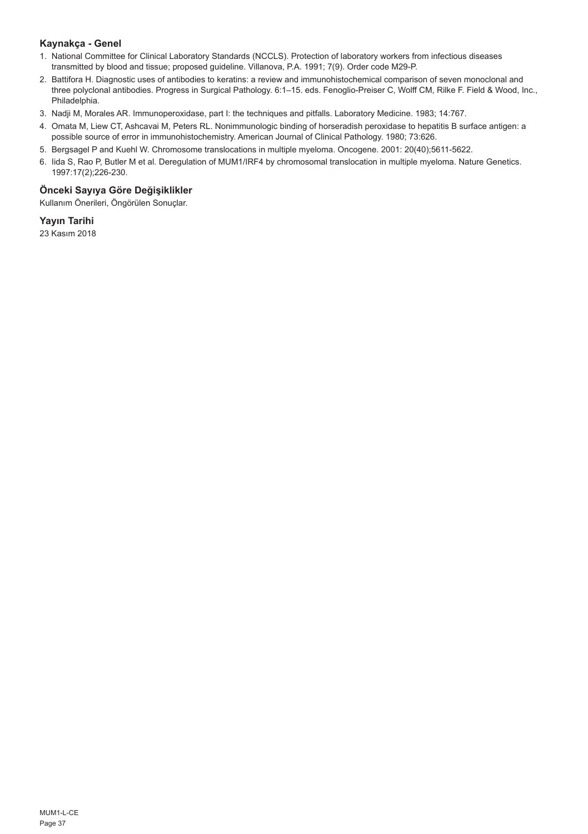# **Kaynakça - Genel**

- 1. National Committee for Clinical Laboratory Standards (NCCLS). Protection of laboratory workers from infectious diseases transmitted by blood and tissue; proposed guideline. Villanova, P.A. 1991; 7(9). Order code M29-P.
- 2. Battifora H. Diagnostic uses of antibodies to keratins: a review and immunohistochemical comparison of seven monoclonal and three polyclonal antibodies. Progress in Surgical Pathology. 6:1–15. eds. Fenoglio-Preiser C, Wolff CM, Rilke F. Field & Wood, Inc., Philadelphia.
- 3. Nadji M, Morales AR. Immunoperoxidase, part I: the techniques and pitfalls. Laboratory Medicine. 1983; 14:767.
- 4. Omata M, Liew CT, Ashcavai M, Peters RL. Nonimmunologic binding of horseradish peroxidase to hepatitis B surface antigen: a possible source of error in immunohistochemistry. American Journal of Clinical Pathology. 1980; 73:626.
- 5. Bergsagel P and Kuehl W. Chromosome translocations in multiple myeloma. Oncogene. 2001: 20(40);5611-5622.
- 6. Iida S, Rao P, Butler M et al. Deregulation of MUM1/IRF4 by chromosomal translocation in multiple myeloma. Nature Genetics. 1997:17(2);226-230.

# **Önceki Sayıya Göre Değişiklikler**

Kullanım Önerileri, Öngörülen Sonuçlar.

# **Yayın Tarihi**

23 Kasım 2018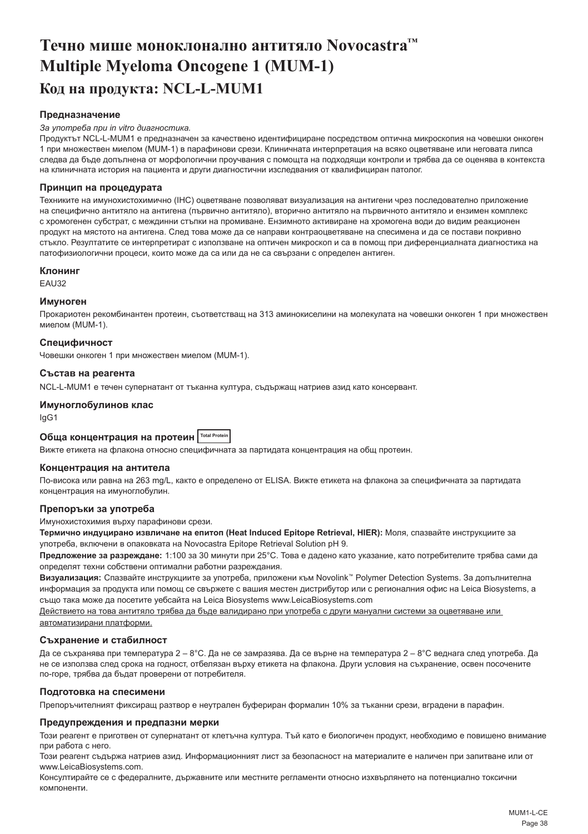# <span id="page-38-0"></span>**Течно мише моноклонално антитяло Novocastra™ Multiple Myeloma Oncogene 1 (MUM-1) Код на продукта: NCL-L-MUM1**

## **Предназначение**

#### *За употреба при in vitro диагностика.*

Продуктът NCL-L-MUM1 е предназначен за качествено идентифициране посредством оптична микроскопия на човешки онкоген 1 при множествен миелом (MUM-1) в парафинови срези. Клиничната интерпретация на всяко оцветяване или неговата липса следва да бъде допълнена от морфологични проучвания с помощта на подходящи контроли и трябва да се оценява в контекста на клиничната история на пациента и други диагностични изследвания от квалифициран патолог.

## **Принцип на процедурата**

Техниките на имунохистохимично (IHC) оцветяване позволяват визуализация на антигени чрез последователно приложение на специфично антитяло на антигена (първично антитяло), вторично антитяло на първичното антитяло и ензимен комплекс с хромогенен субстрат, с междинни стъпки на промиване. Ензимното активиране на хромогена води до видим реакционен продукт на мястото на антигена. След това може да се направи контраоцветяване на спесимена и да се постави покривно стъкло. Резултатите се интерпретират с използване на оптичен микроскоп и са в помощ при диференциалната диагностика на патофизиологични процеси, които може да са или да не са свързани с определен антиген.

### **Клонинг**

EAU32

## **Имуноген**

Прокариотен рекомбинантен протеин, съответстващ на 313 аминокиселини на молекулата на човешки онкоген 1 при множествен миелом (MUM-1).

## **Специфичност**

Човешки онкоген 1 при множествен миелом (MUM-1).

### **Състав на реагента**

NCL-L-MUM1 е течен супернатант от тъканна култура, съдържащ натриев азид като консервант.

## **Имуноглобулинов клас**

IgG1

# **Обща концентрация на протеин Total Protein**

Вижте етикета на флакона относно специфичната за партидата концентрация на общ протеин.

## **Концентрация на антитела**

По-висока или равна на 263 mg/L, както е определено от ELISA. Вижте етикета на флакона за специфичната за партидата концентрация на имуноглобулин.

### **Препоръки за употреба**

Имунохистохимия върху парафинови срези.

**Термично индуцирано извличане на епитоп (Heat Induced Epitope Retrieval, HIER):** Моля, спазвайте инструкциите за употреба, включени в опаковката на Novocastra Epitope Retrieval Solution pH 9.

**Предложение за разреждане:** 1:100 за 30 минути при 25°C. Това е дадено като указание, като потребителите трябва сами да определят техни собствени оптимални работни разреждания.

**Визуализация:** Спазвайте инструкциите за употреба, приложени към Novolink™ Polymer Detection Systems. За допълнителна информация за продукта или помощ се свържете с вашия местен дистрибутор или с регионалния офис на Leica Biosystems, а също така може да посетите уебсайта на Leica Biosystems www.LeicaBiosystems.com

Действието на това антитяло трябва да бъде валидирано при употреба с други мануални системи за оцветяване или автоматизирани платформи.

# **Съхранение и стабилност**

Да се съхранява при температура 2 – 8°C. Да не се замразява. Да се върне на температура 2 – 8°C веднага след употреба. Да не се използва след срока на годност, отбелязан върху етикета на флакона. Други условия на съхранение, освен посочените по-горе, трябва да бъдат проверени от потребителя.

### **Подготовка на спесимени**

Препоръчителният фиксиращ разтвор е неутрален буфериран формалин 10% за тъканни срези, вградени в парафин.

### **Предупреждения и предпазни мерки**

Този реагент е приготвен от супернатант от клетъчна култура. Тъй като е биологичен продукт, необходимо е повишено внимание при работа с него.

Този реагент съдържа натриев азид. Информационният лист за безопасност на материалите е наличен при запитване или от www.LeicaBiosystems.com.

Консултирайте се с федералните, държавните или местните регламенти относно изхвърлянето на потенциално токсични компоненти.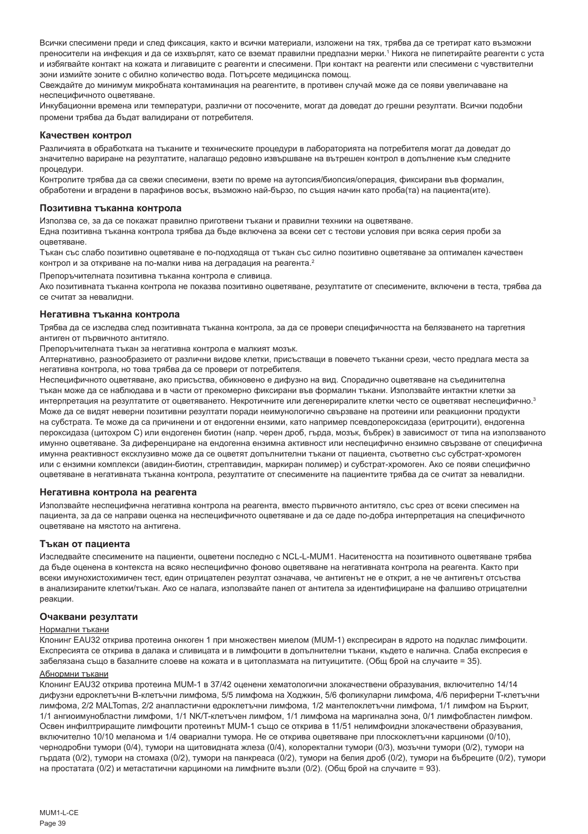Всички спесимени преди и след фиксация, както и всички материали, изложени на тях, трябва да се третират като възможни преносители на инфекция и да се изхвърлят, като се вземат правилни предпазни мерки.' Никога не пипетирайте реагенти с уста и избягвайте контакт на кожата и лигавиците с реагенти и спесимени. При контакт на реагенти или спесимени с чувствителни зони измийте зоните с обилно количество вода. Потърсете медицинска помощ.

Свеждайте до минимум микробната контаминация на реагентите, в противен случай може да се появи увеличаване на неспецифичното оцветяване.

Инкубационни времена или температури, различни от посочените, могат да доведат до грешни резултати. Всички подобни промени трябва да бъдат валидирани от потребителя.

## **Качествен контрол**

Различията в обработката на тъканите и техническите процедури в лабораторията на потребителя могат да доведат до значително вариране на резултатите, налагащо редовно извършване на вътрешен контрол в допълнение към следните процедури.

Контролите трябва да са свежи спесимени, взети по време на аутопсия/биопсия/операция, фиксирани във формалин, обработени и вградени в парафинов восък, възможно най-бързо, по същия начин като проба(та) на пациента(ите).

#### **Позитивна тъканна контрола**

Използва се, за да се покажат правилно приготвени тъкани и правилни техники на оцветяване.

Една позитивна тъканна контрола трябва да бъде включена за всеки сет с тестови условия при всяка серия проби за оцветяване.

Тъкан със слабо позитивно оцветяване е по-подходяща от тъкан със силно позитивно оцветяване за оптимален качествен контрол и за откриване на по-малки нива на деградация на реагента.<sup>2</sup>

Препоръчителната позитивна тъканна контрола е сливица.

Ако позитивната тъканна контрола не показва позитивно оцветяване, резултатите от спесимените, включени в теста, трябва да се считат за невалидни.

#### **Негативна тъканна контрола**

Трябва да се изследва след позитивната тъканна контрола, за да се провери специфичността на белязването на таргетния антиген от първичното антитяло.

Препоръчителната тъкан за негативна контрола е малкият мозък.

Алтернативно, разнообразието от различни видове клетки, присъстващи в повечето тъканни срези, често предлага места за негативна контрола, но това трябва да се провери от потребителя.

Неспецифичното оцветяване, ако присъства, обикновено е дифузно на вид. Спорадично оцветяване на съединителна тъкан може да се наблюдава и в части от прекомерно фиксирани във формалин тъкани. Използвайте интактни клетки за интерпретация на резултатите от оцветяването. Некротичните или дегенериралите клетки често се оцветяват неспецифично.<sup>3</sup> Може да се видят неверни позитивни резултати поради неимунологично свързване на протеини или реакционни продукти на субстрата. Те може да са причинени и от ендогенни ензими, като например псевдопероксидаза (еритроцити), ендогенна пероксидаза (цитохром C) или ендогенен биотин (напр. черен дроб, гърда, мозък, бъбрек) в зависимост от типа на използваното имунно оцветяване. За диференциране на ендогенна ензимна активност или неспецифично ензимно свързване от специфична имунна реактивност ексклузивно може да се оцветят допълнителни тъкани от пациента, съответно със субстрат-хромоген или с ензимни комплекси (авидин-биотин, стрептавидин, маркиран полимер) и субстрат-хромоген. Ако се появи специфично оцветяване в негативната тъканна контрола, резултатите от спесимените на пациентите трябва да се считат за невалидни.

### **Негативна контрола на реагента**

Използвайте неспецифична негативна контрола на реагента, вместо първичното антитяло, със срез от всеки спесимен на пациента, за да се направи оценка на неспецифичното оцветяване и да се даде по-добра интерпретация на специфичното оцветяване на мястото на антигена.

### **Тъкан от пациента**

Изследвайте спесимените на пациенти, оцветени последно с NCL-L-MUM1. Наситеността на позитивното оцветяване трябва да бъде оценена в контекста на всяко неспецифично фоново оцветяване на негативната контрола на реагента. Както при всеки имунохистохимичен тест, един отрицателен резултат означава, че антигенът не е открит, а не че антигенът отсъства в анализираните клетки/тъкан. Ако се налага, използвайте панел от антитела за идентифициране на фалшиво отрицателни реакции.

#### **Очаквани резултати**

#### Нормални тъкани

Клонинг EAU32 открива протеина онкоген 1 при множествен миелом (MUM-1) експресиран в ядрото на подклас лимфоцити. Експресията се открива в далака и сливицата и в лимфоцити в допълнителни тъкани, където е налична. Слаба експресия е забелязана също в базалните слоеве на кожата и в цитоплазмата на питуицитите. (Общ брой на случаите = 35).

# Абнормни тъкани

Клонинг EAU32 открива протеина MUM-1 в 37/42 оценени хематологични злокачествени образувания, включително 14/14 дифузни едроклетъчни B-клетъчни лимфома, 5/5 лимфома на Ходжкин, 5/6 фоликуларни лимфома, 4/6 периферни T-клетъчни лимфома, 2/2 MALTomas, 2/2 анапластични едроклетъчни лимфома, 1/2 мантелоклетъчни лимфома, 1/1 лимфом на Бъркит, 1/1 ангиоимунобластни лимфоми, 1/1 NK/T-клетъчен лимфом, 1/1 лимфома на маргинална зона, 0/1 лимфобластен лимфом. Освен инфилтриращите лимфоцити протеинът MUM-1 също се открива в 11/51 нелимфоидни злокачествени образувания, включително 10/10 меланома и 1/4 овариални тумора. Не се открива оцветяване при плоскоклетъчни карциноми (0/10), чернодробни тумори (0/4), тумори на щитовидната жлеза (0/4), колоректални тумори (0/3), мозъчни тумори (0/2), тумори на гърдата (0/2), тумори на стомаха (0/2), тумори на панкреаса (0/2), тумори на белия дроб (0/2), тумори на бъбреците (0/2), тумори на простатата (0/2) и метастатични карциноми на лимфните възли (0/2). (Общ брой на случаите = 93).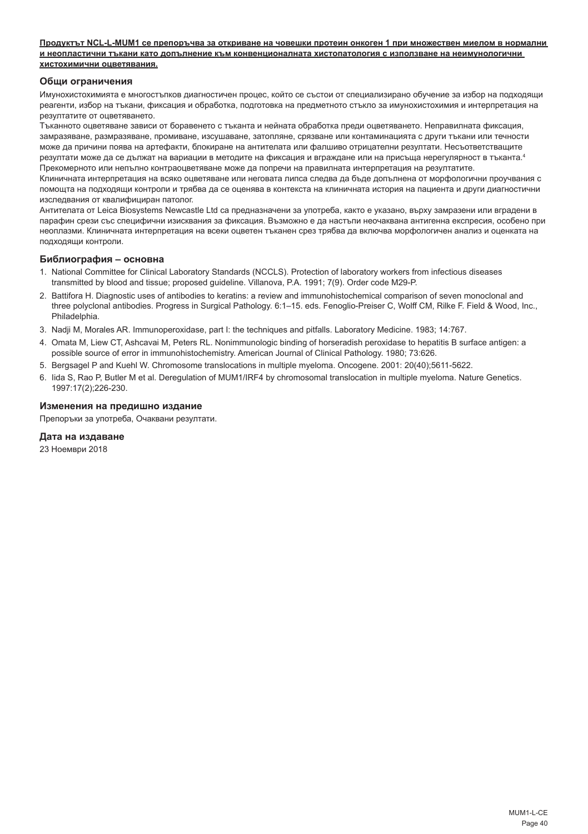### **Продуктът NCL-L-MUM1 се препоръчва за откриване на човешки протеин онкоген 1 при множествен миелом в нормални и неопластични тъкани като допълнение към конвенционалната хистопатология с използване на неимунологични хистохимични оцветявания.**

## **Общи ограничения**

Имунохистохимията е многостъпков диагностичен процес, който се състои от специализирано обучение за избор на подходящи реагенти, избор на тъкани, фиксация и обработка, подготовка на предметното стъкло за имунохистохимия и интерпретация на резултатите от оцветяването.

Тъканното оцветяване зависи от боравенето с тъканта и нейната обработка преди оцветяването. Неправилната фиксация, замразяване, размразяване, промиване, изсушаване, затопляне, срязване или контаминацията с други тъкани или течности може да причини поява на артефакти, блокиране на антителата или фалшиво отрицателни резултати. Несъответстващите резултати може да се дължат на вариации в методите на фиксация и вграждане или на присъща нерегулярност в тъканта.<sup>4</sup> Прекомерното или непълно контраоцветяване може да попречи на правилната интерпретация на резултатите.

Клиничната интерпретация на всяко оцветяване или неговата липса следва да бъде допълнена от морфологични проучвания с помощта на подходящи контроли и трябва да се оценява в контекста на клиничната история на пациента и други диагностични изследвания от квалифициран патолог.

Антителата от Leica Biosystems Newcastle Ltd са предназначени за употреба, както е указано, върху замразени или вградени в парафин срези със специфични изисквания за фиксация. Възможно е да настъпи неочаквана антигенна експресия, особено при неоплазми. Клиничната интерпретация на всеки оцветен тъканен срез трябва да включва морфологичен анализ и оценката на подходящи контроли.

### **Библиография – основна**

- 1. National Committee for Clinical Laboratory Standards (NCCLS). Protection of laboratory workers from infectious diseases transmitted by blood and tissue; proposed guideline. Villanova, P.A. 1991; 7(9). Order code M29-P.
- 2. Battifora H. Diagnostic uses of antibodies to keratins: a review and immunohistochemical comparison of seven monoclonal and three polyclonal antibodies. Progress in Surgical Pathology. 6:1–15. eds. Fenoglio-Preiser C, Wolff CM, Rilke F. Field & Wood, Inc., Philadelphia.
- 3. Nadji M, Morales AR. Immunoperoxidase, part I: the techniques and pitfalls. Laboratory Medicine. 1983; 14:767.
- 4. Omata M, Liew CT, Ashcavai M, Peters RL. Nonimmunologic binding of horseradish peroxidase to hepatitis B surface antigen: a possible source of error in immunohistochemistry. American Journal of Clinical Pathology. 1980; 73:626.
- 5. Bergsagel P and Kuehl W. Chromosome translocations in multiple myeloma. Oncogene. 2001: 20(40);5611-5622.
- 6. Iida S, Rao P, Butler M et al. Deregulation of MUM1/IRF4 by chromosomal translocation in multiple myeloma. Nature Genetics. 1997:17(2);226-230.

## **Изменения на предишно издание**

Препоръки за употреба, Очаквани резултати.

## **Дата на издаване**

23 Ноември 2018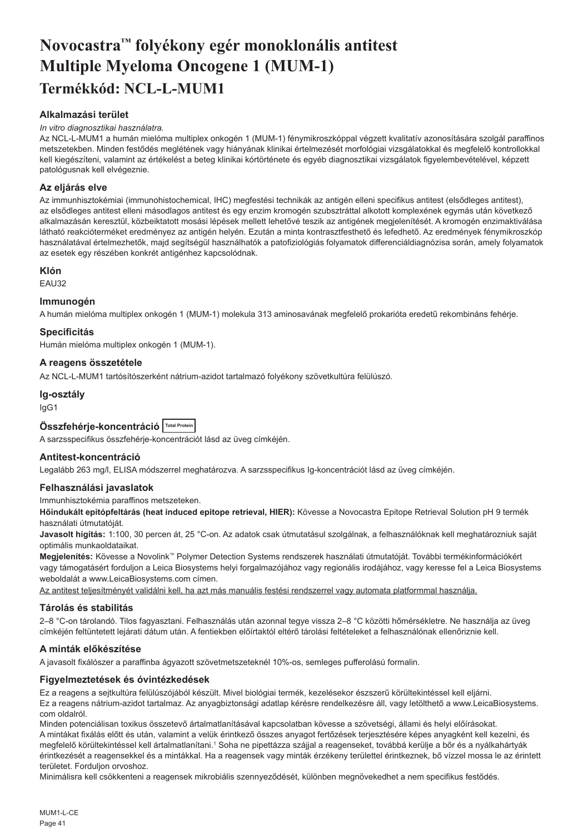# <span id="page-41-0"></span>**Novocastra™ folyékony egér monoklonális antitest Multiple Myeloma Oncogene 1 (MUM-1) Termékkód: NCL-L-MUM1**

# **Alkalmazási terület**

### *In vitro diagnosztikai használatra.*

Az NCL-L-MUM1 a humán mielóma multiplex onkogén 1 (MUM-1) fénymikroszkóppal végzett kvalitatív azonosítására szolgál paraffinos metszetekben. Minden festődés meglétének vagy hiányának klinikai értelmezését morfológiai vizsgálatokkal és megfelelő kontrollokkal kell kiegészíteni, valamint az értékelést a beteg klinikai kórtörténete és egyéb diagnosztikai vizsgálatok figyelembevételével, képzett patológusnak kell elvégeznie.

## **Az eljárás elve**

Az immunhisztokémiai (immunohistochemical, IHC) megfestési technikák az antigén elleni specifikus antitest (elsődleges antitest), az elsődleges antitest elleni másodlagos antitest és egy enzim kromogén szubsztráttal alkotott komplexének egymás után következő alkalmazásán keresztül, közbeiktatott mosási lépések mellett lehetővé teszik az antigének megjelenítését. A kromogén enzimaktiválása látható reakcióterméket eredményez az antigén helyén. Ezután a minta kontrasztfesthető és lefedhető. Az eredmények fénymikroszkóp használatával értelmezhetők, majd segítségül használhatók a patofiziológiás folyamatok differenciáldiagnózisa során, amely folyamatok az esetek egy részében konkrét antigénhez kapcsolódnak.

## **Klón**

EAU32

## **Immunogén**

A humán mielóma multiplex onkogén 1 (MUM-1) molekula 313 aminosavának megfelelő prokarióta eredetű rekombináns fehérje.

# **Specificitás**

Humán mielóma multiplex onkogén 1 (MUM-1).

# **A reagens összetétele**

Az NCL-L-MUM1 tartósítószerként nátrium-azidot tartalmazó folyékony szövetkultúra felülúszó.

### **Ig-osztály**

IgG1

| Összfehérje-koncentráció Total Protein |  |  |
|----------------------------------------|--|--|
|----------------------------------------|--|--|

A sarzsspecifikus összfehérje-koncentrációt lásd az üveg címkéjén.

# **Antitest-koncentráció**

Legalább 263 mg/l, ELISA módszerrel meghatározva. A sarzsspecifikus Ig-koncentrációt lásd az üveg címkéjén.

## **Felhasználási javaslatok**

### Immunhisztokémia paraffinos metszeteken.

**Hőindukált epitópfeltárás (heat induced epitope retrieval, HIER):** Kövesse a Novocastra Epitope Retrieval Solution pH 9 termék használati útmutatóját.

**Javasolt hígítás:** 1:100, 30 percen át, 25 °C-on. Az adatok csak útmutatásul szolgálnak, a felhasználóknak kell meghatározniuk saját optimális munkaoldataikat.

**Megjelenítés:** Kövesse a Novolink™ Polymer Detection Systems rendszerek használati útmutatóját. További termékinformációkért vagy támogatásért forduljon a Leica Biosystems helyi forgalmazójához vagy regionális irodájához, vagy keresse fel a Leica Biosystems weboldalát a www.LeicaBiosystems.com címen.

Az antitest teljesítményét validálni kell, ha azt más manuális festési rendszerrel vagy automata platformmal használja.

### **Tárolás és stabilitás**

2–8 °C-on tárolandó. Tilos fagyasztani. Felhasználás után azonnal tegye vissza 2–8 °C közötti hőmérsékletre. Ne használja az üveg címkéjén feltüntetett lejárati dátum után. A fentiekben előírtaktól eltérő tárolási feltételeket a felhasználónak ellenőriznie kell.

## **A minták előkészítése**

A javasolt fixálószer a paraffinba ágyazott szövetmetszeteknél 10%-os, semleges pufferolású formalin.

## **Figyelmeztetések és óvintézkedések**

Ez a reagens a sejtkultúra felülúszójából készült. Mivel biológiai termék, kezelésekor észszerű körültekintéssel kell eljárni. Ez a reagens nátrium-azidot tartalmaz. Az anyagbiztonsági adatlap kérésre rendelkezésre áll, vagy letölthető a www.LeicaBiosystems. com oldalról.

Minden potenciálisan toxikus összetevő ártalmatlanításával kapcsolatban kövesse a szövetségi, állami és helyi előírásokat. A mintákat fixálás előtt és után, valamint a velük érintkező összes anyagot fertőzések terjesztésére képes anyagként kell kezelni, és megfelelő körültekintéssel kell ártalmatlanítani.<sup>1</sup> Soha ne pipettázza szájjal a reagenseket, továbbá kerülje a bőr és a nyálkahártyák érintkezését a reagensekkel és a mintákkal. Ha a reagensek vagy minták érzékeny területtel érintkeznek, bő vízzel mossa le az érintett területet. Forduljon orvoshoz.

Minimálisra kell csökkenteni a reagensek mikrobiális szennyeződését, különben megnövekedhet a nem specifikus festődés.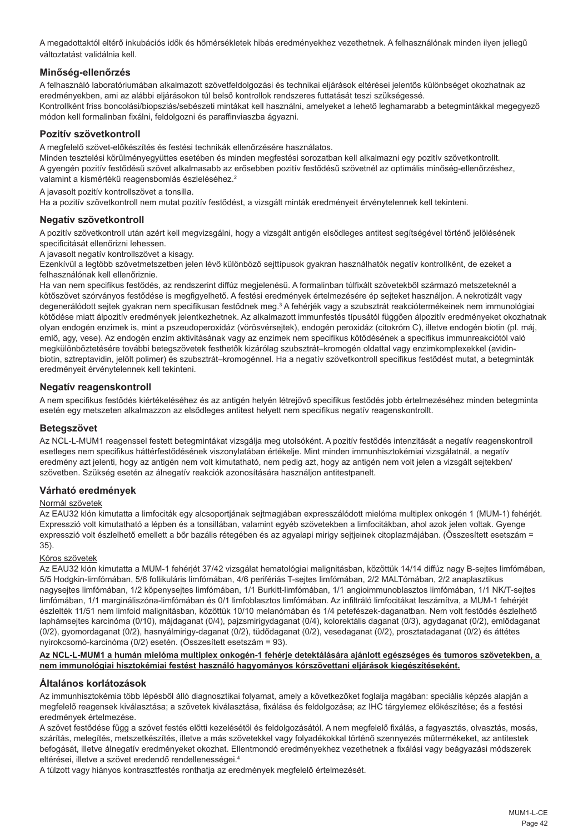A megadottaktól eltérő inkubációs idők és hőmérsékletek hibás eredményekhez vezethetnek. A felhasználónak minden ilyen jellegű változtatást validálnia kell.

# **Minőség-ellenőrzés**

A felhasználó laboratóriumában alkalmazott szövetfeldolgozási és technikai eljárások eltérései jelentős különbséget okozhatnak az eredményekben, ami az alábbi eljárásokon túl belső kontrollok rendszeres futtatását teszi szükségessé. Kontrollként friss boncolási/biopsziás/sebészeti mintákat kell használni, amelyeket a lehető leghamarabb a betegmintákkal megegyező módon kell formalinban fixálni, feldolgozni és paraffinviaszba ágyazni.

## **Pozitív szövetkontroll**

A megfelelő szövet-előkészítés és festési technikák ellenőrzésére használatos.

Minden tesztelési körülményegyüttes esetében és minden megfestési sorozatban kell alkalmazni egy pozitív szövetkontrollt. A gyengén pozitív festődésű szövet alkalmasabb az erősebben pozitív festődésű szövetnél az optimális minőség-ellenőrzéshez, valamint a kismértékű reagensbomlás észleléséhez.<sup>2</sup>

A javasolt pozitív kontrollszövet a tonsilla.

Ha a pozitív szövetkontroll nem mutat pozitív festődést, a vizsgált minták eredményeit érvénytelennek kell tekinteni.

## **Negatív szövetkontroll**

A pozitív szövetkontroll után azért kell megvizsgálni, hogy a vizsgált antigén elsődleges antitest segítségével történő jelölésének specificitását ellenőrizni lehessen.

A javasolt negatív kontrollszövet a kisagy.

Ezenkívül a legtöbb szövetmetszetben jelen lévő különböző sejttípusok gyakran használhatók negatív kontrollként, de ezeket a felhasználónak kell ellenőriznie.

Ha van nem specifikus festődés, az rendszerint diffúz megjelenésű. A formalinban túlfixált szövetekből származó metszeteknél a kötőszövet szórványos festődése is megfigyelhető. A festési eredmények értelmezésére ép sejteket használjon. A nekrotizált vagy degenerálódott sejtek gyakran nem specifikusan festődnek meg.<sup>3</sup> A fehérjék vagy a szubsztrát reakciótermékeinek nem immunológiai kötődése miatt álpozitív eredmények jelentkezhetnek. Az alkalmazott immunfestés típusától függően álpozitív eredményeket okozhatnak olyan endogén enzimek is, mint a pszeudoperoxidáz (vörösvérsejtek), endogén peroxidáz (citokróm C), illetve endogén biotin (pl. máj, emlő, agy, vese). Az endogén enzim aktivitásának vagy az enzimek nem specifikus kötődésének a specifikus immunreakciótól való megkülönböztetésére további betegszövetek festhetők kizárólag szubsztrát–kromogén oldattal vagy enzimkomplexekkel (avidinbiotin, sztreptavidin, jelölt polimer) és szubsztrát–kromogénnel. Ha a negatív szövetkontroll specifikus festődést mutat, a betegminták eredményeit érvénytelennek kell tekinteni.

## **Negatív reagenskontroll**

A nem specifikus festődés kiértékeléséhez és az antigén helyén létrejövő specifikus festődés jobb értelmezéséhez minden betegminta esetén egy metszeten alkalmazzon az elsődleges antitest helyett nem specifikus negatív reagenskontrollt.

### **Betegszövet**

Az NCL-L-MUM1 reagenssel festett betegmintákat vizsgálja meg utolsóként. A pozitív festődés intenzitását a negatív reagenskontroll esetleges nem specifikus háttérfestődésének viszonylatában értékelje. Mint minden immunhisztokémiai vizsgálatnál, a negatív eredmény azt jelenti, hogy az antigén nem volt kimutatható, nem pedig azt, hogy az antigén nem volt jelen a vizsgált sejtekben/ szövetben. Szükség esetén az álnegatív reakciók azonosítására használjon antitestpanelt.

### **Várható eredmények**

### Normál szövetek

Az EAU32 klón kimutatta a limfociták egy alcsoportjának sejtmagjában expresszálódott mielóma multiplex onkogén 1 (MUM-1) fehérjét. Expresszió volt kimutatható a lépben és a tonsillában, valamint egyéb szövetekben a limfocitákban, ahol azok jelen voltak. Gyenge expresszió volt észlelhető emellett a bőr bazális rétegében és az agyalapi mirigy sejtjeinek citoplazmájában. (Összesített esetszám = 35).

### Kóros szövetek

Az EAU32 klón kimutatta a MUM-1 fehérjét 37/42 vizsgálat hematológiai malignitásban, közöttük 14/14 diffúz nagy B-sejtes limfómában, 5/5 Hodgkin-limfómában, 5/6 follikuláris limfómában, 4/6 perifériás T-sejtes limfómában, 2/2 MALTómában, 2/2 anaplasztikus nagysejtes limfómában, 1/2 köpenysejtes limfómában, 1/1 Burkitt-limfómában, 1/1 angioimmunoblasztos limfómában, 1/1 NK/T-sejtes limfómában, 1/1 margináliszóna-limfómában és 0/1 limfoblasztos limfómában. Az infiltráló limfocitákat leszámítva, a MUM-1 fehérjét észlelték 11/51 nem limfoid malignitásban, közöttük 10/10 melanómában és 1/4 petefészek-daganatban. Nem volt festődés észlelhető laphámsejtes karcinóma (0/10), májdaganat (0/4), pajzsmirigydaganat (0/4), kolorektális daganat (0/3), agydaganat (0/2), emlődaganat (0/2), gyomordaganat (0/2), hasnyálmirigy-daganat (0/2), tüdődaganat (0/2), vesedaganat (0/2), prosztatadaganat (0/2) és áttétes nyirokcsomó-karcinóma (0/2) esetén. (Összesített esetszám = 93).

### **Az NCL-L-MUM1 a humán mielóma multiplex onkogén-1 fehérje detektálására ajánlott egészséges és tumoros szövetekben, a nem immunológiai hisztokémiai festést használó hagyományos kórszövettani eljárások kiegészítéseként.**

## **Általános korlátozások**

Az immunhisztokémia több lépésből álló diagnosztikai folyamat, amely a következőket foglalja magában: speciális képzés alapján a megfelelő reagensek kiválasztása; a szövetek kiválasztása, fixálása és feldolgozása; az IHC tárgylemez előkészítése; és a festési eredmények értelmezése.

A szövet festődése függ a szövet festés előtti kezelésétől és feldolgozásától. A nem megfelelő fixálás, a fagyasztás, olvasztás, mosás, szárítás, melegítés, metszetkészítés, illetve a más szövetekkel vagy folyadékokkal történő szennyezés műtermékeket, az antitestek befogását, illetve álnegatív eredményeket okozhat. Ellentmondó eredményekhez vezethetnek a fixálási vagy beágyazási módszerek eltérései, illetve a szövet eredendő rendellenességei.4

A túlzott vagy hiányos kontrasztfestés ronthatja az eredmények megfelelő értelmezését.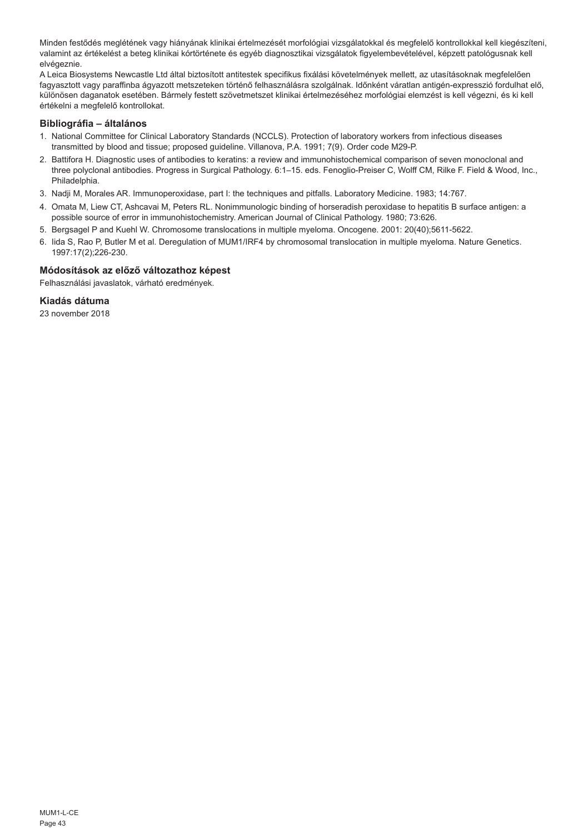Minden festődés meglétének vagy hiányának klinikai értelmezését morfológiai vizsgálatokkal és megfelelő kontrollokkal kell kiegészíteni, valamint az értékelést a beteg klinikai kórtörténete és egyéb diagnosztikai vizsgálatok figyelembevételével, képzett patológusnak kell elvégeznie.

A Leica Biosystems Newcastle Ltd által biztosított antitestek specifikus fixálási követelmények mellett, az utasításoknak megfelelően fagyasztott vagy paraffinba ágyazott metszeteken történő felhasználásra szolgálnak. Időnként váratlan antigén-expresszió fordulhat elő, különösen daganatok esetében. Bármely festett szövetmetszet klinikai értelmezéséhez morfológiai elemzést is kell végezni, és ki kell értékelni a megfelelő kontrollokat.

# **Bibliográfia – általános**

- 1. National Committee for Clinical Laboratory Standards (NCCLS). Protection of laboratory workers from infectious diseases transmitted by blood and tissue; proposed guideline. Villanova, P.A. 1991; 7(9). Order code M29-P.
- 2. Battifora H. Diagnostic uses of antibodies to keratins: a review and immunohistochemical comparison of seven monoclonal and three polyclonal antibodies. Progress in Surgical Pathology. 6:1–15. eds. Fenoglio-Preiser C, Wolff CM, Rilke F. Field & Wood, Inc., Philadelphia.
- 3. Nadji M, Morales AR. Immunoperoxidase, part I: the techniques and pitfalls. Laboratory Medicine. 1983; 14:767.
- 4. Omata M, Liew CT, Ashcavai M, Peters RL. Nonimmunologic binding of horseradish peroxidase to hepatitis B surface antigen: a possible source of error in immunohistochemistry. American Journal of Clinical Pathology. 1980; 73:626.
- 5. Bergsagel P and Kuehl W. Chromosome translocations in multiple myeloma. Oncogene. 2001: 20(40);5611-5622.
- 6. Iida S, Rao P, Butler M et al. Deregulation of MUM1/IRF4 by chromosomal translocation in multiple myeloma. Nature Genetics. 1997:17(2);226-230.

# **Módosítások az előző változathoz képest**

Felhasználási javaslatok, várható eredmények.

## **Kiadás dátuma**

23 november 2018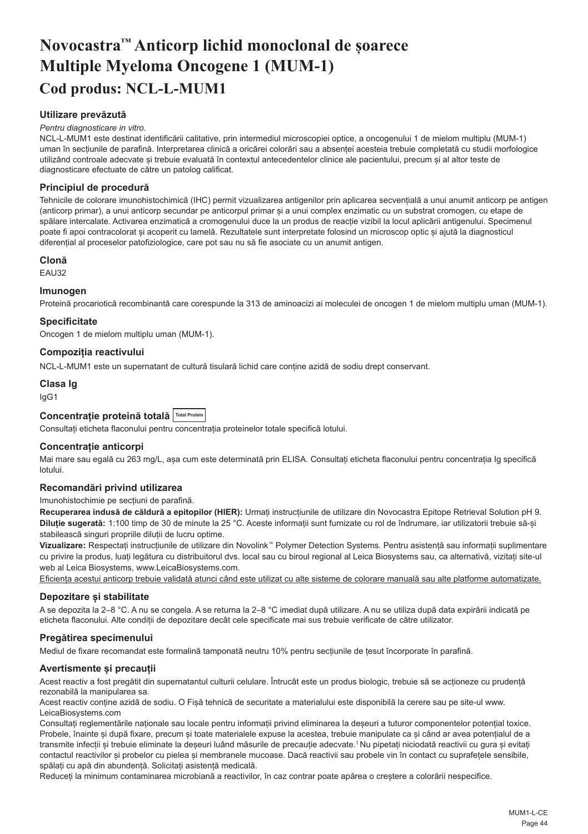# <span id="page-44-0"></span>**Novocastra™ Anticorp lichid monoclonal de șoarece Multiple Myeloma Oncogene 1 (MUM-1) Cod produs: NCL-L-MUM1**

# **Utilizare prevăzută**

#### *Pentru diagnosticare in vitro.*

NCL-L-MUM1 este destinat identificării calitative, prin intermediul microscopiei optice, a oncogenului 1 de mielom multiplu (MUM-1) uman în secțiunile de parafină. Interpretarea clinică a oricărei colorări sau a absenței acesteia trebuie completată cu studii morfologice utilizând controale adecvate și trebuie evaluată în contextul antecedentelor clinice ale pacientului, precum și al altor teste de diagnosticare efectuate de către un patolog calificat.

## **Principiul de procedură**

Tehnicile de colorare imunohistochimică (IHC) permit vizualizarea antigenilor prin aplicarea secvențială a unui anumit anticorp pe antigen (anticorp primar), a unui anticorp secundar pe anticorpul primar și a unui complex enzimatic cu un substrat cromogen, cu etape de spălare intercalate. Activarea enzimatică a cromogenului duce la un produs de reacție vizibil la locul aplicării antigenului. Specimenul poate fi apoi contracolorat și acoperit cu lamelă. Rezultatele sunt interpretate folosind un microscop optic și ajută la diagnosticul diferențial al proceselor patofiziologice, care pot sau nu să fie asociate cu un anumit antigen.

## **Clonă**

EAU32

### **Imunogen**

Proteină procariotică recombinantă care corespunde la 313 de aminoacizi ai moleculei de oncogen 1 de mielom multiplu uman (MUM-1).

## **Specificitate**

Oncogen 1 de mielom multiplu uman (MUM-1).

## **Compoziția reactivului**

NCL-L-MUM1 este un supernatant de cultură tisulară lichid care conține azidă de sodiu drept conservant.

## **Clasa Ig**

IgG1

## **Concentrație proteină totală Total Protein**

Consultați eticheta flaconului pentru concentrația proteinelor totale specifică lotului.

# **Concentrație anticorpi**

Mai mare sau egală cu 263 mg/L, așa cum este determinată prin ELISA. Consultați eticheta flaconului pentru concentrația lg specifică lotului.

## **Recomandări privind utilizarea**

#### Imunohistochimie pe secțiuni de parafină.

**Recuperarea indusă de căldură a epitopilor (HIER):** Urmați instrucțiunile de utilizare din Novocastra Epitope Retrieval Solution pH 9. **Diluție sugerată:** 1:100 timp de 30 de minute la 25 °C. Aceste informații sunt furnizate cu rol de îndrumare, iar utilizatorii trebuie să-și stabilească singuri propriile diluții de lucru optime.

**Vizualizare:** Respectați instrucțiunile de utilizare din Novolink™ Polymer Detection Systems. Pentru asistență sau informații suplimentare cu privire la produs, luați legătura cu distribuitorul dvs. local sau cu biroul regional al Leica Biosystems sau, ca alternativă, vizitați site-ul web al Leica Biosystems, www.LeicaBiosystems.com.

Eficiența acestui anticorp trebuie validată atunci când este utilizat cu alte sisteme de colorare manuală sau alte platforme automatizate.

### **Depozitare și stabilitate**

A se depozita la 2–8 °C. A nu se congela. A se returna la 2–8 °C imediat după utilizare. A nu se utiliza după data expirării indicată pe eticheta flaconului. Alte condiții de depozitare decât cele specificate mai sus trebuie verificate de către utilizator.

### **Pregătirea specimenului**

Mediul de fixare recomandat este formalină tamponată neutru 10% pentru secțiunile de țesut încorporate în parafină.

## **Avertismente și precauții**

Acest reactiv a fost pregătit din supernatantul culturii celulare. Întrucât este un produs biologic, trebuie să se acționeze cu prudență rezonabilă la manipularea sa.

Acest reactiv conține azidă de sodiu. O Fișă tehnică de securitate a materialului este disponibilă la cerere sau pe site-ul www. LeicaBiosystems.com

Consultați reglementările naționale sau locale pentru informații privind eliminarea la deșeuri a tuturor componentelor potențial toxice. Probele, înainte și după fixare, precum și toate materialele expuse la acestea, trebuie manipulate ca și când ar avea potențialul de a transmite infecții și trebuie eliminate la deșeuri luând măsurile de precauție adecvate.<sup>1</sup>Nu pipetați niciodată reactivii cu gura și evitați contactul reactivilor și probelor cu pielea și membranele mucoase. Dacă reactivii sau probele vin în contact cu suprafețele sensibile, spălați cu apă din abundență. Solicitați asistență medicală.

Reduceți la minimum contaminarea microbiană a reactivilor, în caz contrar poate apărea o creștere a colorării nespecifice.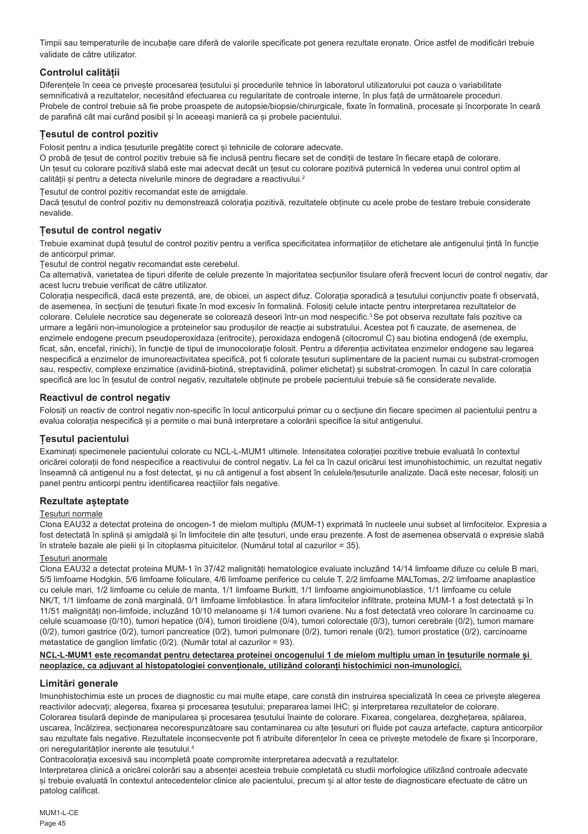Timpii sau temperaturile de incubație care diferă de valorile specificate pot genera rezultate eronate. Orice astfel de modificări trebuie validate de către utilizator.

# **Controlul calității**

Diferentele în ceea ce priveste procesarea tesutului și procedurile tehnice în laboratorul utilizatorului pot cauza o variabilitate semnificativă a rezultatelor, necesitând efectuarea cu regularitate de controale interne, în plus față de următoarele proceduri. Probele de control trebuie să fie probe proaspete de autopsie/biopsie/chirurgicale, fixate în formalină, procesate și încorporate în ceară de parafină cât mai curând posibil și în aceeași manieră ca și probele pacientului.

# **Țesutul de control pozitiv**

Folosit pentru a indica țesuturile pregătite corect și tehnicile de colorare adecvate.

O probă de țesut de control pozitiv trebuie să fie inclusă pentru fiecare set de condiții de testare în fiecare etapă de colorare. Un țesut cu colorare pozitivă slabă este mai adecvat decât un țesut cu colorare pozitivă puternică în vederea unui control optim al calității și pentru a detecta nivelurile minore de degradare a reactivului.<sup>2</sup>

Țesutul de control pozitiv recomandat este de amigdale.

Dacă țesutul de control pozitiv nu demonstrează colorația pozitivă, rezultatele obținute cu acele probe de testare trebuie considerate nevalide.

# **Țesutul de control negativ**

Trebuie examinat după țesutul de control pozitiv pentru a verifica specificitatea informațiilor de etichetare ale antigenului țintă în funcție de anticorpul primar.

Țesutul de control negativ recomandat este cerebelul.

Ca alternativă, varietatea de tipuri diferite de celule prezente în majoritatea secțiunilor tisulare oferă frecvent locuri de control negativ, dar acest lucru trebuie verificat de către utilizator.

Colorația nespecifică, dacă este prezentă, are, de obicei, un aspect difuz. Colorația sporadică a țesutului conjunctiv poate fi observată, de asemenea, în secțiuni de țesuturi fixate în mod excesiv în formalină. Folosiți celule intacte pentru interpretarea rezultatelor de colorare. Celulele necrotice sau degenerate se colorează deseori într-un mod nespecific.<sup>3</sup> Se pot observa rezultate fals pozitive ca urmare a legării non-imunologice a proteinelor sau produșilor de reacție ai substratului. Acestea pot fi cauzate, de asemenea, de enzimele endogene precum pseudoperoxidaza (eritrocite), peroxidaza endogenă (citocromul C) sau biotina endogenă (de exemplu, ficat, sân, encefal, rinichi), în funcție de tipul de imunocolorație folosit. Pentru a diferenția activitatea enzimelor endogene sau legarea nespecifică a enzimelor de imunoreactivitatea specifică, pot fi colorate țesuturi suplimentare de la pacient numai cu substrat-cromogen sau, respectiv, complexe enzimatice (avidină-biotină, streptavidină, polimer etichetat) și substrat-cromogen. În cazul în care colorația specifică are loc în țesutul de control negativ, rezultatele obținute pe probele pacientului trebuie să fie considerate nevalide.

# **Reactivul de control negativ**

Folosiți un reactiv de control negativ non-specific în locul anticorpului primar cu o secțiune din fiecare specimen al pacientului pentru a evalua colorația nespecifică și a permite o mai bună interpretare a colorării specifice la situl antigenului.

# **Țesutul pacientului**

Examinați specimenele pacientului colorate cu NCL-L-MUM1 ultimele. Intensitatea colorației pozitive trebuie evaluată în contextul oricărei colorații de fond nespecifice a reactivului de control negativ. La fel ca în cazul oricărui test imunohistochimic, un rezultat negativ înseamnă că antigenul nu a fost detectat, și nu că antigenul a fost absent în celulele/țesuturile analizate. Dacă este necesar, folosiți un panel pentru anticorpi pentru identificarea reacțiilor fals negative.

## **Rezultate așteptate**

## Țesuturi normale

Clona EAU32 a detectat proteina de oncogen-1 de mielom multiplu (MUM-1) exprimată în nucleele unui subset al limfocitelor. Expresia a fost detectată în splină și amigdală și în limfocitele din alte țesuturi, unde erau prezente. A fost de asemenea observată o expresie slabă în stratele bazale ale pielii și în citoplasma pituicitelor. (Numărul total al cazurilor = 35).

## Țesuturi anormale

Clona EAU32 a detectat proteina MUM-1 în 37/42 malignități hematologice evaluate incluzând 14/14 limfoame difuze cu celule B mari, 5/5 limfoame Hodgkin, 5/6 limfoame foliculare, 4/6 limfoame periferice cu celule T, 2/2 limfoame MALTomas, 2/2 limfoame anaplastice cu celule mari, 1/2 limfoame cu celule de manta, 1/1 limfoame Burkitt, 1/1 limfoame angioimunoblastice, 1/1 limfoame cu celule NK/T, 1/1 limfoame de zonă marginală, 0/1 limfoame limfoblastice. În afara limfocitelor infiltrate, proteina MUM-1 a fost detectată și în 11/51 malignități non-limfoide, incluzând 10/10 melanoame și 1/4 tumori ovariene. Nu a fost detectată vreo colorare în carcinoame cu celule scuamoase (0/10), tumori hepatice (0/4), tumori tiroidiene (0/4), tumori colorectale (0/3), tumori cerebrale (0/2), tumori mamare (0/2), tumori gastrice (0/2), tumori pancreatice (0/2), tumori pulmonare (0/2), tumori renale (0/2), tumori prostatice (0/2), carcinoame metastatice de ganglion limfatic (0/2). (Număr total al cazurilor = 93).

## **NCL-L-MUM1 este recomandat pentru detectarea proteinei oncogenului 1 de mielom multiplu uman în țesuturile normale și neoplazice, ca adjuvant al histopatologiei convenționale, utilizând coloranți histochimici non-imunologici.**

## **Limitări generale**

Imunohistochimia este un proces de diagnostic cu mai multe etape, care constă din instruirea specializată în ceea ce privește alegerea reactivilor adecvați; alegerea, fixarea și procesarea țesutului; prepararea lamei IHC; și interpretarea rezultatelor de colorare. Colorarea tisulară depinde de manipularea și procesarea țesutului înainte de colorare. Fixarea, congelarea, dezghețarea, spălarea, uscarea, încălzirea, secționarea necorespunzătoare sau contaminarea cu alte țesuturi ori fluide pot cauza artefacte, captura anticorpilor sau rezultate fals negative. Rezultatele inconsecvente pot fi atribuite diferentelor în ceea ce priveste metodele de fixare și încorporare, ori neregularităților inerente ale tesutului.<sup>4</sup>

Contracolorația excesivă sau incompletă poate compromite interpretarea adecvată a rezultatelor.

Interpretarea clinică a oricărei colorări sau a absenței acesteia trebuie completată cu studii morfologice utilizând controale adecvate și trebuie evaluată în contextul antecedentelor clinice ale pacientului, precum și al altor teste de diagnosticare efectuate de către un patolog calificat.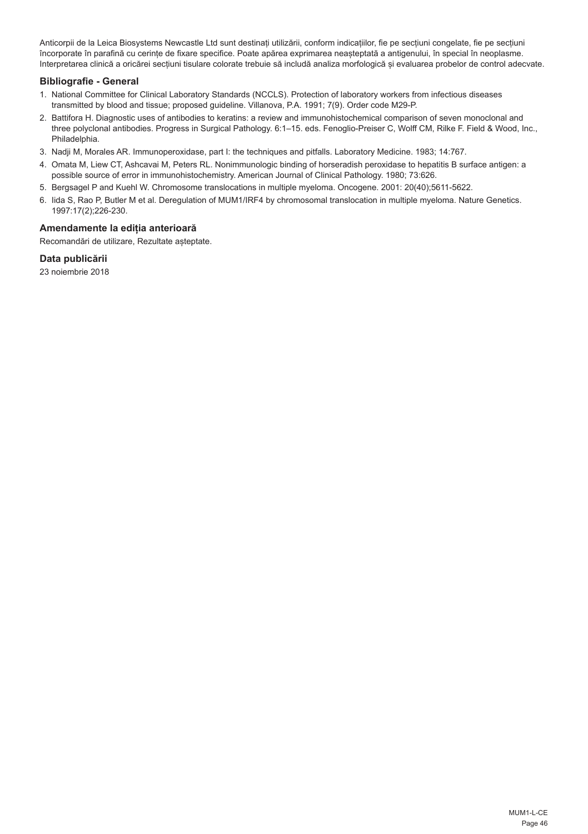Anticorpii de la Leica Biosystems Newcastle Ltd sunt destinați utilizării, conform indicațiilor, fie pe secțiuni congelate, fie pe secțiuni încorporate în parafină cu cerințe de fixare specifice. Poate apărea exprimarea neașteptată a antigenului, în special în neoplasme. Interpretarea clinică a oricărei secțiuni tisulare colorate trebuie să includă analiza morfologică și evaluarea probelor de control adecvate.

# **Bibliografie - General**

- 1. National Committee for Clinical Laboratory Standards (NCCLS). Protection of laboratory workers from infectious diseases transmitted by blood and tissue; proposed guideline. Villanova, P.A. 1991; 7(9). Order code M29-P.
- 2. Battifora H. Diagnostic uses of antibodies to keratins: a review and immunohistochemical comparison of seven monoclonal and three polyclonal antibodies. Progress in Surgical Pathology. 6:1–15. eds. Fenoglio-Preiser C, Wolff CM, Rilke F. Field & Wood, Inc., Philadelphia.
- 3. Nadji M, Morales AR. Immunoperoxidase, part I: the techniques and pitfalls. Laboratory Medicine. 1983; 14:767.
- 4. Omata M, Liew CT, Ashcavai M, Peters RL. Nonimmunologic binding of horseradish peroxidase to hepatitis B surface antigen: a possible source of error in immunohistochemistry. American Journal of Clinical Pathology. 1980; 73:626.
- 5. Bergsagel P and Kuehl W. Chromosome translocations in multiple myeloma. Oncogene. 2001: 20(40);5611-5622.
- 6. Iida S, Rao P, Butler M et al. Deregulation of MUM1/IRF4 by chromosomal translocation in multiple myeloma. Nature Genetics. 1997:17(2);226-230.

# **Amendamente la ediția anterioară**

Recomandări de utilizare, Rezultate așteptate.

# **Data publicării**

23 noiembrie 2018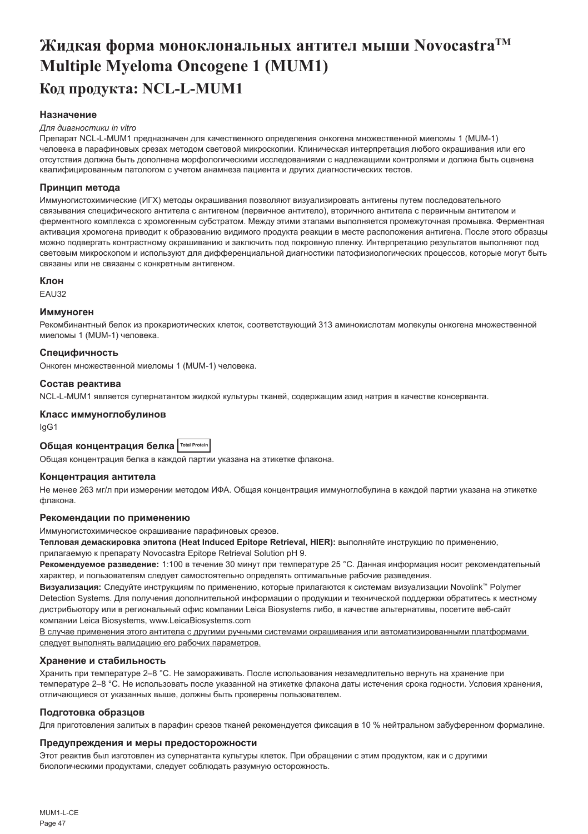# <span id="page-47-0"></span>**Жидкая форма моноклональных антител мыши NovocastraTM Multiple Myeloma Oncogene 1 (MUM1) Код продукта: NCL-L-MUM1**

# **Назначение**

#### *Для диагностики in vitro*

Препарат NCL-L-MUM1 предназначен для качественного определения онкогена множественной миеломы 1 (MUM-1) человека в парафиновых срезах методом световой микроскопии. Клиническая интерпретация любого окрашивания или его отсутствия должна быть дополнена морфологическими исследованиями с надлежащими контролями и должна быть оценена квалифицированным патологом с учетом анамнеза пациента и других диагностических тестов.

## **Принцип метода**

Иммуногистохимические (ИГХ) методы окрашивания позволяют визуализировать антигены путем последовательного связывания специфического антитела с антигеном (первичное антитело), вторичного антитела с первичным антителом и ферментного комплекса с хромогенным субстратом. Между этими этапами выполняется промежуточная промывка. Ферментная активация хромогена приводит к образованию видимого продукта реакции в месте расположения антигена. После этого образцы можно подвергать контрастному окрашиванию и заключить под покровную пленку. Интерпретацию результатов выполняют под световым микроскопом и используют для дифференциальной диагностики патофизиологических процессов, которые могут быть связаны или не связаны с конкретным антигеном.

### **Клон**

**EAU32** 

### **Иммуноген**

Рекомбинантный белок из прокариотических клеток, соответствующий 313 аминокислотам молекулы онкогена множественной миеломы 1 (MUM-1) человека.

## **Специфичность**

Онкоген множественной миеломы 1 (MUM-1) человека.

## **Состав реактива**

NCL-L-MUM1 является супернатантом жидкой культуры тканей, содержащим азид натрия в качестве консерванта.

## **Класс иммуноглобулинов**

IgG1

# **Общая концентрация белка Total Protein**

Общая концентрация белка в каждой партии указана на этикетке флакона.

### **Концентрация антитела**

Не менее 263 мг/л при измерении методом ИФА. Общая концентрация иммуноглобулина в каждой партии указана на этикетке флакона.

## **Рекомендации по применению**

Иммуногистохимическое окрашивание парафиновых срезов.

**Тепловая демаскировка эпитопа (Heat Induced Epitope Retrieval, HIER):** выполняйте инструкцию по применению,

прилагаемую к препарату Novocastra Epitope Retrieval Solution pH 9.

**Рекомендуемое разведение:** 1:100 в течение 30 минут при температуре 25 °C. Данная информация носит рекомендательный характер, и пользователям следует самостоятельно определять оптимальные рабочие разведения.

**Визуализация:** Следуйте инструкциям по применению, которые прилагаются к системам визуализации Novolink™ Polymer Detection Systems. Для получения дополнительной информации о продукции и технической поддержки обратитесь к местному дистрибьютору или в региональный офис компании Leica Biosystems либо, в качестве альтернативы, посетите веб-сайт компании Leica Biosystems, www.LeicaBiosystems.com

В случае применения этого антитела с другими ручными системами окрашивания или автоматизированными платформами следует выполнять валидацию его рабочих параметров.

## **Хранение и стабильность**

Хранить при температуре 2–8 °C. Не замораживать. После использования незамедлительно вернуть на хранение при температуре 2–8 °C. Не использовать после указанной на этикетке флакона даты истечения срока годности. Условия хранения, отличающиеся от указанных выше, должны быть проверены пользователем.

### **Подготовка образцов**

Для приготовления залитых в парафин срезов тканей рекомендуется фиксация в 10 % нейтральном забуференном формалине.

## **Предупреждения и меры предосторожности**

Этот реактив был изготовлен из супернатанта культуры клеток. При обращении с этим продуктом, как и с другими биологическими продуктами, следует соблюдать разумную осторожность.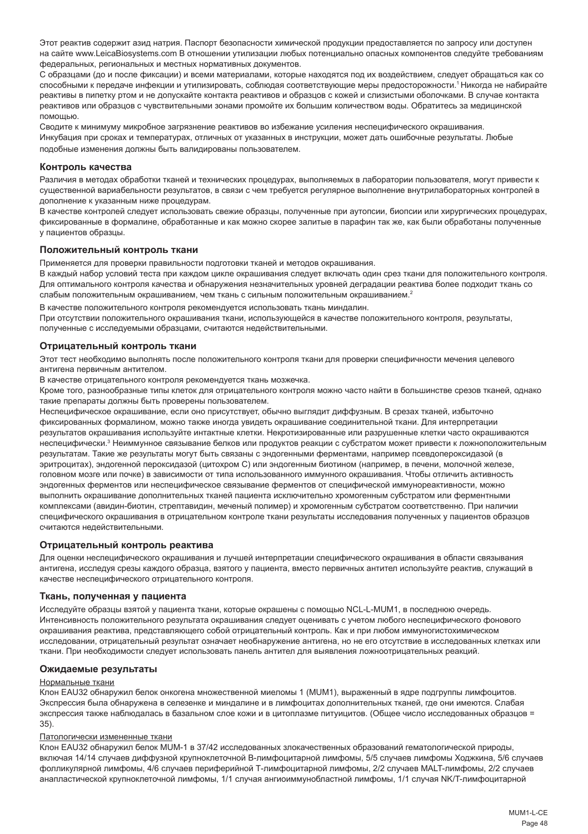Этот реактив содержит азид натрия. Паспорт безопасности химической продукции предоставляется по запросу или доступен на сайте www.LeicaBiosystems.com В отношении утилизации любых потенциально опасных компонентов следуйте требованиям федеральных, региональных и местных нормативных документов.

С образцами (до и после фиксации) и всеми материалами, которые находятся под их воздействием, следует обращаться как со способными к передаче инфекции и утилизировать, соблюдая соответствующие меры предосторожности.<sup>1</sup>Никогда не набирайте реактивы в пипетку ртом и не допускайте контакта реактивов и образцов с кожей и слизистыми оболочками. В случае контакта реактивов или образцов с чувствительными зонами промойте их большим количеством воды. Обратитесь за медицинской помощью.

Сводите к минимуму микробное загрязнение реактивов во избежание усиления неспецифического окрашивания. Инкубация при сроках и температурах, отличных от указанных в инструкции, может дать ошибочные результаты. Любые подобные изменения должны быть валидированы пользователем.

#### **Контроль качества**

Различия в методах обработки тканей и технических процедурах, выполняемых в лаборатории пользователя, могут привести к существенной вариабельности результатов, в связи с чем требуется регулярное выполнение внутрилабораторных контролей в дополнение к указанным ниже процедурам.

В качестве контролей следует использовать свежие образцы, полученные при аутопсии, биопсии или хирургических процедурах, фиксированные в формалине, обработанные и как можно скорее залитые в парафин так же, как были обработаны полученные у пациентов образцы.

#### **Положительный контроль ткани**

Применяется для проверки правильности подготовки тканей и методов окрашивания.

В каждый набор условий теста при каждом цикле окрашивания следует включать один срез ткани для положительного контроля. Для оптимального контроля качества и обнаружения незначительных уровней деградации реактива более подходит ткань со слабым положительным окрашиванием, чем ткань с сильным положительным окрашиванием.<sup>2</sup>

В качестве положительного контроля рекомендуется использовать ткань миндалин.

При отсутствии положительного окрашивания ткани, использующейся в качестве положительного контроля, результаты, полученные с исследуемыми образцами, считаются недействительными.

#### **Отрицательный контроль ткани**

Этот тест необходимо выполнять после положительного контроля ткани для проверки специфичности мечения целевого антигена первичным антителом.

В качестве отрицательного контроля рекомендуется ткань мозжечка.

Кроме того, разнообразные типы клеток для отрицательного контроля можно часто найти в большинстве срезов тканей, однако такие препараты должны быть проверены пользователем.

Неспецифическое окрашивание, если оно присутствует, обычно выглядит диффузным. В срезах тканей, избыточно фиксированных формалином, можно также иногда увидеть окрашивание соединительной ткани. Для интерпретации результатов окрашивания используйте интактные клетки. Некротизированные или разрушенные клетки часто окрашиваются неспецифически.<sup>з</sup> Неиммунное связывание белков или продуктов реакции с субстратом может привести к ложноположительным результатам. Такие же результаты могут быть связаны с эндогенными ферментами, например псевдопероксидазой (в эритроцитах), эндогенной пероксидазой (цитохром C) или эндогенным биотином (например, в печени, молочной железе, головном мозге или почке) в зависимости от типа использованного иммунного окрашивания. Чтобы отличить активность эндогенных ферментов или неспецифическое связывание ферментов от специфической иммунореактивности, можно выполнить окрашивание дополнительных тканей пациента исключительно хромогенным субстратом или ферментными комплексами (авидин-биотин, стрептавидин, меченый полимер) и хромогенным субстратом соответственно. При наличии специфического окрашивания в отрицательном контроле ткани результаты исследования полученных у пациентов образцов считаются недействительными.

### **Отрицательный контроль реактива**

Для оценки неспецифического окрашивания и лучшей интерпретации специфического окрашивания в области связывания антигена, исследуя срезы каждого образца, взятого у пациента, вместо первичных антител используйте реактив, служащий в качестве неспецифического отрицательного контроля.

#### **Ткань, полученная у пациента**

Исследуйте образцы взятой у пациента ткани, которые окрашены с помощью NCL-L-MUM1, в последнюю очередь. Интенсивность положительного результата окрашивания следует оценивать с учетом любого неспецифического фонового окрашивания реактива, представляющего собой отрицательный контроль. Как и при любом иммуногистохимическом исследовании, отрицательный результат означает необнаружение антигена, но не его отсутствие в исследованных клетках или ткани. При необходимости следует использовать панель антител для выявления ложноотрицательных реакций.

#### **Ожидаемые результаты**

#### Нормальные ткани

Клон EAU32 обнаружил белок онкогена множественной миеломы 1 (MUM1), выраженный в ядре подгруппы лимфоцитов. Экспрессия была обнаружена в селезенке и миндалине и в лимфоцитах дополнительных тканей, где они имеются. Слабая экспрессия также наблюдалась в базальном слое кожи и в цитоплазме питуицитов. (Общее число исследованных образцов = 35).

#### Патологически измененные ткани

Клон EAU32 обнаружил белок MUM-1 в 37/42 исследованных злокачественных образований гематологической природы, включая 14/14 случаев диффузной крупноклеточной B-лимфоцитарной лимфомы, 5/5 случаев лимфомы Ходжкина, 5/6 случаев фолликулярной лимфомы, 4/6 случаев периферийной Т-лимфоцитарной лимфомы, 2/2 случаев MALT-лимфомы, 2/2 случаев анапластической крупноклеточной лимфомы, 1/1 случая ангиоиммунобластной лимфомы, 1/1 случая NK/T-лимфоцитарной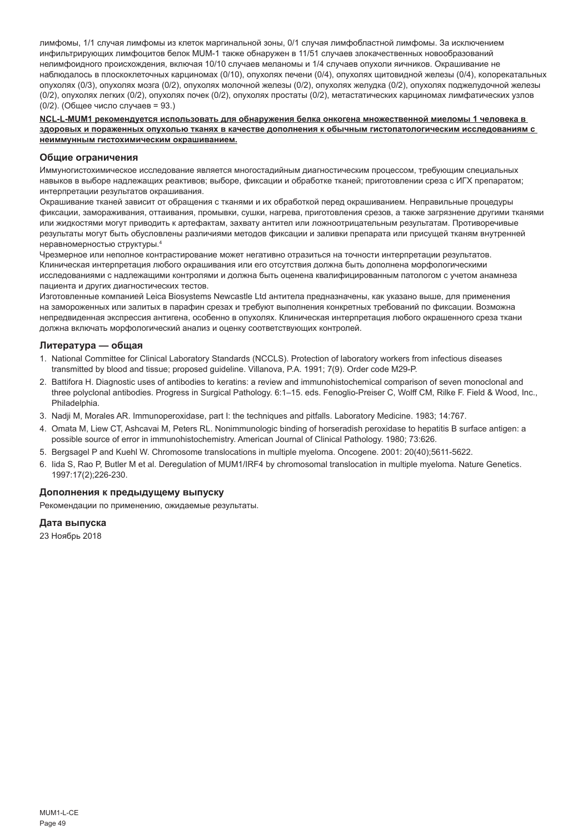лимфомы, 1/1 случая лимфомы из клеток маргинальной зоны, 0/1 случая лимфобластной лимфомы. За исключением инфильтрирующих лимфоцитов белок MUM-1 также обнаружен в 11/51 случаев злокачественных новообразований нелимфоидного происхождения, включая 10/10 случаев меланомы и 1/4 случаев опухоли яичников. Окрашивание не наблюдалось в плоскоклеточных карциномах (0/10), опухолях печени (0/4), опухолях щитовидной железы (0/4), колорекатальных опухолях (0/3), опухолях мозга (0/2), опухолях молочной железы (0/2), опухолях желудка (0/2), опухолях поджелудочной железы (0/2), опухолях легких (0/2), опухолях почек (0/2), опухолях простаты (0/2), метастатических карциномах лимфатических узлов (0/2). (Общее число случаев = 93.)

**NCL-L-MUM1 рекомендуется использовать для обнаружения белка онкогена множественной миеломы 1 человека в здоровых и пораженных опухолью тканях в качестве дополнения к обычным гистопатологическим исследованиям с неиммунным гистохимическим окрашиванием.**

### **Общие ограничения**

Иммуногистохимическое исследование является многостадийным диагностическим процессом, требующим специальных навыков в выборе надлежащих реактивов; выборе, фиксации и обработке тканей; приготовлении среза с ИГХ препаратом; интерпретации результатов окрашивания.

Окрашивание тканей зависит от обращения с тканями и их обработкой перед окрашиванием. Неправильные процедуры фиксации, замораживания, оттаивания, промывки, сушки, нагрева, приготовления срезов, а также загрязнение другими тканями или жидкостями могут приводить к артефактам, захвату антител или ложноотрицательным результатам. Противоречивые результаты могут быть обусловлены различиями методов фиксации и заливки препарата или присущей тканям внутренней неравномерностью структуры.4

Чрезмерное или неполное контрастирование может негативно отразиться на точности интерпретации результатов. Клиническая интерпретация любого окрашивания или его отсутствия должна быть дополнена морфологическими исследованиями с надлежащими контролями и должна быть оценена квалифицированным патологом с учетом анамнеза пациента и других диагностических тестов.

Изготовленные компанией Leica Biosystems Newcastle Ltd антитела предназначены, как указано выше, для применения на замороженных или залитых в парафин срезах и требуют выполнения конкретных требований по фиксации. Возможна непредвиденная экспрессия антигена, особенно в опухолях. Клиническая интерпретация любого окрашенного среза ткани должна включать морфологический анализ и оценку соответствующих контролей.

#### **Литература — общая**

- 1. National Committee for Clinical Laboratory Standards (NCCLS). Protection of laboratory workers from infectious diseases transmitted by blood and tissue; proposed guideline. Villanova, P.A. 1991; 7(9). Order code M29-P.
- 2. Battifora H. Diagnostic uses of antibodies to keratins: a review and immunohistochemical comparison of seven monoclonal and three polyclonal antibodies. Progress in Surgical Pathology. 6:1–15. eds. Fenoglio-Preiser C, Wolff CM, Rilke F. Field & Wood, Inc., Philadelphia.
- 3. Nadji M, Morales AR. Immunoperoxidase, part I: the techniques and pitfalls. Laboratory Medicine. 1983; 14:767.
- 4. Omata M, Liew CT, Ashcavai M, Peters RL. Nonimmunologic binding of horseradish peroxidase to hepatitis B surface antigen: a possible source of error in immunohistochemistry. American Journal of Clinical Pathology. 1980; 73:626.
- 5. Bergsagel P and Kuehl W. Chromosome translocations in multiple myeloma. Oncogene. 2001: 20(40);5611-5622.
- 6. Iida S, Rao P, Butler M et al. Deregulation of MUM1/IRF4 by chromosomal translocation in multiple myeloma. Nature Genetics. 1997:17(2);226-230.

## **Дополнения к предыдущему выпуску**

Рекомендации по применению, ожидаемые результаты.

# **Дата выпуска**

23 Ноябрь 2018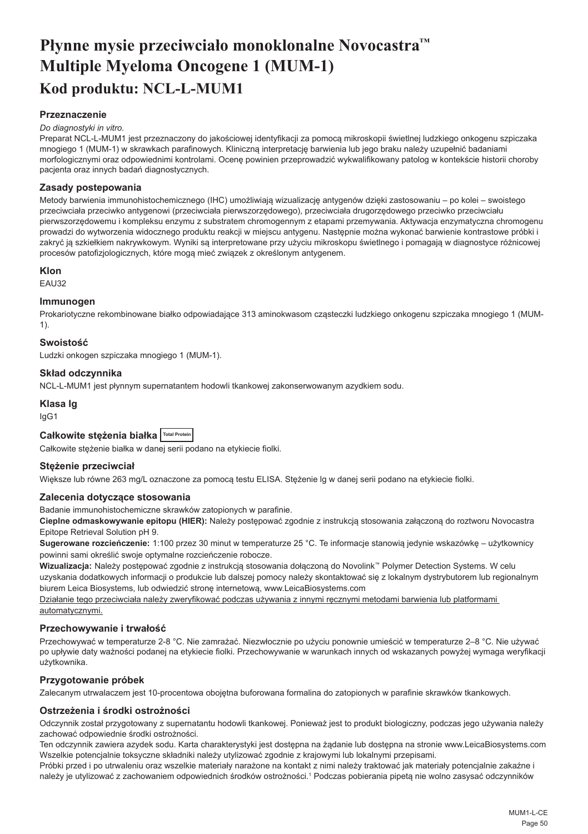# <span id="page-50-0"></span>**Płynne mysie przeciwciało monoklonalne Novocastra™ Multiple Myeloma Oncogene 1 (MUM-1) Kod produktu: NCL-L-MUM1**

# **Przeznaczenie**

## *Do diagnostyki in vitro.*

Preparat NCL-L-MUM1 jest przeznaczony do jakościowej identyfikacji za pomocą mikroskopii świetlnej ludzkiego onkogenu szpiczaka mnogiego 1 (MUM-1) w skrawkach parafinowych. Kliniczną interpretację barwienia lub jego braku należy uzupełnić badaniami morfologicznymi oraz odpowiednimi kontrolami. Ocenę powinien przeprowadzić wykwalifikowany patolog w kontekście historii choroby pacjenta oraz innych badań diagnostycznych.

## **Zasady postepowania**

Metody barwienia immunohistochemicznego (IHC) umożliwiają wizualizację antygenów dzięki zastosowaniu – po kolei – swoistego przeciwciała przeciwko antygenowi (przeciwciała pierwszorzędowego), przeciwciała drugorzędowego przeciwko przeciwciału pierwszorzędowemu i kompleksu enzymu z substratem chromogennym z etapami przemywania. Aktywacja enzymatyczna chromogenu prowadzi do wytworzenia widocznego produktu reakcji w miejscu antygenu. Następnie można wykonać barwienie kontrastowe próbki i zakryć ją szkiełkiem nakrywkowym. Wyniki są interpretowane przy użyciu mikroskopu świetlnego i pomagają w diagnostyce różnicowej procesów patofizjologicznych, które mogą mieć związek z określonym antygenem.

## **Klon**

EAU32

## **Immunogen**

Prokariotyczne rekombinowane białko odpowiadające 313 aminokwasom cząsteczki ludzkiego onkogenu szpiczaka mnogiego 1 (MUM-1).

## **Swoistość**

Ludzki onkogen szpiczaka mnogiego 1 (MUM-1).

## **Skład odczynnika**

NCL-L-MUM1 jest płynnym supernatantem hodowli tkankowej zakonserwowanym azydkiem sodu.

## **Klasa Ig**

IgG1

# **Całkowite stężenia białka Total Protein**

Całkowite stężenie białka w danej serii podano na etykiecie fiolki.

### **Stężenie przeciwciał**

Większe lub równe 263 mg/L oznaczone za pomocą testu ELISA. Stężenie lg w danej serii podano na etykiecie fiolki.

### **Zalecenia dotyczące stosowania**

Badanie immunohistochemiczne skrawków zatopionych w parafinie.

**Cieplne odmaskowywanie epitopu (HIER):** Należy postępować zgodnie z instrukcją stosowania załączoną do roztworu Novocastra Epitope Retrieval Solution pH 9.

**Sugerowane rozcieńczenie:** 1:100 przez 30 minut w temperaturze 25 °C. Te informacje stanowią jedynie wskazówkę – użytkownicy powinni sami określić swoje optymalne rozcieńczenie robocze.

**Wizualizacja:** Należy postępować zgodnie z instrukcją stosowania dołączoną do Novolink™ Polymer Detection Systems. W celu uzyskania dodatkowych informacji o produkcie lub dalszej pomocy należy skontaktować się z lokalnym dystrybutorem lub regionalnym biurem Leica Biosystems, lub odwiedzić stronę internetową, www.LeicaBiosystems.com

Działanie tego przeciwciała należy zweryfikować podczas używania z innymi ręcznymi metodami barwienia lub platformami automatycznymi.

## **Przechowywanie i trwałość**

Przechowywać w temperaturze 2-8 °C. Nie zamrażać. Niezwłocznie po użyciu ponownie umieścić w temperaturze 2–8 °C. Nie używać po upływie daty ważności podanej na etykiecie fiolki. Przechowywanie w warunkach innych od wskazanych powyżej wymaga weryfikacji użytkownika.

## **Przygotowanie próbek**

Zalecanym utrwalaczem jest 10-procentowa obojętna buforowana formalina do zatopionych w parafinie skrawków tkankowych.

### **Ostrzeżenia i środki ostrożności**

Odczynnik został przygotowany z supernatantu hodowli tkankowej. Ponieważ jest to produkt biologiczny, podczas jego używania należy zachować odpowiednie środki ostrożności.

Ten odczynnik zawiera azydek sodu. Karta charakterystyki jest dostępna na żądanie lub dostępna na stronie www.LeicaBiosystems.com Wszelkie potencjalnie toksyczne składniki należy utylizować zgodnie z krajowymi lub lokalnymi przepisami.

Próbki przed i po utrwaleniu oraz wszelkie materiały narażone na kontakt z nimi należy traktować jak materiały potencjalnie zakaźne i należy je utylizować z zachowaniem odpowiednich środków ostrożności.<sup>1</sup> Podczas pobierania pipetą nie wolno zasysać odczynników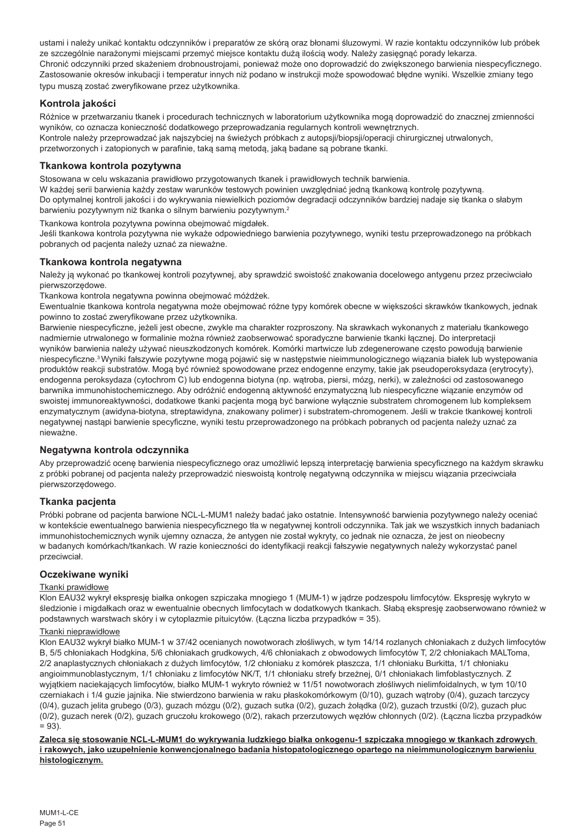ustami i należy unikać kontaktu odczynników i preparatów ze skórą oraz błonami śluzowymi. W razie kontaktu odczynników lub próbek ze szczególnie narażonymi miejscami przemyć miejsce kontaktu dużą ilością wody. Należy zasięgnąć porady lekarza. Chronić odczynniki przed skażeniem drobnoustrojami, ponieważ może ono doprowadzić do zwiększonego barwienia niespecyficznego. Zastosowanie okresów inkubacji i temperatur innych niż podano w instrukcji może spowodować błędne wyniki. Wszelkie zmiany tego typu muszą zostać zweryfikowane przez użytkownika.

# **Kontrola jakości**

Różnice w przetwarzaniu tkanek i procedurach technicznych w laboratorium użytkownika mogą doprowadzić do znacznej zmienności wyników, co oznacza konieczność dodatkowego przeprowadzania regularnych kontroli wewnętrznych. Kontrole należy przeprowadzać jak najszybciej na świeżych próbkach z autopsji/biopsji/operacji chirurgicznej utrwalonych, przetworzonych i zatopionych w parafinie, taką samą metodą, jaką badane są pobrane tkanki.

# **Tkankowa kontrola pozytywna**

Stosowana w celu wskazania prawidłowo przygotowanych tkanek i prawidłowych technik barwienia.

W każdej serii barwienia każdy zestaw warunków testowych powinien uwzględniać jedną tkankową kontrolę pozytywną. Do optymalnej kontroli jakości i do wykrywania niewielkich poziomów degradacji odczynników bardziej nadaje się tkanka o słabym barwieniu pozytywnym niż tkanka o silnym barwieniu pozytywnym.<sup>2</sup>

Tkankowa kontrola pozytywna powinna obejmować migdałek.

Jeśli tkankowa kontrola pozytywna nie wykaże odpowiedniego barwienia pozytywnego, wyniki testu przeprowadzonego na próbkach pobranych od pacjenta należy uznać za nieważne.

# **Tkankowa kontrola negatywna**

Należy ją wykonać po tkankowej kontroli pozytywnej, aby sprawdzić swoistość znakowania docelowego antygenu przez przeciwciało pierwszorzędowe.

Tkankowa kontrola negatywna powinna obejmować móżdżek.

Ewentualnie tkankowa kontrola negatywna może obejmować różne typy komórek obecne w większości skrawków tkankowych, jednak powinno to zostać zweryfikowane przez użytkownika.

Barwienie niespecyficzne, jeżeli jest obecne, zwykle ma charakter rozproszony. Na skrawkach wykonanych z materiału tkankowego nadmiernie utrwalonego w formalinie można również zaobserwować sporadyczne barwienie tkanki łącznej. Do interpretacji wyników barwienia należy używać nieuszkodzonych komórek. Komórki martwicze lub zdegenerowane często powodują barwienie niespecyficzne.<sup>3</sup>Wyniki fałszywie pozytywne mogą pojawić się w następstwie nieimmunologicznego wiązania białek lub występowania produktów reakcji substratów. Mogą być również spowodowane przez endogenne enzymy, takie jak pseudoperoksydaza (erytrocyty), endogenna peroksydaza (cytochrom C) lub endogenna biotyna (np. wątroba, piersi, mózg, nerki), w zależności od zastosowanego barwnika immunohistochemicznego. Aby odróżnić endogenną aktywność enzymatyczną lub niespecyficzne wiązanie enzymów od swoistej immunoreaktywności, dodatkowe tkanki pacjenta mogą być barwione wyłącznie substratem chromogenem lub kompleksem enzymatycznym (awidyna-biotyna, streptawidyna, znakowany polimer) i substratem-chromogenem. Jeśli w trakcie tkankowej kontroli negatywnej nastąpi barwienie specyficzne, wyniki testu przeprowadzonego na próbkach pobranych od pacjenta należy uznać za nieważne.

## **Negatywna kontrola odczynnika**

Aby przeprowadzić ocenę barwienia niespecyficznego oraz umożliwić lepszą interpretację barwienia specyficznego na każdym skrawku z próbki pobranej od pacjenta należy przeprowadzić nieswoistą kontrolę negatywną odczynnika w miejscu wiązania przeciwciała pierwszorzędowego.

## **Tkanka pacjenta**

Próbki pobrane od pacjenta barwione NCL-L-MUM1 należy badać jako ostatnie. Intensywność barwienia pozytywnego należy oceniać w kontekście ewentualnego barwienia niespecyficznego tła w negatywnej kontroli odczynnika. Tak jak we wszystkich innych badaniach immunohistochemicznych wynik ujemny oznacza, że antygen nie został wykryty, co jednak nie oznacza, że jest on nieobecny w badanych komórkach/tkankach. W razie konieczności do identyfikacji reakcji fałszywie negatywnych należy wykorzystać panel przeciwciał.

## **Oczekiwane wyniki**

## Tkanki prawidłowe

Klon EAU32 wykrył ekspresję białka onkogen szpiczaka mnogiego 1 (MUM-1) w jądrze podzespołu limfocytów. Ekspresję wykryto w śledzionie i migdałkach oraz w ewentualnie obecnych limfocytach w dodatkowych tkankach. Słabą ekspresję zaobserwowano również w podstawnych warstwach skóry i w cytoplazmie pituicytów. (Łączna liczba przypadków = 35).

# Tkanki nieprawidłowe

Klon EAU32 wykrył białko MUM-1 w 37/42 ocenianych nowotworach złośliwych, w tym 14/14 rozlanych chłoniakach z dużych limfocytów B, 5/5 chłoniakach Hodgkina, 5/6 chłoniakach grudkowych, 4/6 chłoniakach z obwodowych limfocytów T, 2/2 chłoniakach MALToma, 2/2 anaplastycznych chłoniakach z dużych limfocytów, 1/2 chłoniaku z komórek płaszcza, 1/1 chłoniaku Burkitta, 1/1 chłoniaku angioimmunoblastycznym, 1/1 chłoniaku z limfocytów NK/T, 1/1 chłoniaku strefy brzeżnej, 0/1 chłoniakach limfoblastycznych. Z wyjątkiem naciekających limfocytów, białko MUM-1 wykryto również w 11/51 nowotworach złośliwych nielimfoidalnych, w tym 10/10 czerniakach i 1/4 guzie jajnika. Nie stwierdzono barwienia w raku płaskokomórkowym (0/10), guzach wątroby (0/4), guzach tarczycy (0/4), guzach jelita grubego (0/3), guzach mózgu (0/2), guzach sutka (0/2), guzach żołądka (0/2), guzach trzustki (0/2), guzach płuc (0/2), guzach nerek (0/2), guzach gruczołu krokowego (0/2), rakach przerzutowych węzłów chłonnych (0/2). (Łączna liczba przypadków  $= 93$ .

**Zaleca się stosowanie NCL-L-MUM1 do wykrywania ludzkiego białka onkogenu-1 szpiczaka mnogiego w tkankach zdrowych i rakowych, jako uzupełnienie konwencjonalnego badania histopatologicznego opartego na nieimmunologicznym barwieniu histologicznym.**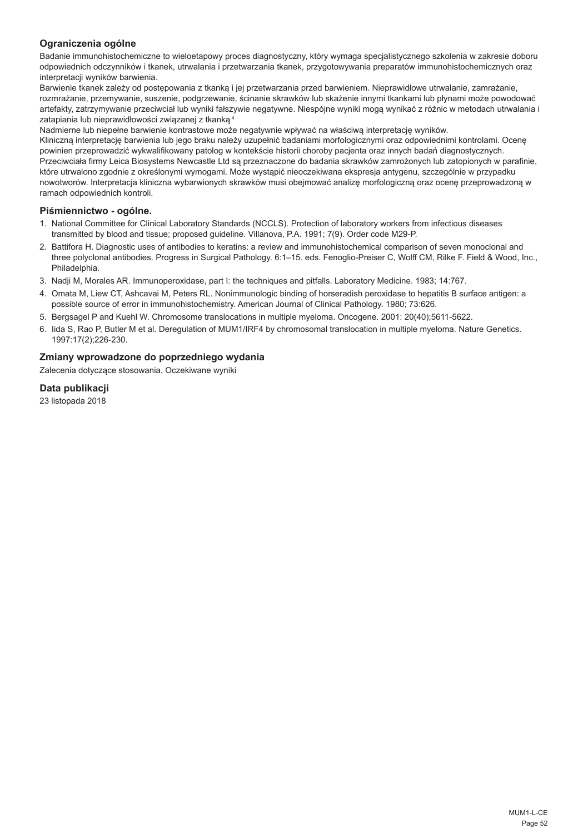# **Ograniczenia ogólne**

Badanie immunohistochemiczne to wieloetapowy proces diagnostyczny, który wymaga specjalistycznego szkolenia w zakresie doboru odpowiednich odczynników i tkanek, utrwalania i przetwarzania tkanek, przygotowywania preparatów immunohistochemicznych oraz interpretacji wyników barwienia.

Barwienie tkanek zależy od postępowania z tkanką i jej przetwarzania przed barwieniem. Nieprawidłowe utrwalanie, zamrażanie, rozmrażanie, przemywanie, suszenie, podgrzewanie, ścinanie skrawków lub skażenie innymi tkankami lub płynami może powodować artefakty, zatrzymywanie przeciwciał lub wyniki fałszywie negatywne. Niespójne wyniki mogą wynikać z różnic w metodach utrwalania i zatapiania lub nieprawidłowości związanej z tkanką.4

Nadmierne lub niepełne barwienie kontrastowe może negatywnie wpływać na właściwą interpretację wyników.

Kliniczną interpretację barwienia lub jego braku należy uzupełnić badaniami morfologicznymi oraz odpowiednimi kontrolami. Ocenę powinien przeprowadzić wykwalifikowany patolog w kontekście historii choroby pacjenta oraz innych badań diagnostycznych. Przeciwciała firmy Leica Biosystems Newcastle Ltd są przeznaczone do badania skrawków zamrożonych lub zatopionych w parafinie, które utrwalono zgodnie z określonymi wymogami. Może wystąpić nieoczekiwana ekspresja antygenu, szczególnie w przypadku nowotworów. Interpretacja kliniczna wybarwionych skrawków musi obejmować analizę morfologiczną oraz ocenę przeprowadzoną w ramach odpowiednich kontroli.

## **Piśmiennictwo - ogólne.**

- 1. National Committee for Clinical Laboratory Standards (NCCLS). Protection of laboratory workers from infectious diseases transmitted by blood and tissue; proposed guideline. Villanova, P.A. 1991; 7(9). Order code M29-P.
- 2. Battifora H. Diagnostic uses of antibodies to keratins: a review and immunohistochemical comparison of seven monoclonal and three polyclonal antibodies. Progress in Surgical Pathology. 6:1–15. eds. Fenoglio-Preiser C, Wolff CM, Rilke F. Field & Wood, Inc., Philadelphia.
- 3. Nadji M, Morales AR. Immunoperoxidase, part I: the techniques and pitfalls. Laboratory Medicine. 1983; 14:767.
- 4. Omata M, Liew CT, Ashcavai M, Peters RL. Nonimmunologic binding of horseradish peroxidase to hepatitis B surface antigen: a possible source of error in immunohistochemistry. American Journal of Clinical Pathology. 1980; 73:626.
- 5. Bergsagel P and Kuehl W. Chromosome translocations in multiple myeloma. Oncogene. 2001: 20(40);5611-5622.
- 6. Iida S, Rao P, Butler M et al. Deregulation of MUM1/IRF4 by chromosomal translocation in multiple myeloma. Nature Genetics. 1997:17(2);226-230.

# **Zmiany wprowadzone do poprzedniego wydania**

Zalecenia dotyczące stosowania, Oczekiwane wyniki

**Data publikacji**

23 listopada 2018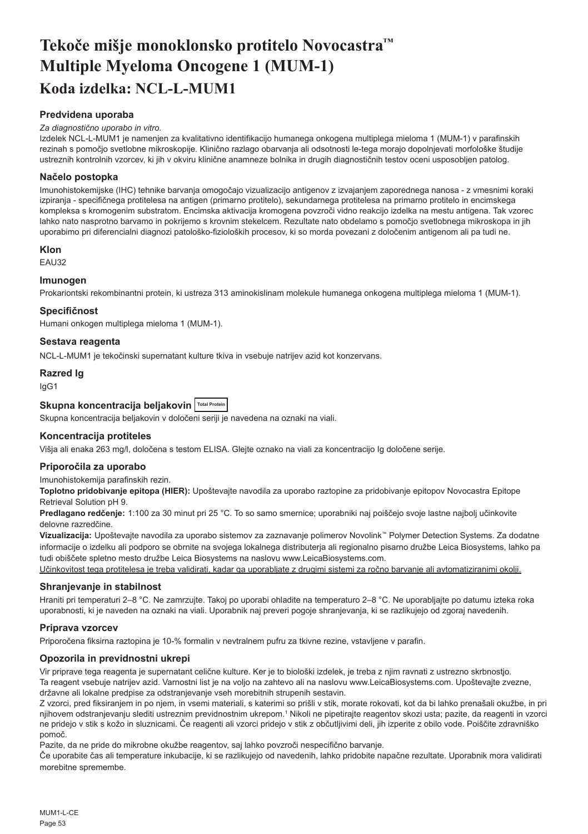# <span id="page-53-0"></span>**Tekoče mišje monoklonsko protitelo Novocastra™ Multiple Myeloma Oncogene 1 (MUM-1) Koda izdelka: NCL-L-MUM1**

# **Predvidena uporaba**

### *Za diagnostično uporabo in vitro.*

Izdelek NCL-L-MUM1 je namenjen za kvalitativno identifikacijo humanega onkogena multiplega mieloma 1 (MUM-1) v parafinskih rezinah s pomočjo svetlobne mikroskopije. Klinično razlago obarvanja ali odsotnosti le-tega morajo dopolnjevati morfološke študije ustreznih kontrolnih vzorcev, ki jih v okviru klinične anamneze bolnika in drugih diagnostičnih testov oceni usposobljen patolog.

# **Načelo postopka**

Imunohistokemijske (IHC) tehnike barvanja omogočajo vizualizacijo antigenov z izvajanjem zaporednega nanosa - z vmesnimi koraki izpiranja - specifičnega protitelesa na antigen (primarno protitelo), sekundarnega protitelesa na primarno protitelo in encimskega kompleksa s kromogenim substratom. Encimska aktivacija kromogena povzroči vidno reakcijo izdelka na mestu antigena. Tak vzorec lahko nato nasprotno barvamo in pokrijemo s krovnim stekelcem. Rezultate nato obdelamo s pomočjo svetlobnega mikroskopa in jih uporabimo pri diferencialni diagnozi patološko-fizioloških procesov, ki so morda povezani z določenim antigenom ali pa tudi ne.

## **Klon**

EAU32

## **Imunogen**

Prokariontski rekombinantni protein, ki ustreza 313 aminokislinam molekule humanega onkogena multiplega mieloma 1 (MUM-1).

## **Specifičnost**

Humani onkogen multiplega mieloma 1 (MUM-1).

## **Sestava reagenta**

NCL-L-MUM1 je tekočinski supernatant kulture tkiva in vsebuje natrijev azid kot konzervans.

## **Razred Ig**

IgG1

# **Skupna koncentracija beljakovin Total Protein**

Skupna koncentracija beljakovin v določeni seriji je navedena na oznaki na viali.

## **Koncentracija protiteles**

Višja ali enaka 263 mg/l, določena s testom ELISA. Glejte oznako na viali za koncentracijo Ig določene serije.

# **Priporočila za uporabo**

Imunohistokemija parafinskih rezin.

**Toplotno pridobivanje epitopa (HIER):** Upoštevajte navodila za uporabo raztopine za pridobivanje epitopov Novocastra Epitope Retrieval Solution pH 9.

**Predlagano redčenje:** 1:100 za 30 minut pri 25 °C. To so samo smernice; uporabniki naj poiščejo svoje lastne najbolj učinkovite delovne razredčine.

**Vizualizacija:** Upoštevajte navodila za uporabo sistemov za zaznavanje polimerov Novolink™ Polymer Detection Systems. Za dodatne informacije o izdelku ali podporo se obrnite na svojega lokalnega distributerja ali regionalno pisarno družbe Leica Biosystems, lahko pa tudi obiščete spletno mesto družbe Leica Biosystems na naslovu www.LeicaBiosystems.com.

Učinkovitost tega protitelesa je treba validirati, kadar ga uporabljate z drugimi sistemi za ročno barvanje ali avtomatiziranimi okolji.

## **Shranjevanje in stabilnost**

Hraniti pri temperaturi 2–8 °C. Ne zamrzujte. Takoj po uporabi ohladite na temperaturo 2–8 °C. Ne uporabljajte po datumu izteka roka uporabnosti, ki je naveden na oznaki na viali. Uporabnik naj preveri pogoje shranjevanja, ki se razlikujejo od zgoraj navedenih.

## **Priprava vzorcev**

Priporočena fiksirna raztopina je 10-% formalin v nevtralnem pufru za tkivne rezine, vstavljene v parafin.

## **Opozorila in previdnostni ukrepi**

Vir priprave tega reagenta je supernatant celične kulture. Ker je to biološki izdelek, je treba z njim ravnati z ustrezno skrbnostjo. Ta reagent vsebuje natrijev azid. Varnostni list je na voljo na zahtevo ali na naslovu www.LeicaBiosystems.com. Upoštevajte zvezne, državne ali lokalne predpise za odstranjevanje vseh morebitnih strupenih sestavin.

Z vzorci, pred fiksiranjem in po njem, in vsemi materiali, s katerimi so prišli v stik, morate rokovati, kot da bi lahko prenašali okužbe, in pri njihovem odstranjevanju slediti ustreznim previdnostnim ukrepom.<sup>1</sup> Nikoli ne pipetirajte reagentov skozi usta; pazite, da reagenti in vzorci ne pridejo v stik s kožo in sluznicami. Če reagenti ali vzorci pridejo v stik z občutljivimi deli, jih izperite z obilo vode. Poiščite zdravniško pomoč.

Pazite, da ne pride do mikrobne okužbe reagentov, saj lahko povzroči nespecifično barvanje.

Če uporabite čas ali temperature inkubacije, ki se razlikujejo od navedenih, lahko pridobite napačne rezultate. Uporabnik mora validirati morebitne spremembe.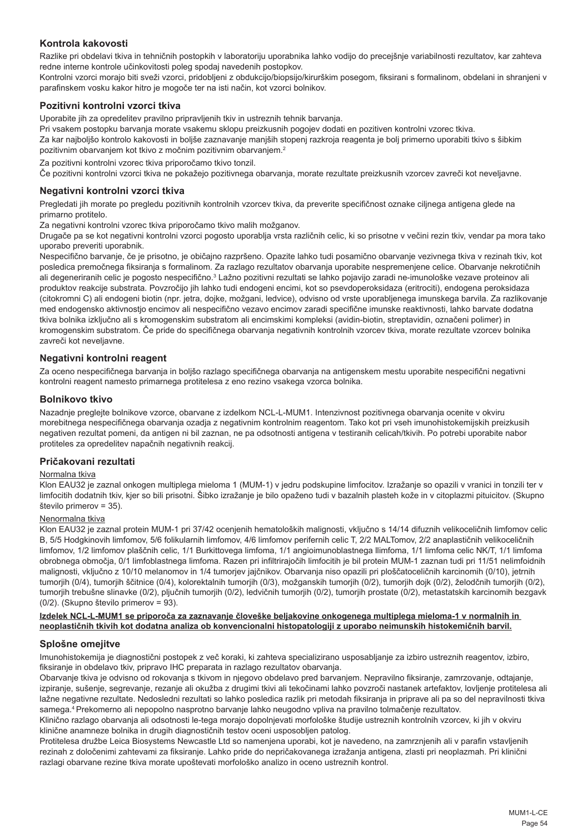# **Kontrola kakovosti**

Razlike pri obdelavi tkiva in tehničnih postopkih v laboratoriju uporabnika lahko vodijo do precejšnje variabilnosti rezultatov, kar zahteva redne interne kontrole učinkovitosti poleg spodaj navedenih postopkov.

Kontrolni vzorci morajo biti sveži vzorci, pridobljeni z obdukcijo/biopsijo/kirurškim posegom, fiksirani s formalinom, obdelani in shranjeni v parafinskem vosku kakor hitro je mogoče ter na isti način, kot vzorci bolnikov.

## **Pozitivni kontrolni vzorci tkiva**

Uporabite jih za opredelitev pravilno pripravljenih tkiv in ustreznih tehnik barvanja.

Pri vsakem postopku barvanja morate vsakemu sklopu preizkusnih pogojev dodati en pozitiven kontrolni vzorec tkiva. Za kar najboljšo kontrolo kakovosti in boljše zaznavanje manjših stopenj razkroja reagenta je bolj primerno uporabiti tkivo s šibkim pozitivnim obarvanjem kot tkivo z močnim pozitivnim obarvanjem.<sup>2</sup>

Za pozitivni kontrolni vzorec tkiva priporočamo tkivo tonzil.

Če pozitivni kontrolni vzorci tkiva ne pokažejo pozitivnega obarvanja, morate rezultate preizkusnih vzorcev zavreči kot neveljavne.

## **Negativni kontrolni vzorci tkiva**

Pregledati jih morate po pregledu pozitivnih kontrolnih vzorcev tkiva, da preverite specifičnost oznake ciljnega antigena glede na primarno protitelo.

Za negativni kontrolni vzorec tkiva priporočamo tkivo malih možganov.

Drugače pa se kot negativni kontrolni vzorci pogosto uporablja vrsta različnih celic, ki so prisotne v večini rezin tkiv, vendar pa mora tako uporabo preveriti uporabnik.

Nespecifično barvanje, če je prisotno, je običajno razpršeno. Opazite lahko tudi posamično obarvanje vezivnega tkiva v rezinah tkiv, kot posledica premočnega fiksiranja s formalinom. Za razlago rezultatov obarvanja uporabite nespremenjene celice. Obarvanje nekrotičnih ali degeneriranih celic je pogosto nespecifično.<sup>3</sup> Lažno pozitivni rezultati se lahko pojavijo zaradi ne-imunološke vezave proteinov ali produktov reakcije substrata. Povzročijo jih lahko tudi endogeni encimi, kot so psevdoperoksidaza (eritrociti), endogena peroksidaza (citokromni C) ali endogeni biotin (npr. jetra, dojke, možgani, ledvice), odvisno od vrste uporabljenega imunskega barvila. Za razlikovanje med endogensko aktivnostjo encimov ali nespecifično vezavo encimov zaradi specifične imunske reaktivnosti, lahko barvate dodatna tkiva bolnika izključno ali s kromogenskim substratom ali encimskimi kompleksi (avidin-biotin, streptavidin, označeni polimer) in kromogenskim substratom. Če pride do specifičnega obarvanja negativnih kontrolnih vzorcev tkiva, morate rezultate vzorcev bolnika zavreči kot neveljavne.

## **Negativni kontrolni reagent**

Za oceno nespecifičnega barvanja in boljšo razlago specifičnega obarvanja na antigenskem mestu uporabite nespecifični negativni kontrolni reagent namesto primarnega protitelesa z eno rezino vsakega vzorca bolnika.

## **Bolnikovo tkivo**

Nazadnje preglejte bolnikove vzorce, obarvane z izdelkom NCL-L-MUM1. Intenzivnost pozitivnega obarvanja ocenite v okviru morebitnega nespecifičnega obarvanja ozadja z negativnim kontrolnim reagentom. Tako kot pri vseh imunohistokemijskih preizkusih negativen rezultat pomeni, da antigen ni bil zaznan, ne pa odsotnosti antigena v testiranih celicah/tkivih. Po potrebi uporabite nabor protiteles za opredelitev napačnih negativnih reakcij.

### **Pričakovani rezultati**

### Normalna tkiva

Klon EAU32 je zaznal onkogen multiplega mieloma 1 (MUM-1) v jedru podskupine limfocitov. Izražanje so opazili v vranici in tonzili ter v limfocitih dodatnih tkiv, kjer so bili prisotni. Šibko izražanje je bilo opaženo tudi v bazalnih plasteh kože in v citoplazmi pituicitov. (Skupno število primerov = 35).

# Nenormalna tkiva

Klon EAU32 je zaznal protein MUM-1 pri 37/42 ocenjenih hematoloških malignosti, vključno s 14/14 difuznih velikoceličnih limfomov celic B, 5/5 Hodgkinovih limfomov, 5/6 folikularnih limfomov, 4/6 limfomov perifernih celic T, 2/2 MALTomov, 2/2 anaplastičnih velikoceličnih limfomov, 1/2 limfomov plaščnih celic, 1/1 Burkittovega limfoma, 1/1 angioimunoblastnega llimfoma, 1/1 limfoma celic NK/T, 1/1 limfoma obrobnega območja, 0/1 limfoblastnega limfoma. Razen pri infiltrirajočih limfocitih je bil protein MUM-1 zaznan tudi pri 11/51 nelimfoidnih malignosti, vključno z 10/10 melanomov in 1/4 tumorjev jajčnikov. Obarvanja niso opazili pri ploščatoceličnih karcinomih (0/10), jetrnih tumorjih (0/4), tumorjih ščitnice (0/4), kolorektalnih tumorjih (0/3), možganskih tumorjih (0/2), tumorjih dojk (0/2), želodčnih tumorjih (0/2), tumorjih trebušne slinavke (0/2), pljučnih tumorjih (0/2), ledvičnih tumorjih (0/2), tumorjih prostate (0/2), metastatskih karcinomih bezgavk (0/2). (Skupno število primerov = 93).

### **Izdelek NCL-L-MUM1 se priporoča za zaznavanje človeške beljakovine onkogenega multiplega mieloma-1 v normalnih in neoplastičnih tkivih kot dodatna analiza ob konvencionalni histopatologiji z uporabo neimunskih histokemičnih barvil.**

### **Splošne omejitve**

Imunohistokemija je diagnostični postopek z več koraki, ki zahteva specializirano usposabljanje za izbiro ustreznih reagentov, izbiro, fiksiranje in obdelavo tkiv, pripravo IHC preparata in razlago rezultatov obarvanja.

Obarvanje tkiva je odvisno od rokovanja s tkivom in njegovo obdelavo pred barvanjem. Nepravilno fiksiranje, zamrzovanje, odtajanje, izpiranje, sušenje, segrevanje, rezanje ali okužba z drugimi tkivi ali tekočinami lahko povzroči nastanek artefaktov, lovljenje protitelesa ali lažne negativne rezultate. Nedosledni rezultati so lahko posledica razlik pri metodah fiksiranja in priprave ali pa so del nepravilnosti tkiva samega.4 Prekomerno ali nepopolno nasprotno barvanje lahko neugodno vpliva na pravilno tolmačenje rezultatov.

Klinično razlago obarvanja ali odsotnosti le-tega morajo dopolnjevati morfološke študije ustreznih kontrolnih vzorcev, ki jih v okviru klinične anamneze bolnika in drugih diagnostičnih testov oceni usposobljen patolog.

Protitelesa družbe Leica Biosystems Newcastle Ltd so namenjena uporabi, kot je navedeno, na zamrznjenih ali v parafin vstavljenih rezinah z določenimi zahtevami za fiksiranje. Lahko pride do nepričakovanega izražanja antigena, zlasti pri neoplazmah. Pri klinični razlagi obarvane rezine tkiva morate upoštevati morfološko analizo in oceno ustreznih kontrol.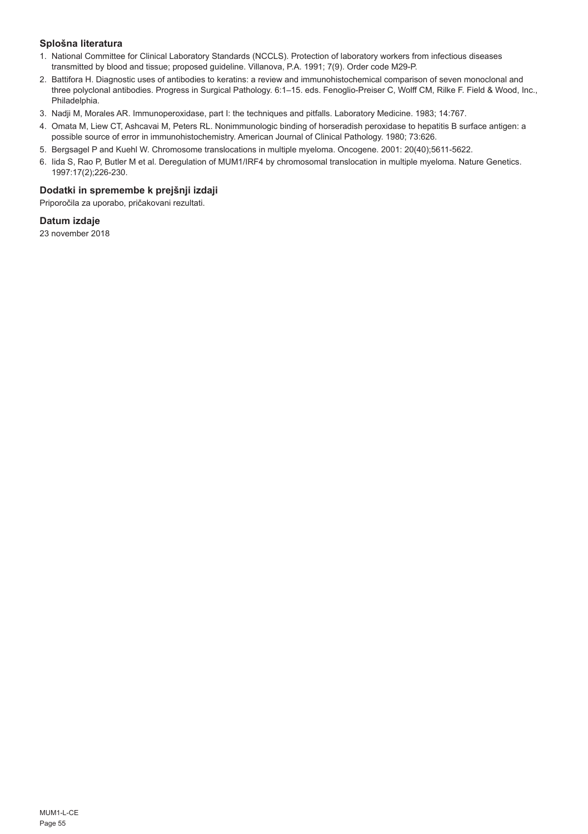# **Splošna literatura**

- 1. National Committee for Clinical Laboratory Standards (NCCLS). Protection of laboratory workers from infectious diseases transmitted by blood and tissue; proposed guideline. Villanova, P.A. 1991; 7(9). Order code M29-P.
- 2. Battifora H. Diagnostic uses of antibodies to keratins: a review and immunohistochemical comparison of seven monoclonal and three polyclonal antibodies. Progress in Surgical Pathology. 6:1–15. eds. Fenoglio-Preiser C, Wolff CM, Rilke F. Field & Wood, Inc., Philadelphia.
- 3. Nadji M, Morales AR. Immunoperoxidase, part I: the techniques and pitfalls. Laboratory Medicine. 1983; 14:767.
- 4. Omata M, Liew CT, Ashcavai M, Peters RL. Nonimmunologic binding of horseradish peroxidase to hepatitis B surface antigen: a possible source of error in immunohistochemistry. American Journal of Clinical Pathology. 1980; 73:626.
- 5. Bergsagel P and Kuehl W. Chromosome translocations in multiple myeloma. Oncogene. 2001: 20(40);5611-5622.
- 6. Iida S, Rao P, Butler M et al. Deregulation of MUM1/IRF4 by chromosomal translocation in multiple myeloma. Nature Genetics. 1997:17(2);226-230.

# **Dodatki in spremembe k prejšnji izdaji**

Priporočila za uporabo, pričakovani rezultati.

# **Datum izdaje**

23 november 2018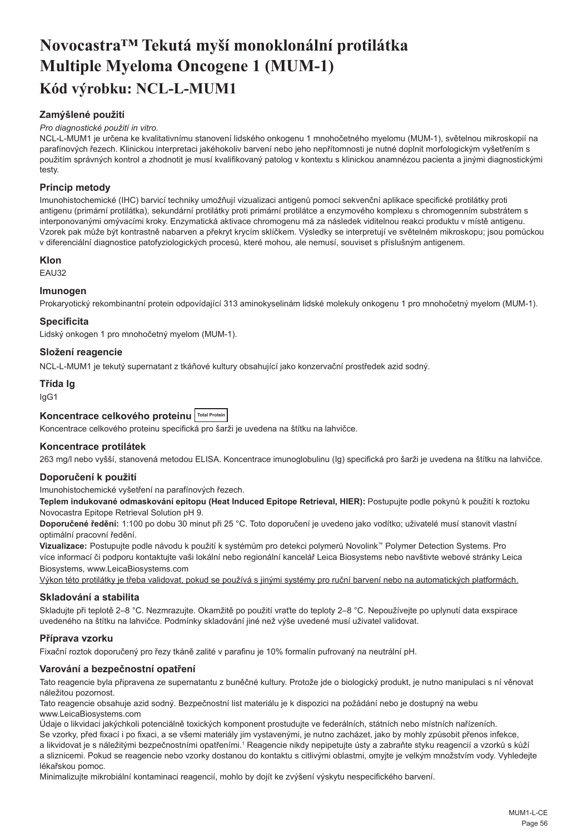# <span id="page-56-0"></span>**Novocastra™ Tekutá myší monoklonální protilátka Multiple Myeloma Oncogene 1 (MUM-1) Kód výrobku: NCL-L-MUM1**

# **Zamýšlené použití**

## *Pro diagnostické použití in vitro.*

NCL-L-MUM1 je určena ke kvalitativnímu stanovení lidského onkogenu 1 mnohočetného myelomu (MUM-1), světelnou mikroskopií na parafínových řezech. Klinickou interpretaci jakéhokoliv barvení nebo jeho nepřítomnosti je nutné doplnit morfologickým vyšetřením s použitím správných kontrol a zhodnotit je musí kvalifikovaný patolog v kontextu s klinickou anamnézou pacienta a jinými diagnostickými testy.

# **Princip metody**

Imunohistochemické (IHC) barvicí techniky umožňují vizualizaci antigenů pomocí sekvenční aplikace specifické protilátky proti antigenu (primární protilátka), sekundární protilátky proti primární protilátce a enzymového komplexu s chromogenním substrátem s interponovanými omývacími kroky. Enzymatická aktivace chromogenu má za následek viditelnou reakci produktu v místě antigenu. Vzorek pak může být kontrastně nabarven a překryt krycím sklíčkem. Výsledky se interpretují ve světelném mikroskopu; jsou pomůckou v diferenciální diagnostice patofyziologických procesů, které mohou, ale nemusí, souviset s příslušným antigenem.

## **Klon**

EAU32

## **Imunogen**

Prokaryotický rekombinantní protein odpovídající 313 aminokyselinám lidské molekuly onkogenu 1 pro mnohočetný myelom (MUM-1).

## **Specificita**

Lidský onkogen 1 pro mnohočetný myelom (MUM-1).

# **Složení reagencie**

NCL-L-MUM1 je tekutý supernatant z tkáňové kultury obsahující jako konzervační prostředek azid sodný.

# **Třída Ig**

IgG1

## **Koncentrace celkového proteinu Total Protein**

Koncentrace celkového proteinu specifická pro šarži je uvedena na štítku na lahvičce.

## **Koncentrace protilátek**

263 mg/l nebo vyšší, stanovená metodou ELISA. Koncentrace imunoglobulinu (Ig) specifická pro šarži je uvedena na štítku na lahvičce.

## **Doporučení k použití**

Imunohistochemické vyšetření na parafínových řezech.

**Teplem indukované odmaskování epitopu (Heat Induced Epitope Retrieval, HIER):** Postupujte podle pokynů k použití k roztoku Novocastra Epitope Retrieval Solution pH 9.

**Doporučené ředění:** 1:100 po dobu 30 minut při 25 °C. Toto doporučení je uvedeno jako vodítko; uživatelé musí stanovit vlastní optimální pracovní ředění.

**Vizualizace:** Postupujte podle návodu k použití k systémům pro detekci polymerů Novolink™ Polymer Detection Systems. Pro více informací či podporu kontaktujte vaši lokální nebo regionální kancelář Leica Biosystems nebo navštivte webové stránky Leica Biosystems, www.LeicaBiosystems.com

Výkon této protilátky je třeba validovat, pokud se používá s jinými systémy pro ruční barvení nebo na automatických platformách.

### **Skladování a stabilita**

Skladujte při teplotě 2–8 °C. Nezmrazujte. Okamžitě po použití vraťte do teploty 2–8 °C. Nepoužívejte po uplynutí data exspirace uvedeného na štítku na lahvičce. Podmínky skladování jiné než výše uvedené musí uživatel validovat.

## **Příprava vzorku**

Fixační roztok doporučený pro řezy tkáně zalité v parafinu je 10% formalín pufrovaný na neutrální pH.

## **Varování a bezpečnostní opatření**

Tato reagencie byla připravena ze supernatantu z buněčné kultury. Protože jde o biologický produkt, je nutno manipulaci s ní věnovat náležitou pozornost.

Tato reagencie obsahuje azid sodný. Bezpečnostní list materiálu je k dispozici na požádání nebo je dostupný na webu www.LeicaBiosystems.com

Údaje o likvidaci jakýchkoli potenciálně toxických komponent prostudujte ve federálních, státních nebo místních nařízeních.

Se vzorky, před fixací i po fixaci, a se všemi materiály jim vystavenými, je nutno zacházet, jako by mohly způsobit přenos infekce,

a likvidovat je s náležitými bezpečnostními opatřeními.<sup>1</sup> Reagencie nikdy nepipetujte ústy a zabraňte styku reagencií a vzorků s kůží a sliznicemi. Pokud se reagencie nebo vzorky dostanou do kontaktu s citlivými oblastmi, omyjte je velkým množstvím vody. Vyhledejte lékařskou pomoc.

Minimalizujte mikrobiální kontaminaci reagencií, mohlo by dojít ke zvýšení výskytu nespecifického barvení.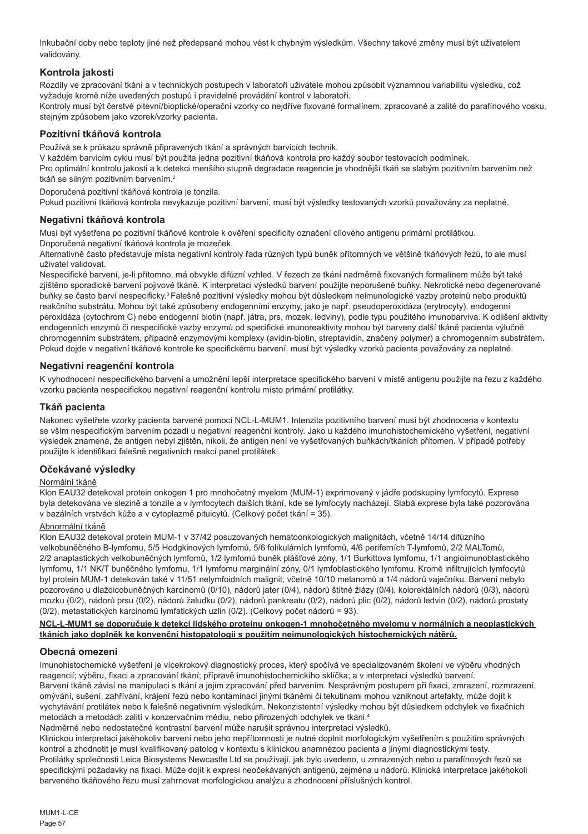Inkubační doby nebo teploty jiné než předepsané mohou vést k chybným výsledkům. Všechny takové změny musí být uživatelem validovány.

# **Kontrola jakosti**

Rozdíly ve zpracování tkání a v technických postupech v laboratoři uživatele mohou způsobit významnou variabilitu výsledků, což vyžaduje kromě níže uvedených postupů i pravidelné provádění kontrol v laboratoři.

Kontroly musí být čerstvé pitevní/bioptické/operační vzorky co nejdříve fixované formalínem, zpracované a zalité do parafínového vosku, stejným způsobem jako vzorek/vzorky pacienta.

# **Pozitivní tkáňová kontrola**

Používá se k průkazu správně připravených tkání a správných barvicích technik.

V každém barvicím cyklu musí být použita jedna pozitivní tkáňová kontrola pro každý soubor testovacích podmínek. Pro optimální kontrolu jakosti a k detekci menšího stupně degradace reagencie je vhodnější tkáň se slabým pozitivním barvením než tkáň se silným pozitivním barvením.<sup>2</sup>

Doporučená pozitivní tkáňová kontrola je tonzila.

Pokud pozitivní tkáňová kontrola nevykazuje pozitivní barvení, musí být výsledky testovaných vzorků považovány za neplatné.

# **Negativní tkáňová kontrola**

Musí být vyšetřena po pozitivní tkáňové kontrole k ověření specificity označení cílového antigenu primární protilátkou.

Doporučená negativní tkáňová kontrola je mozeček.

Alternativně často představuje místa negativní kontroly řada různých typů buněk přítomných ve většině tkáňových řezů, to ale musí uživatel validovat.

Nespecifické barvení, je-li přítomno, má obvykle difúzní vzhled. V řezech ze tkání nadměrně fixovaných formalínem může být také zjištěno sporadické barvení pojivové tkáně. K interpretaci výsledků barvení použijte neporušené buňky. Nekrotické nebo degenerované buňky se často barví nespecificky.<sup>3</sup>Falešně pozitivní výsledky mohou být důsledkem neimunologické vazby proteinů nebo produktů reakčního substrátu. Mohou být také způsobeny endogenními enzymy, jako je např. pseudoperoxidáza (erytrocyty), endogenní peroxidáza (cytochrom C) nebo endogenní biotin (např. játra, prs, mozek, ledviny), podle typu použitého imunobarviva. K odlišení aktivity endogenních enzymů či nespecifické vazby enzymů od specifické imunoreaktivity mohou být barveny další tkáně pacienta výlučně chromogenním substrátem, případně enzymovými komplexy (avidin-biotin, streptavidin, značený polymer) a chromogenním substrátem. Pokud dojde v negativní tkáňové kontrole ke specifickému barvení, musí být výsledky vzorků pacienta považovány za neplatné.

# **Negativní reagenční kontrola**

K vyhodnocení nespecifického barvení a umožnění lepší interpretace specifického barvení v místě antigenu použijte na řezu z každého vzorku pacienta nespecifickou negativní reagenční kontrolu místo primární protilátky.

# **Tkáň pacienta**

Nakonec vyšetřete vzorky pacienta barvené pomocí NCL-L-MUM1. Intenzita pozitivního barvení musí být zhodnocena v kontextu se vším nespecifickým barvením pozadí u negativní reagenční kontroly. Jako u každého imunohistochemického vyšetření, negativní výsledek znamená, že antigen nebyl zjištěn, nikoli, že antigen není ve vyšetřovaných buňkách/tkáních přítomen. V případě potřeby použijte k identifikaci falešně negativních reakcí panel protilátek.

# **Očekávané výsledky**

## Normální tkáně

Klon EAU32 detekoval protein onkogen 1 pro mnohočetný myelom (MUM-1) exprimovaný v jádře podskupiny lymfocytů. Exprese byla detekována ve slezině a tonzile a v lymfocytech dalších tkání, kde se lymfocyty nacházejí. Slabá exprese byla také pozorována v bazálních vrstvách kůže a v cytoplazmě pituicytů. (Celkový počet tkání = 35).

# Abnormální tkáně

Klon EAU32 detekoval protein MUM-1 v 37/42 posuzovaných hematoonkologických malignitách, včetně 14/14 difúzního velkobuněčného B-lymfomu, 5/5 Hodgkinových lymfomů, 5/6 folikulárních lymfomů, 4/6 periferních T-lymfomů, 2/2 MALTomů, 2/2 anaplastických velkobuněčných lymfomů, 1/2 lymfomů buněk plášťové zóny, 1/1 Burkittova lymfomu, 1/1 angioimunoblastického lymfomu, 1/1 NK/T buněčného lymfomu, 1/1 lymfomu marginální zóny, 0/1 lymfoblastického lymfomu. Kromě infiltrujících lymfocytů byl protein MUM-1 detekován také v 11/51 nelymfoidních malignit, včetně 10/10 melanomů a 1/4 nádorů vaječníku. Barvení nebylo pozorováno u dlaždicobuněčných karcinomů (0/10), nádorů jater (0/4), nádorů štítné žlázy (0/4), kolorektálních nádorů (0/3), nádorů mozku (0/2), nádorů prsu (0/2), nádorů žaludku (0/2), nádorů pankreatu (0/2), nádorů plic (0/2), nádorů ledvin (0/2), nádorů prostaty (0/2), metastatických karcinomů lymfatických uzlin (0/2). (Celkový počet nádorů = 93).

### **NCL-L-MUM1 se doporučuje k detekci lidského proteinu onkogen-1 mnohočetného myelomu v normálních a neoplastických tkáních jako doplněk ke konvenční histopatologii s použitím neimunologických histochemických nátěrů.**

## **Obecná omezení**

Imunohistochemické vyšetření je vícekrokový diagnostický proces, který spočívá ve specializovaném školení ve výběru vhodných reagencií; výběru, fixaci a zpracování tkání; přípravě imunohistochemickího sklíčka; a v interpretaci výsledků barvení. Barvení tkáně závisí na manipulaci s tkání a jejím zpracování před barvením. Nesprávným postupem při fixaci, zmrazení, rozmrazení, omývání, sušení, zahřívání, krájení řezů nebo kontaminací jinými tkáněmi či tekutinami mohou vzniknout artefakty, může dojít k vychytávání protilátek nebo k falešně negativním výsledkům. Nekonzistentní výsledky mohou být důsledkem odchylek ve fixačních metodách a metodách zalití v konzervačním médiu, nebo přirozených odchylek ve tkáni.4

Nadměrné nebo nedostatečné kontrastní barvení může narušit správnou interpretaci výsledků.

Klinickou interpretaci jakéhokoliv barvení nebo jeho nepřítomnosti je nutné doplnit morfologickým vyšetřením s použitím správných kontrol a zhodnotit je musí kvalifikovaný patolog v kontextu s klinickou anamnézou pacienta a jinými diagnostickými testy. Protilátky společnosti Leica Biosystems Newcastle Ltd se používají, jak bylo uvedeno, u zmrazených nebo u parafínových řezů se specifickými požadavky na fixaci. Může dojít k expresi neočekávaných antigenů, zejména u nádorů. Klinická interpretace jakéhokoli barveného tkáňového řezu musí zahrnovat morfologickou analýzu a zhodnocení příslušných kontrol.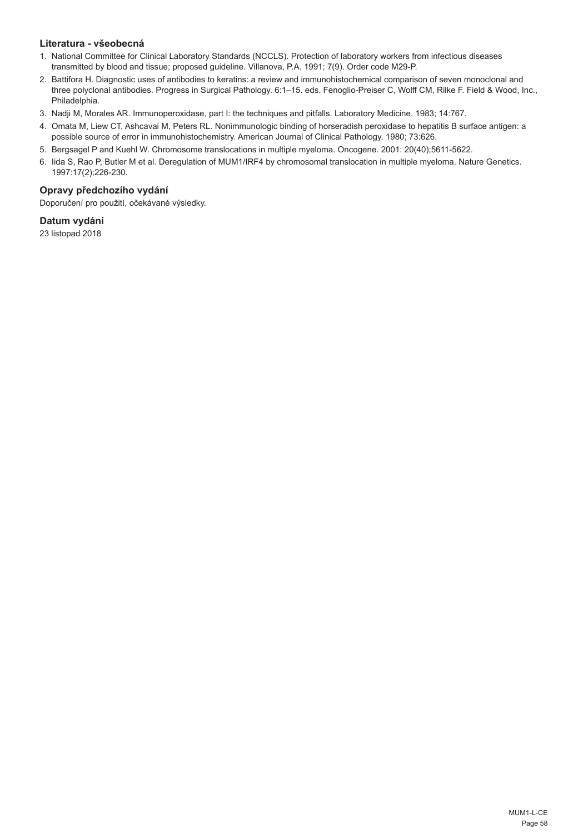# **Literatura - všeobecná**

- 1. National Committee for Clinical Laboratory Standards (NCCLS). Protection of laboratory workers from infectious diseases transmitted by blood and tissue; proposed guideline. Villanova, P.A. 1991; 7(9). Order code M29-P.
- 2. Battifora H. Diagnostic uses of antibodies to keratins: a review and immunohistochemical comparison of seven monoclonal and three polyclonal antibodies. Progress in Surgical Pathology. 6:1–15. eds. Fenoglio-Preiser C, Wolff CM, Rilke F. Field & Wood, Inc., Philadelphia.
- 3. Nadji M, Morales AR. Immunoperoxidase, part I: the techniques and pitfalls. Laboratory Medicine. 1983; 14:767.
- 4. Omata M, Liew CT, Ashcavai M, Peters RL. Nonimmunologic binding of horseradish peroxidase to hepatitis B surface antigen: a possible source of error in immunohistochemistry. American Journal of Clinical Pathology. 1980; 73:626.
- 5. Bergsagel P and Kuehl W. Chromosome translocations in multiple myeloma. Oncogene. 2001: 20(40);5611-5622.
- 6. Iida S, Rao P, Butler M et al. Deregulation of MUM1/IRF4 by chromosomal translocation in multiple myeloma. Nature Genetics. 1997:17(2);226-230.

# **Opravy předchozího vydání**

Doporučení pro použití, očekávané výsledky.

# **Datum vydání**

23 listopad 2018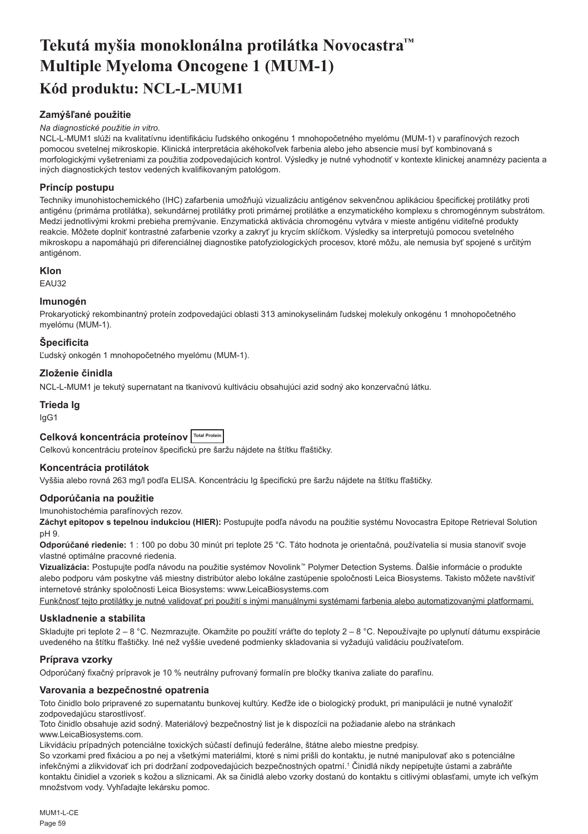# <span id="page-59-0"></span>**Tekutá myšia monoklonálna protilátka Novocastra™ Multiple Myeloma Oncogene 1 (MUM-1) Kód produktu: NCL-L-MUM1**

# **Zamýšľané použitie**

## *Na diagnostické použitie in vitro.*

NCL-L-MUM1 slúži na kvalitatívnu identifikáciu ľudského onkogénu 1 mnohopočetného myelómu (MUM-1) v parafínových rezoch pomocou svetelnej mikroskopie. Klinická interpretácia akéhokoľvek farbenia alebo jeho absencie musí byť kombinovaná s morfologickými vyšetreniami za použitia zodpovedajúcich kontrol. Výsledky je nutné vyhodnotiť v kontexte klinickej anamnézy pacienta a iných diagnostických testov vedených kvalifikovaným patológom.

# **Princíp postupu**

Techniky imunohistochemického (IHC) zafarbenia umožňujú vizualizáciu antigénov sekvenčnou aplikáciou špecifickej protilátky proti antigénu (primárna protilátka), sekundárnej protilátky proti primárnej protilátke a enzymatického komplexu s chromogénnym substrátom. Medzi jednotlivými krokmi prebieha premývanie. Enzymatická aktivácia chromogénu vytvára v mieste antigénu viditeľné produkty reakcie. Môžete doplniť kontrastné zafarbenie vzorky a zakryť ju krycím sklíčkom. Výsledky sa interpretujú pomocou svetelného mikroskopu a napomáhajú pri diferenciálnej diagnostike patofyziologických procesov, ktoré môžu, ale nemusia byť spojené s určitým antigénom.

# **Klon**

EAU32

# **Imunogén**

Prokaryotický rekombinantný proteín zodpovedajúci oblasti 313 aminokyselinám ľudskej molekuly onkogénu 1 mnohopočetného myelómu (MUM-1).

# **Špecificita**

Ľudský onkogén 1 mnohopočetného myelómu (MUM-1).

# **Zloženie činidla**

NCL-L-MUM1 je tekutý supernatant na tkanivovú kultiváciu obsahujúci azid sodný ako konzervačnú látku.

# **Trieda Ig**

IgG1

# **Celková koncentrácia proteínov Total Protein**

Celkovú koncentráciu proteínov špecifickú pre šaržu nájdete na štítku fľaštičky.

## **Koncentrácia protilátok**

Vyššia alebo rovná 263 mg/l podľa ELISA. Koncentráciu Ig špecifickú pre šaržu nájdete na štítku fľaštičky.

## **Odporúčania na použitie**

Imunohistochémia parafínových rezov.

**Záchyt epitopov s tepelnou indukciou (HIER):** Postupujte podľa návodu na použitie systému Novocastra Epitope Retrieval Solution pH 9.

**Odporúčané riedenie:** 1 : 100 po dobu 30 minút pri teplote 25 °C. Táto hodnota je orientačná, používatelia si musia stanoviť svoje vlastné optimálne pracovné riedenia.

**Vizualizácia:** Postupujte podľa návodu na použitie systémov Novolink™ Polymer Detection Systems. Ďalšie informácie o produkte alebo podporu vám poskytne váš miestny distribútor alebo lokálne zastúpenie spoločnosti Leica Biosystems. Takisto môžete navštíviť internetové stránky spoločnosti Leica Biosystems: www.LeicaBiosystems.com

Funkčnosť tejto protilátky je nutné validovať pri použití s inými manuálnymi systémami farbenia alebo automatizovanými platformami.

## **Uskladnenie a stabilita**

Skladujte pri teplote 2 – 8 °C. Nezmrazujte. Okamžite po použití vráťte do teploty 2 – 8 °C. Nepoužívajte po uplynutí dátumu exspirácie uvedeného na štítku fľaštičky. Iné než vyššie uvedené podmienky skladovania si vyžadujú validáciu používateľom.

## **Príprava vzorky**

Odporúčaný fixačný prípravok je 10 % neutrálny pufrovaný formalín pre bločky tkaniva zaliate do parafínu.

## **Varovania a bezpečnostné opatrenia**

Toto činidlo bolo pripravené zo supernatantu bunkovej kultúry. Keďže ide o biologický produkt, pri manipulácii je nutné vynaložiť zodpovedajúcu starostlivosť.

Toto činidlo obsahuje azid sodný. Materiálový bezpečnostný list je k dispozícii na požiadanie alebo na stránkach www.LeicaBiosystems.com.

Likvidáciu prípadných potenciálne toxických súčastí definujú federálne, štátne alebo miestne predpisy.

So vzorkami pred fixáciou a po nej a všetkými materiálmi, ktoré s nimi prišli do kontaktu, je nutné manipulovať ako s potenciálne infekčnými a zlikvidovať ich pri dodržaní zodpovedajúcich bezpečnostných opatrní.<sup>1</sup> Činidlá nikdy nepipetujte ústami a zabráňte kontaktu činidiel a vzoriek s kožou a sliznicami. Ak sa činidlá alebo vzorky dostanú do kontaktu s citlivými oblasťami, umyte ich veľkým množstvom vody. Vyhľadajte lekársku pomoc.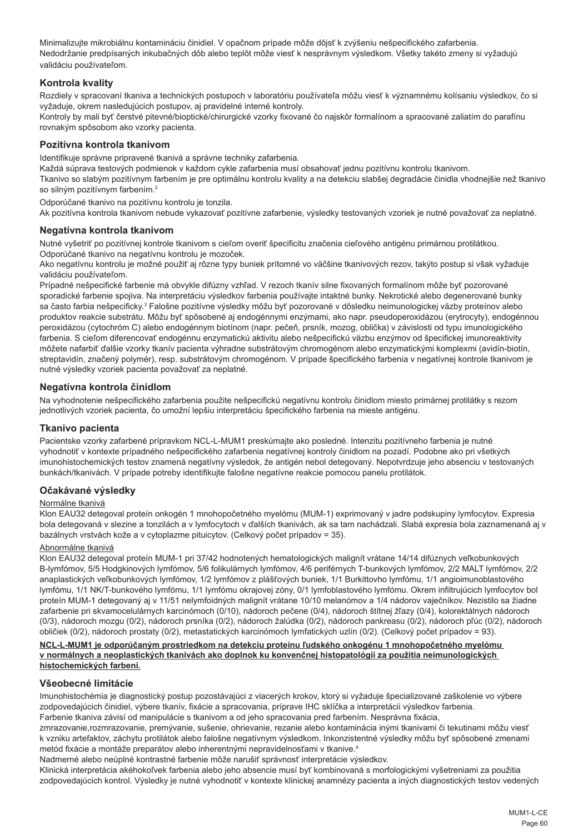Minimalizujte mikrobiálnu kontamináciu činidiel. V opačnom prípade môže dôjsť k zvýšeniu nešpecifického zafarbenia. Nedodržanie predpísaných inkubačných dôb alebo teplôt môže viesť k nesprávnym výsledkom. Všetky takéto zmeny si vyžadujú validáciu používateľom.

# **Kontrola kvality**

Rozdiely v spracovaní tkaniva a technických postupoch v laboratóriu používateľa môžu viesť k významnému kolísaniu výsledkov, čo si vyžaduje, okrem nasledujúcich postupov, aj pravidelné interné kontroly.

Kontroly by mali byť čerstvé pitevné/bioptické/chirurgické vzorky fixované čo najskôr formalínom a spracované zaliatím do parafínu rovnakým spôsobom ako vzorky pacienta.

## **Pozitívna kontrola tkanivom**

Identifikuje správne pripravené tkanivá a správne techniky zafarbenia.

Každá súprava testových podmienok v každom cykle zafarbenia musí obsahovať jednu pozitívnu kontrolu tkanivom.

Tkanivo so slabým pozitívnym farbením je pre optimálnu kontrolu kvality a na detekciu slabšej degradácie činidla vhodnejšie než tkanivo so silným pozitívnym farbením.<sup>2</sup>

Odporúčané tkanivo na pozitívnu kontrolu je tonzila.

Ak pozitívna kontrola tkanivom nebude vykazovať pozitívne zafarbenie, výsledky testovaných vzoriek je nutné považovať za neplatné.

## **Negatívna kontrola tkanivom**

Nutné vyšetriť po pozitívnej kontrole tkanivom s cieľom overiť špecificitu značenia cieľového antigénu primárnou protilátkou. Odporúčané tkanivo na negatívnu kontrolu je mozoček.

Ako negatívnu kontrolu je možné použiť aj rôzne typy buniek prítomné vo väčšine tkanivových rezov, takýto postup si však vyžaduje validáciu používateľom.

Prípadné nešpecifické farbenie má obvykle difúzny vzhľad. V rezoch tkanív silne fixovaných formalínom môže byť pozorované sporadické farbenie spojiva. Na interpretáciu výsledkov farbenia používajte intaktné bunky. Nekrotické alebo degenerované bunky sa často farbia nešpecificky.<sup>3</sup> Falošne pozitívne výsledky môžu byť pozorované v dôsledku neimunologickej väzby proteínov alebo produktov reakcie substrátu. Môžu byť spôsobené aj endogénnymi enzýmami, ako napr. pseudoperoxidázou (erytrocyty), endogénnou peroxidázou (cytochróm C) alebo endogénnym biotínom (napr. pečeň, prsník, mozog, oblička) v závislosti od typu imunologického farbenia. S cieľom diferencovať endogénnu enzymatickú aktivitu alebo nešpecifickú väzbu enzýmov od špecifickej imunoreaktivity môžete nafarbiť ďalšie vzorky tkanív pacienta výhradne substrátovým chromogénom alebo enzymatickými komplexmi (avidín-biotín, streptavidín, značený polymér), resp. substrátovým chromogénom. V prípade špecifického farbenia v negatívnej kontrole tkanivom je nutné výsledky vzoriek pacienta považovať za neplatné.

## **Negatívna kontrola činidlom**

Na vyhodnotenie nešpecifického zafarbenia použite nešpecifickú negatívnu kontrolu činidlom miesto primárnej protilátky s rezom jednotlivých vzoriek pacienta, čo umožní lepšiu interpretáciu špecifického farbenia na mieste antigénu.

## **Tkanivo pacienta**

Pacientske vzorky zafarbené prípravkom NCL-L-MUM1 preskúmajte ako posledné. Intenzitu pozitívneho farbenia je nutné vyhodnotiť v kontexte prípadného nešpecifického zafarbenia negatívnej kontroly činidlom na pozadí. Podobne ako pri všetkých imunohistochemických testov znamená negatívny výsledok, že antigén nebol detegovaný. Nepotvrdzuje jeho absenciu v testovaných bunkách/tkanivách. V prípade potreby identifikujte falošne negatívne reakcie pomocou panelu protilátok.

## **Očakávané výsledky**

### Normálne tkanivá

Klon EAU32 detegoval proteín onkogén 1 mnohopočetného myelómu (MUM-1) exprimovaný v jadre podskupiny lymfocytov. Expresia bola detegovaná v slezine a tonzilách a v lymfocytoch v ďalších tkanivách, ak sa tam nachádzali. Slabá expresia bola zaznamenaná aj v bazálnych vrstvách kože a v cytoplazme pituicytov. (Celkový počet prípadov = 35).

### Abnormálne tkanivá

Klon EAU32 detegoval proteín MUM-1 pri 37/42 hodnotených hematologických malignít vrátane 14/14 difúznych veľkobunkových B-lymfómov, 5/5 Hodgkinových lymfómov, 5/6 folikulárnych lymfómov, 4/6 periférnych T-bunkových lymfómov, 2/2 MALT lymfómov, 2/2 anaplastických veľkobunkových lymfómov, 1/2 lymfómov z plášťových buniek, 1/1 Burkittovho lymfómu, 1/1 angioimunoblastového lymfómu, 1/1 NK/T-bunkového lymfómu, 1/1 lymfómu okrajovej zóny, 0/1 lymfoblastového lymfómu. Okrem infiltrujúcich lymfocytov bol proteín MUM-1 detegovaný aj v 11/51 nelymfoidných malignít vrátane 10/10 melanómov a 1/4 nádorov vaječníkov. Nezistilo sa žiadne zafarbenie pri skvamocelulárnych karcinómoch (0/10), nádoroch pečene (0/4), nádoroch štítnej žľazy (0/4), kolorektálnych nádoroch (0/3), nádoroch mozgu (0/2), nádoroch prsníka (0/2), nádoroch žalúdka (0/2), nádoroch pankreasu (0/2), nádoroch pľúc (0/2), nádoroch obličiek (0/2), nádoroch prostaty (0/2), metastatických karcinómoch lymfatických uzlín (0/2). (Celkový počet prípadov = 93).

## **NCL-L-MUM1 je odporúčaným prostriedkom na detekciu proteínu ľudského onkogénu 1 mnohopočetného myelómu v normálnych a neoplastických tkanivách ako doplnok ku konvenčnej histopatológii za použitia neimunologických histochemických farbení.**

## **Všeobecné limitácie**

Imunohistochémia je diagnostický postup pozostávajúci z viacerých krokov, ktorý si vyžaduje špecializované zaškolenie vo výbere zodpovedajúcich činidiel, výbere tkanív, fixácie a spracovania, príprave IHC sklíčka a interpretácii výsledkov farbenia. Farbenie tkaniva závisí od manipulácie s tkanivom a od jeho spracovania pred farbením. Nesprávna fixácia,

zmrazovanie,rozmrazovanie, premývanie, sušenie, ohrievanie, rezanie alebo kontaminácia inými tkanivami či tekutinami môžu viesť k vzniku artefaktov, záchytu protilátok alebo falošne negatívnym výsledkom. Inkonzistentné výsledky môžu byť spôsobené zmenami metód fixácie a montáže preparátov alebo inherentnými nepravidelnosťami v tkanive.4

Nadmerné alebo neúplné kontrastné farbenie môže narušiť správnosť interpretácie výsledkov.

Klinická interpretácia akéhokoľvek farbenia alebo jeho absencie musí byť kombinovaná s morfologickými vyšetreniami za použitia zodpovedajúcich kontrol. Výsledky je nutné vyhodnotiť v kontexte klinickej anamnézy pacienta a iných diagnostických testov vedených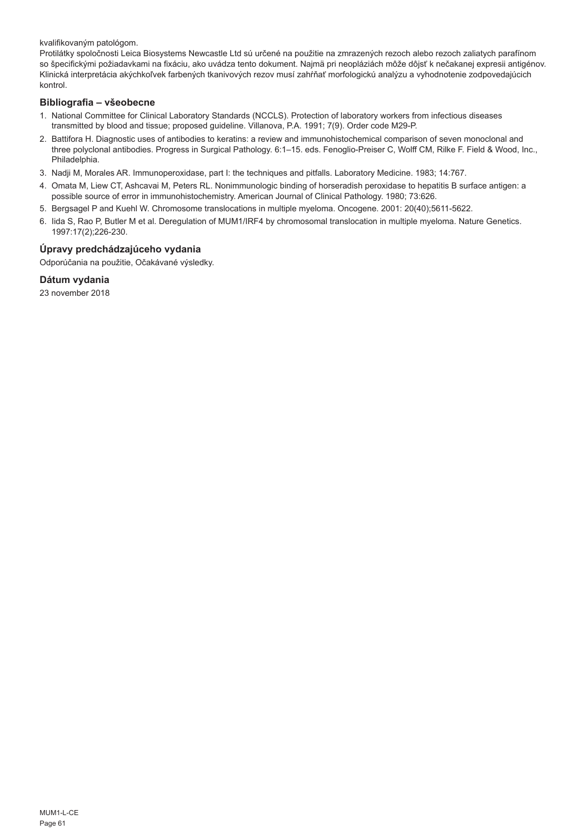kvalifikovaným patológom.

Protilátky spoločnosti Leica Biosystems Newcastle Ltd sú určené na použitie na zmrazených rezoch alebo rezoch zaliatych parafínom so špecifickými požiadavkami na fixáciu, ako uvádza tento dokument. Najmä pri neopláziách môže dôjsť k nečakanej expresii antigénov. Klinická interpretácia akýchkoľvek farbených tkanivových rezov musí zahŕňať morfologickú analýzu a vyhodnotenie zodpovedajúcich kontrol.

# **Bibliografia – všeobecne**

- 1. National Committee for Clinical Laboratory Standards (NCCLS). Protection of laboratory workers from infectious diseases transmitted by blood and tissue; proposed guideline. Villanova, P.A. 1991; 7(9). Order code M29-P.
- 2. Battifora H. Diagnostic uses of antibodies to keratins: a review and immunohistochemical comparison of seven monoclonal and three polyclonal antibodies. Progress in Surgical Pathology. 6:1–15. eds. Fenoglio-Preiser C, Wolff CM, Rilke F. Field & Wood, Inc., Philadelphia.
- 3. Nadji M, Morales AR. Immunoperoxidase, part I: the techniques and pitfalls. Laboratory Medicine. 1983; 14:767.
- 4. Omata M, Liew CT, Ashcavai M, Peters RL. Nonimmunologic binding of horseradish peroxidase to hepatitis B surface antigen: a possible source of error in immunohistochemistry. American Journal of Clinical Pathology. 1980; 73:626.
- 5. Bergsagel P and Kuehl W. Chromosome translocations in multiple myeloma. Oncogene. 2001: 20(40);5611-5622.
- 6. Iida S, Rao P, Butler M et al. Deregulation of MUM1/IRF4 by chromosomal translocation in multiple myeloma. Nature Genetics. 1997:17(2);226-230.

# **Úpravy predchádzajúceho vydania**

Odporúčania na použitie, Očakávané výsledky.

## **Dátum vydania**

23 november 2018